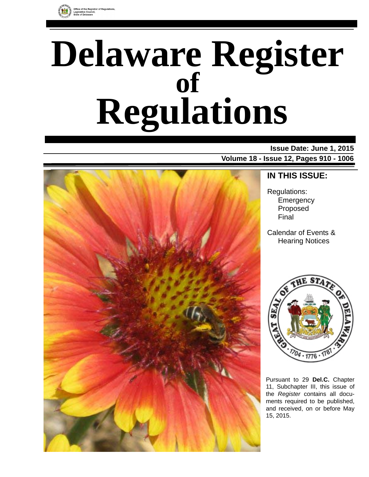

# **Delaware Register Regulations of**

# **Issue Date: June 1, 2015**

**Volume 18 - Issue 12, Pages 910 - 1006**



# **IN THIS ISSUE:**

Regulations: **Emergency** Proposed Final

Calendar of Events & Hearing Notices



Pursuant to 29 **Del.C.** Chapter 11, Subchapter III, this issue of the *Register* contains all documents required to be published, and received, on or before May 15, 2015.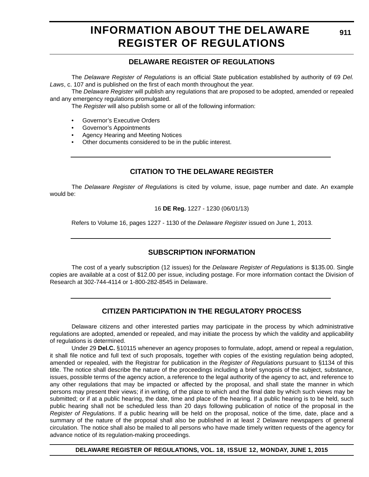# **INFORMATION ABOUT THE DELAWARE REGISTER OF REGULATIONS**

# **DELAWARE REGISTER OF REGULATIONS**

The *Delaware Register of Regulations* is an official State publication established by authority of 69 *Del. Laws*, c. 107 and is published on the first of each month throughout the year.

The *Delaware Register* will publish any regulations that are proposed to be adopted, amended or repealed and any emergency regulations promulgated.

The *Register* will also publish some or all of the following information:

- Governor's Executive Orders
- Governor's Appointments
- Agency Hearing and Meeting Notices
- Other documents considered to be in the public interest.

# **CITATION TO THE DELAWARE REGISTER**

The *Delaware Register of Regulations* is cited by volume, issue, page number and date. An example would be:

16 **DE Reg.** 1227 - 1230 (06/01/13)

Refers to Volume 16, pages 1227 - 1130 of the *Delaware Register* issued on June 1, 2013.

# **SUBSCRIPTION INFORMATION**

The cost of a yearly subscription (12 issues) for the *Delaware Register of Regulations* is \$135.00. Single copies are available at a cost of \$12.00 per issue, including postage. For more information contact the Division of Research at 302-744-4114 or 1-800-282-8545 in Delaware.

# **CITIZEN PARTICIPATION IN THE REGULATORY PROCESS**

Delaware citizens and other interested parties may participate in the process by which administrative regulations are adopted, amended or repealed, and may initiate the process by which the validity and applicability of regulations is determined.

Under 29 **Del.C.** §10115 whenever an agency proposes to formulate, adopt, amend or repeal a regulation, it shall file notice and full text of such proposals, together with copies of the existing regulation being adopted, amended or repealed, with the Registrar for publication in the *Register of Regulations* pursuant to §1134 of this title. The notice shall describe the nature of the proceedings including a brief synopsis of the subject, substance, issues, possible terms of the agency action, a reference to the legal authority of the agency to act, and reference to any other regulations that may be impacted or affected by the proposal, and shall state the manner in which persons may present their views; if in writing, of the place to which and the final date by which such views may be submitted; or if at a public hearing, the date, time and place of the hearing. If a public hearing is to be held, such public hearing shall not be scheduled less than 20 days following publication of notice of the proposal in the *Register of Regulations*. If a public hearing will be held on the proposal, notice of the time, date, place and a summary of the nature of the proposal shall also be published in at least 2 Delaware newspapers of general circulation. The notice shall also be mailed to all persons who have made timely written requests of the agency for advance notice of its regulation-making proceedings.

**DELAWARE REGISTER OF REGULATIONS, VOL. 18, ISSUE 12, MONDAY, JUNE 1, 2015**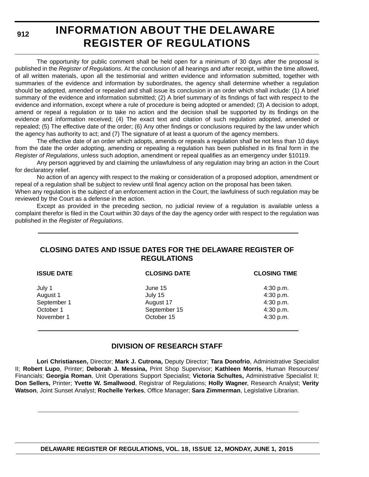**912**

# **INFORMATION ABOUT THE DELAWARE REGISTER OF REGULATIONS**

The opportunity for public comment shall be held open for a minimum of 30 days after the proposal is published in the *Register of Regulations*. At the conclusion of all hearings and after receipt, within the time allowed, of all written materials, upon all the testimonial and written evidence and information submitted, together with summaries of the evidence and information by subordinates, the agency shall determine whether a regulation should be adopted, amended or repealed and shall issue its conclusion in an order which shall include: (1) A brief summary of the evidence and information submitted; (2) A brief summary of its findings of fact with respect to the evidence and information, except where a rule of procedure is being adopted or amended; (3) A decision to adopt, amend or repeal a regulation or to take no action and the decision shall be supported by its findings on the evidence and information received; (4) The exact text and citation of such regulation adopted, amended or repealed; (5) The effective date of the order; (6) Any other findings or conclusions required by the law under which the agency has authority to act; and (7) The signature of at least a quorum of the agency members.

The effective date of an order which adopts, amends or repeals a regulation shall be not less than 10 days from the date the order adopting, amending or repealing a regulation has been published in its final form in the *Register of Regulations*, unless such adoption, amendment or repeal qualifies as an emergency under §10119.

Any person aggrieved by and claiming the unlawfulness of any regulation may bring an action in the Court for declaratory relief.

No action of an agency with respect to the making or consideration of a proposed adoption, amendment or repeal of a regulation shall be subject to review until final agency action on the proposal has been taken.

When any regulation is the subject of an enforcement action in the Court, the lawfulness of such regulation may be reviewed by the Court as a defense in the action.

Except as provided in the preceding section, no judicial review of a regulation is available unless a complaint therefor is filed in the Court within 30 days of the day the agency order with respect to the regulation was published in the *Register of Regulations*.

# **CLOSING DATES AND ISSUE DATES FOR THE DELAWARE REGISTER OF REGULATIONS**

| <b>ISSUE DATE</b>                              | <b>CLOSING DATE</b>                             | <b>CLOSING TIME</b>                              |  |
|------------------------------------------------|-------------------------------------------------|--------------------------------------------------|--|
| July 1<br>August 1<br>September 1<br>October 1 | June 15<br>July 15<br>August 17<br>September 15 | 4:30 p.m.<br>4:30 p.m.<br>4:30 p.m.<br>4:30 p.m. |  |
| November 1                                     | October 15                                      | 4:30 p.m.                                        |  |

# **DIVISION OF RESEARCH STAFF**

**Lori Christiansen,** Director; **Mark J. Cutrona,** Deputy Director; **Tara Donofrio**, Administrative Specialist II; **Robert Lupo**, Printer; **Deborah J. Messina,** Print Shop Supervisor; **Kathleen Morris**, Human Resources/ Financials; **Georgia Roman**, Unit Operations Support Specialist; **Victoria Schultes,** Administrative Specialist II; **Don Sellers,** Printer; **Yvette W. Smallwood**, Registrar of Regulations; **Holly Wagner**, Research Analyst; **Verity Watson**, Joint Sunset Analyst; **Rochelle Yerkes**, Office Manager; **Sara Zimmerman**, Legislative Librarian.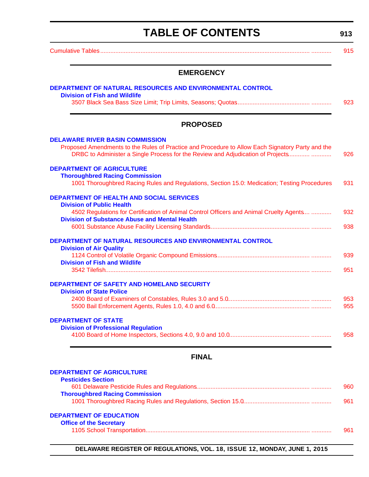# **TABLE OF CONTENTS**

**913**

<span id="page-3-0"></span>

|                                                                            | <b>EMERGENCY</b>                                                                                                                                                                    |
|----------------------------------------------------------------------------|-------------------------------------------------------------------------------------------------------------------------------------------------------------------------------------|
|                                                                            | DEPARTMENT OF NATURAL RESOURCES AND ENVIRONMENTAL CONTROL                                                                                                                           |
| <b>Division of Fish and Wildlife</b>                                       |                                                                                                                                                                                     |
|                                                                            | <b>PROPOSED</b>                                                                                                                                                                     |
|                                                                            |                                                                                                                                                                                     |
|                                                                            |                                                                                                                                                                                     |
|                                                                            | Proposed Amendments to the Rules of Practice and Procedure to Allow Each Signatory Party and the<br>DRBC to Administer a Single Process for the Review and Adjudication of Projects |
| <b>DELAWARE RIVER BASIN COMMISSION</b><br><b>DEPARTMENT OF AGRICULTURE</b> |                                                                                                                                                                                     |

### [4502 Regulations for Certification of Animal Control Officers and Animal Cruelty Agents.... ............ 932](#page-22-0) **[Division of Substance Abuse and Mental Health](http://www.dhss.delaware.gov/dhss/dsamh/index.html)** [6001 Substance Abuse Facility Licensing Standards............................................................ ............ 938](#page-28-0) **[DEPARTMENT OF NATURAL RESOURCES AND ENVIRONMENTAL CONTROL](http://www.dnrec.delaware.gov/Pages/Portal.aspx) [Division of Air Quality](http://www.dnrec.delaware.gov/Air/Pages/Air-Quality.aspx)** [1124 Control of Volatile Organic Compound Emissions........................................................ ............ 939](#page-29-0) **[Division of Fish and Wildlife](http://www.dnrec.delaware.gov/fw/Pages/FWPortal.aspx)**

| <b>PRISTER IST AND THE LIGHT</b>                          |      |
|-----------------------------------------------------------|------|
|                                                           | 951  |
| DEPARTMENT OF SAFETY AND HOMELAND SECURITY                |      |
| <b>Division of State Police</b>                           |      |
| 2400 Board of Evaminara of Canatables, Bulga 2.0 and E.O. | פ בח |

|  | 953 |
|--|-----|
|  | 955 |
|  |     |

### **[DEPARTMENT OF STATE](http://sos.delaware.gov/)**

| ANIMENT OF STATE                           |     |
|--------------------------------------------|-----|
| <b>Division of Professional Regulation</b> |     |
|                                            | 958 |

# **FINAL**

# **[DEPARTMENT OF AGRICULTURE](http://dda.delaware.gov/index.shtml)**

| <b>Pesticides Section</b>             |      |
|---------------------------------------|------|
|                                       | 960. |
| <b>Thoroughbred Racing Commission</b> |      |
|                                       | 961  |
|                                       |      |
| <b>COADTMENT OF FRUGATION</b>         |      |

### **[DEPARTMENT OF EDUCATION](http://www.doe.k12.de.us/site/default.aspx?PageID=1)**

|  | <b>Office of the Secretary</b> |  |
|--|--------------------------------|--|
|  |                                |  |

| . ור<br>. |  |
|-----------|--|
|           |  |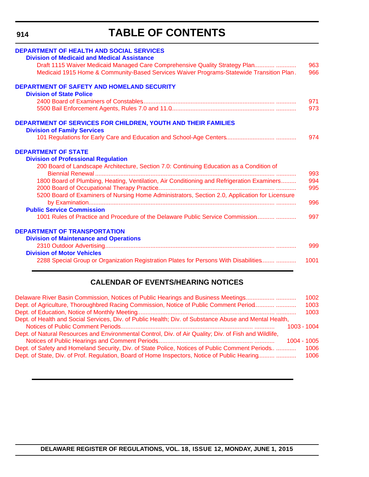**914**

# **TABLE OF CONTENTS**

| <b>DEPARTMENT OF HEALTH AND SOCIAL SERVICES</b>                                                |      |
|------------------------------------------------------------------------------------------------|------|
| <b>Division of Medicaid and Medical Assistance</b>                                             |      |
| Draft 1115 Waiver Medicaid Managed Care Comprehensive Quality Strategy Plan                    | 963  |
| Medicaid 1915 Home & Community-Based Services Waiver Programs-Statewide Transition Plan.       | 966  |
| <b>DEPARTMENT OF SAFETY AND HOMELAND SECURITY</b>                                              |      |
| <b>Division of State Police</b>                                                                |      |
|                                                                                                | 971  |
|                                                                                                | 973  |
| <b>DEPARTMENT OF SERVICES FOR CHILDREN, YOUTH AND THEIR FAMILIES</b>                           |      |
| <b>Division of Family Services</b>                                                             |      |
|                                                                                                | 974  |
| <b>DEPARTMENT OF STATE</b>                                                                     |      |
| <b>Division of Professional Regulation</b>                                                     |      |
| 200 Board of Landscape Architecture, Section 7.0: Continuing Education as a Condition of       | 993  |
| 1800 Board of Plumbing, Heating, Ventilation, Air Conditioning and Refrigeration Examiners     | 994  |
|                                                                                                | 995  |
| 5200 Board of Examiners of Nursing Home Administrators, Section 2.0, Application for Licensure | 996  |
| <b>Public Service Commission</b>                                                               |      |
| 1001 Rules of Practice and Procedure of the Delaware Public Service Commission                 | 997  |
| <b>DEPARTMENT OF TRANSPORTATION</b>                                                            |      |
| <b>Division of Maintenance and Operations</b>                                                  |      |
|                                                                                                | 999  |
| <b>Division of Motor Vehicles</b>                                                              |      |
| 2288 Special Group or Organization Registration Plates for Persons With Disabilities           | 1001 |

# **CALENDAR OF EVENTS/HEARING NOTICES**

| Delaware River Basin Commission, Notices of Public Hearings and Business Meetings                      | 1002 |
|--------------------------------------------------------------------------------------------------------|------|
| Dept. of Agriculture, Thoroughbred Racing Commission, Notice of Public Comment Period                  | 1003 |
|                                                                                                        | 1003 |
| Dept. of Health and Social Services, Div. of Public Health; Div. of Substance Abuse and Mental Health, |      |
| 1003 - 1004                                                                                            |      |
| Dept. of Natural Resources and Environmental Control, Div. of Air Quality; Div. of Fish and Wildlife,  |      |
| 1004 - 1005                                                                                            |      |
| Dept. of Safety and Homeland Security, Div. of State Police, Notices of Public Comment Periods         | 1006 |
| Dept. of State, Div. of Prof. Regulation, Board of Home Inspectors, Notice of Public Hearing           | 1006 |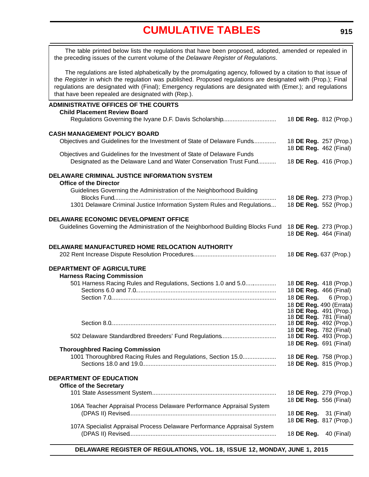<span id="page-5-0"></span>The table printed below lists the regulations that have been proposed, adopted, amended or repealed in the preceding issues of the current volume of the *Delaware Register of Regulations*.

The regulations are listed alphabetically by the promulgating agency, followed by a citation to that issue of the *Register* in which the regulation was published. Proposed regulations are designated with (Prop.); Final regulations are designated with (Final); Emergency regulations are designated with (Emer.); and regulations that have been repealed are designated with (Rep.).

| <b>ADMINISTRATIVE OFFICES OF THE COURTS</b><br><b>Child Placement Review Board</b>                             |                               | 18 DE Reg. 812 (Prop.)        |
|----------------------------------------------------------------------------------------------------------------|-------------------------------|-------------------------------|
|                                                                                                                |                               |                               |
| <b>CASH MANAGEMENT POLICY BOARD</b><br>Objectives and Guidelines for the Investment of State of Delaware Funds |                               | 18 DE Reg. 257 (Prop.)        |
| Objectives and Guidelines for the Investment of State of Delaware Funds                                        |                               | 18 DE Reg. 462 (Final)        |
| Designated as the Delaware Land and Water Conservation Trust Fund                                              | 18 DE Reg. 416 (Prop.)        |                               |
| <b>DELAWARE CRIMINAL JUSTICE INFORMATION SYSTEM</b><br><b>Office of the Director</b>                           |                               |                               |
| Guidelines Governing the Administration of the Neighborhood Building                                           |                               | 18 DE Reg. 273 (Prop.)        |
| 1301 Delaware Criminal Justice Information System Rules and Regulations                                        |                               | 18 DE Reg. 552 (Prop.)        |
| DELAWARE ECONOMIC DEVELOPMENT OFFICE                                                                           |                               |                               |
| Guidelines Governing the Administration of the Neighborhood Building Blocks Fund                               | 18 DE Reg. 273 (Prop.)        | 18 DE Reg. 464 (Final)        |
| <b>DELAWARE MANUFACTURED HOME RELOCATION AUTHORITY</b>                                                         |                               |                               |
|                                                                                                                | 18 DE Reg. 637 (Prop.)        |                               |
| <b>DEPARTMENT OF AGRICULTURE</b>                                                                               |                               |                               |
| <b>Harness Racing Commission</b><br>501 Harness Racing Rules and Regulations, Sections 1.0 and 5.0             |                               | 18 DE Reg. 418 (Prop.)        |
|                                                                                                                | 18 DE Reg. 466 (Final)        |                               |
|                                                                                                                |                               | 18 <b>DE Reg.</b> 6 (Prop.)   |
|                                                                                                                |                               | 18 DE Reg. 490 (Errata)       |
|                                                                                                                |                               | 18 DE Reg. 491 (Prop.)        |
|                                                                                                                | 18 <b>DE Reg.</b> 781 (Final) |                               |
|                                                                                                                | 18 DE Reg. 782 (Final)        | 18 <b>DE Reg.</b> 492 (Prop.) |
| 502 Delaware Standardbred Breeders' Fund Regulations                                                           |                               | 18 DE Reg. 493 (Prop.)        |
|                                                                                                                | 18 DE Reg. 691 (Final)        |                               |
| <b>Thoroughbred Racing Commission</b>                                                                          |                               |                               |
| 1001 Thoroughbred Racing Rules and Regulations, Section 15.0                                                   |                               | 18 DE Reg. 758 (Prop.)        |
|                                                                                                                |                               | 18 DE Reg. 815 (Prop.)        |
| <b>DEPARTMENT OF EDUCATION</b><br><b>Office of the Secretary</b>                                               |                               |                               |
|                                                                                                                | 18 DE Reg. 556 (Final)        | 18 DE Reg. 279 (Prop.)        |
| 106A Teacher Appraisal Process Delaware Performance Appraisal System                                           |                               |                               |
|                                                                                                                | 18 <b>DE Reg.</b> 31 (Final)  |                               |
| 107A Specialist Appraisal Process Delaware Performance Appraisal System                                        |                               | 18 DE Reg. 817 (Prop.)        |
|                                                                                                                | 18 DE Reg.                    | 40 (Final)                    |
|                                                                                                                |                               |                               |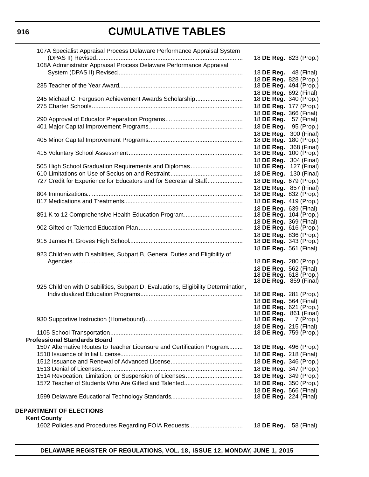| 107A Specialist Appraisal Process Delaware Performance Appraisal System            |                                                         |            |
|------------------------------------------------------------------------------------|---------------------------------------------------------|------------|
|                                                                                    | 18 DE Reg. 823 (Prop.)                                  |            |
| 108A Administrator Appraisal Process Delaware Performance Appraisal                |                                                         |            |
|                                                                                    | 18 <b>DE Reg.</b> 48 (Final)                            |            |
|                                                                                    | 18 DE Reg. 828 (Prop.)                                  |            |
|                                                                                    | 18 DE Reg. 494 (Prop.)                                  |            |
|                                                                                    | 18 DE Reg. 692 (Final)                                  |            |
| 245 Michael C. Ferguson Achievement Awards Scholarship                             | 18 DE Reg. 340 (Prop.)                                  |            |
|                                                                                    | 18 DE Reg. 177 (Prop.)<br>18 DE Reg. 366 (Final)        |            |
|                                                                                    | 18 <b>DE Reg.</b> 57 (Final)                            |            |
|                                                                                    | 18 DE Reg. 95 (Prop.)                                   |            |
|                                                                                    | 18 DE Reg. 300 (Final)                                  |            |
|                                                                                    | 18 DE Reg. 180 (Prop.)                                  |            |
|                                                                                    | 18 DE Reg. 368 (Final)                                  |            |
|                                                                                    | 18 DE Reg. 100 (Prop.)                                  |            |
|                                                                                    | 18 DE Reg. 304 (Final)                                  |            |
| 505 High School Graduation Requirements and Diplomas                               | 18 DE Reg. 127 (Final)                                  |            |
|                                                                                    | 18 DE Reg. 130 (Final)                                  |            |
| 727 Credit for Experience for Educators and for Secretarial Staff                  | 18 DE Reg. 679 (Prop.)                                  |            |
|                                                                                    | 18 DE Reg. 857 (Final)                                  |            |
|                                                                                    | 18 DE Reg. 832 (Prop.)                                  |            |
|                                                                                    | 18 DE Reg. 419 (Prop.)<br>18 DE Reg. 639 (Final)        |            |
|                                                                                    | 18 DE Reg. 104 (Prop.)                                  |            |
|                                                                                    | 18 DE Reg. 369 (Final)                                  |            |
|                                                                                    | 18 DE Reg. 616 (Prop.)                                  |            |
|                                                                                    | 18 DE Reg. 836 (Prop.)                                  |            |
|                                                                                    | 18 <b>DE Reg.</b> 343 (Prop.)                           |            |
|                                                                                    | 18 DE Reg. 561 (Final)                                  |            |
| 923 Children with Disabilities, Subpart B, General Duties and Eligibility of       |                                                         |            |
|                                                                                    | 18 DE Reg. 280 (Prop.)                                  |            |
|                                                                                    | 18 DE Reg. 562 (Final)                                  |            |
|                                                                                    | 18 DE Reg. 618 (Prop.)<br>18 <b>DE Reg.</b> 859 (Final) |            |
| 925 Children with Disabilities, Subpart D, Evaluations, Eligibility Determination, |                                                         |            |
|                                                                                    | 18 DE Reg. 281 (Prop.)                                  |            |
|                                                                                    | 18 DE Reg. 564 (Final)                                  |            |
|                                                                                    | 18 DE Reg. 621 (Prop.)                                  |            |
|                                                                                    | 18 <b>DE Reg.</b> 861 (Final)                           |            |
|                                                                                    | 18 <b>DE Reg.</b> 7 (Prop.)                             |            |
|                                                                                    | 18 DE Reg. 215 (Final)<br>18 <b>DE Reg.</b> 759 (Prop.) |            |
| <b>Professional Standards Board</b>                                                |                                                         |            |
| 1507 Alternative Routes to Teacher Licensure and Certification Program             | 18 DE Reg. 496 (Prop.)                                  |            |
|                                                                                    | 18 DE Reg. 218 (Final)                                  |            |
|                                                                                    | 18 DE Reg. 346 (Prop.)                                  |            |
|                                                                                    | 18 DE Reg. 347 (Prop.)                                  |            |
|                                                                                    | 18 DE Reg. 349 (Prop.)                                  |            |
|                                                                                    | 18 DE Reg. 350 (Prop.)                                  |            |
|                                                                                    | 18 DE Reg. 566 (Final)                                  |            |
|                                                                                    | 18 DE Reg. 224 (Final)                                  |            |
|                                                                                    |                                                         |            |
| <b>DEPARTMENT OF ELECTIONS</b>                                                     |                                                         |            |
| <b>Kent County</b>                                                                 |                                                         |            |
| 1602 Policies and Procedures Regarding FOIA Requests                               | 18 DE Reg.                                              | 58 (Final) |
|                                                                                    |                                                         |            |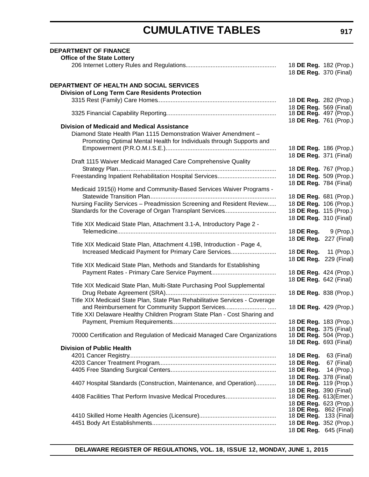| <b>DEPARTMENT OF FINANCE</b>                                                 |                                                  |                        |
|------------------------------------------------------------------------------|--------------------------------------------------|------------------------|
| <b>Office of the State Lottery</b>                                           |                                                  |                        |
|                                                                              | 18 DE Reg. 182 (Prop.)<br>18 DE Reg. 370 (Final) |                        |
| DEPARTMENT OF HEALTH AND SOCIAL SERVICES                                     |                                                  |                        |
| <b>Division of Long Term Care Residents Protection</b>                       |                                                  |                        |
|                                                                              | 18 DE Reg. 282 (Prop.)                           |                        |
|                                                                              | 18 DE Reg. 569 (Final)                           |                        |
|                                                                              | 18 DE Reg. 497 (Prop.)                           |                        |
|                                                                              | 18 DE Reg. 761 (Prop.)                           |                        |
| <b>Division of Medicaid and Medical Assistance</b>                           |                                                  |                        |
| Diamond State Health Plan 1115 Demonstration Waiver Amendment -              |                                                  |                        |
| Promoting Optimal Mental Health for Individuals through Supports and         |                                                  |                        |
|                                                                              | 18 DE Reg. 186 (Prop.)                           |                        |
|                                                                              | 18 DE Reg. 371 (Final)                           |                        |
| Draft 1115 Waiver Medicaid Managed Care Comprehensive Quality                |                                                  |                        |
|                                                                              | 18 DE Reg. 767 (Prop.)                           |                        |
|                                                                              | 18 DE Reg. 509 (Prop.)                           |                        |
|                                                                              | 18 DE Reg. 784 (Final)                           |                        |
| Medicaid 1915(i) Home and Community-Based Services Waiver Programs -         |                                                  |                        |
|                                                                              | 18 DE Reg. 681 (Prop.)                           |                        |
| Nursing Facility Services - Preadmission Screening and Resident Review       | 18 DE Reg. 106 (Prop.)                           |                        |
| Standards for the Coverage of Organ Transplant Services                      | 18 DE Reg. 115 (Prop.)                           |                        |
| Title XIX Medicaid State Plan, Attachment 3.1-A, Introductory Page 2 -       | 18 DE Reg. 310 (Final)                           |                        |
|                                                                              | 18 <b>DE Reg.</b> 9 (Prop.)                      |                        |
|                                                                              | 18 DE Reg. 227 (Final)                           |                        |
| Title XIX Medicaid State Plan, Attachment 4.19B, Introduction - Page 4,      |                                                  |                        |
| Increased Medicaid Payment for Primary Care Services                         | 18 DE Reg. 11 (Prop.)                            |                        |
|                                                                              | 18 DE Reg. 229 (Final)                           |                        |
| Title XIX Medicaid State Plan, Methods and Standards for Establishing        |                                                  |                        |
|                                                                              | 18 DE Reg. 424 (Prop.)                           |                        |
|                                                                              | 18 DE Reg. 642 (Final)                           |                        |
| Title XIX Medicaid State Plan, Multi-State Purchasing Pool Supplemental      |                                                  |                        |
|                                                                              | 18 DE Reg. 838 (Prop.)                           |                        |
| Title XIX Medicaid State Plan, State Plan Rehabilitative Services - Coverage |                                                  |                        |
| and Reimbursement for Community Support Services                             |                                                  | 18 DE Reg. 429 (Prop.) |
| Title XXI Delaware Healthy Children Program State Plan - Cost Sharing and    |                                                  |                        |
|                                                                              | 18 DE Reg. 183 (Prop.)                           |                        |
|                                                                              | 18 DE Reg. 375 (Final)                           |                        |
| 70000 Certification and Regulation of Medicaid Managed Care Organizations    | 18 DE Reg. 504 (Prop.)                           |                        |
| <b>Division of Public Health</b>                                             | 18 DE Reg. 693 (Final)                           |                        |
|                                                                              | 18 DE Reg.                                       | 63 (Final)             |
|                                                                              | 18 DE Reg.                                       | 67 (Final)             |
|                                                                              | 18 DE Reg.                                       | 14 (Prop.)             |
|                                                                              | 18 DE Reg. 378 (Final)                           |                        |
| 4407 Hospital Standards (Construction, Maintenance, and Operation)           | 18 <b>DE Reg.</b> 119 (Prop.)                    |                        |
|                                                                              | 18 DE Reg. 390 (Final)                           |                        |
| 4408 Facilities That Perform Invasive Medical Procedures                     | 18 DE Reg. 613(Emer.)                            |                        |
|                                                                              | 18 DE Reg. 623 (Prop.)                           |                        |
|                                                                              |                                                  | 18 DE Reg. 862 (Final) |
|                                                                              | 18 <b>DE Reg.</b> 133 (Final)                    |                        |
|                                                                              | 18 DE Reg. 352 (Prop.)                           |                        |
|                                                                              |                                                  | 18 DE Reg. 645 (Final) |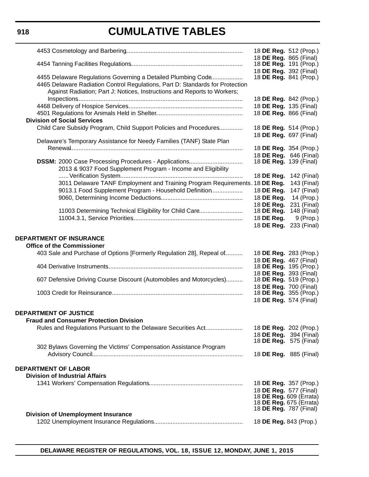|                                                                                                                                             | 18 DE Reg. 512 (Prop.)                             |                               |
|---------------------------------------------------------------------------------------------------------------------------------------------|----------------------------------------------------|-------------------------------|
|                                                                                                                                             | 18 DE Reg. 865 (Final)                             |                               |
|                                                                                                                                             | 18 <b>DE Reg.</b> 191 (Prop.)                      |                               |
|                                                                                                                                             | 18 DE Reg. 392 (Final)                             |                               |
| 4455 Delaware Regulations Governing a Detailed Plumbing Code                                                                                |                                                    | 18 <b>DE Reg.</b> 841 (Prop.) |
| 4465 Delaware Radiation Control Regulations, Part D: Standards for Protection                                                               |                                                    |                               |
| Against Radiation; Part J: Notices, Instructions and Reports to Workers;                                                                    |                                                    |                               |
|                                                                                                                                             |                                                    | 18 DE Reg. 842 (Prop.)        |
|                                                                                                                                             | 18 DE Reg. 135 (Final)                             |                               |
|                                                                                                                                             | 18 DE Reg. 866 (Final)                             |                               |
| <b>Division of Social Services</b>                                                                                                          |                                                    |                               |
| Child Care Subsidy Program, Child Support Policies and Procedures                                                                           | 18 DE Reg. 514 (Prop.)                             |                               |
|                                                                                                                                             | 18 DE Reg. 697 (Final)                             |                               |
| Delaware's Temporary Assistance for Needy Families (TANF) State Plan                                                                        |                                                    |                               |
|                                                                                                                                             | 18 DE Reg. 354 (Prop.)                             |                               |
|                                                                                                                                             | 18 DE Reg. 646 (Final)                             |                               |
|                                                                                                                                             | 18 DE Reg. 139 (Final)                             |                               |
| 2013 & 9037 Food Supplement Program - Income and Eligibility                                                                                |                                                    |                               |
|                                                                                                                                             | 18 DE Reg. 142 (Final)                             |                               |
| 3011 Delaware TANF Employment and Training Program Requirements. 18 DE Reg.                                                                 |                                                    | 143 (Final)                   |
| 9013.1 Food Supplement Program - Household Definition                                                                                       | 18 DE Reg.                                         | 147 (Final)                   |
|                                                                                                                                             | 18 DE Req.                                         | 14 (Prop.)                    |
|                                                                                                                                             | 18 DE Reg.                                         | 231 (Final)                   |
| 11003 Determining Technical Eligibility for Child Care                                                                                      | 18 DE Reg.                                         | 148 (Final)                   |
|                                                                                                                                             | 18 DE Reg.                                         | $9$ (Prop.)                   |
|                                                                                                                                             | 18 DE Reg. 233 (Final)                             |                               |
| <b>DEPARTMENT OF INSURANCE</b><br><b>Office of the Commissioner</b><br>403 Sale and Purchase of Options [Formerly Regulation 28], Repeal of | 18 DE Reg. 283 (Prop.)                             |                               |
|                                                                                                                                             | 18 DE Reg. 467 (Final)                             |                               |
|                                                                                                                                             | 18 <b>DE Reg.</b> 195 (Prop.)                      |                               |
|                                                                                                                                             | 18 DE Reg. 393 (Final)                             |                               |
| 607 Defensive Driving Course Discount (Automobiles and Motorcycles)                                                                         | 18 <b>DE Reg.</b> 519 (Prop.)                      |                               |
|                                                                                                                                             | 18 DE Reg. 700 (Final)                             |                               |
|                                                                                                                                             | 18 DE Reg. 355 (Prop.)                             |                               |
|                                                                                                                                             | 18 DE Reg. 574 (Final)                             |                               |
|                                                                                                                                             |                                                    |                               |
| DEPARTMENT OF JUSTICE                                                                                                                       |                                                    |                               |
| <b>Fraud and Consumer Protection Division</b>                                                                                               |                                                    |                               |
| Rules and Regulations Pursuant to the Delaware Securities Act                                                                               | 18 DE Reg. 202 (Prop.)                             |                               |
|                                                                                                                                             |                                                    | 18 DE Reg. 394 (Final)        |
|                                                                                                                                             |                                                    | 18 <b>DE Reg.</b> 575 (Final) |
| 302 Bylaws Governing the Victims' Compensation Assistance Program                                                                           |                                                    |                               |
|                                                                                                                                             | 18 <b>DE Reg.</b> 885 (Final)                      |                               |
|                                                                                                                                             |                                                    |                               |
| <b>DEPARTMENT OF LABOR</b>                                                                                                                  |                                                    |                               |
| <b>Division of Industrial Affairs</b>                                                                                                       |                                                    |                               |
|                                                                                                                                             | 18 DE Reg. 357 (Prop.)                             |                               |
|                                                                                                                                             | 18 DE Reg. 577 (Final)                             |                               |
|                                                                                                                                             | 18 DE Reg. 609 (Errata)<br>18 DE Reg. 675 (Errata) |                               |
|                                                                                                                                             | 18 DE Reg. 787 (Final)                             |                               |
| <b>Division of Unemployment Insurance</b>                                                                                                   |                                                    |                               |
|                                                                                                                                             | 18 DE Reg. 843 (Prop.)                             |                               |
|                                                                                                                                             |                                                    |                               |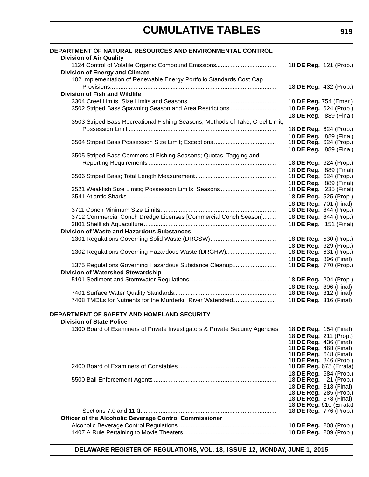| DEPARTMENT OF NATURAL RESOURCES AND ENVIRONMENTAL CONTROL                     |                                                   |  |
|-------------------------------------------------------------------------------|---------------------------------------------------|--|
| <b>Division of Air Quality</b>                                                | 18 DE Reg. 121 (Prop.)                            |  |
| <b>Division of Energy and Climate</b>                                         |                                                   |  |
| 102 Implementation of Renewable Energy Portfolio Standards Cost Cap           |                                                   |  |
|                                                                               | 18 DE Reg. 432 (Prop.)                            |  |
| <b>Division of Fish and Wildlife</b>                                          |                                                   |  |
|                                                                               | 18 DE Reg. 754 (Emer.)                            |  |
| 3502 Striped Bass Spawning Season and Area Restrictions                       | 18 DE Reg. 624 (Prop.)                            |  |
|                                                                               | 18 DE Reg. 889 (Final)                            |  |
| 3503 Striped Bass Recreational Fishing Seasons; Methods of Take; Creel Limit; |                                                   |  |
|                                                                               | 18 DE Reg. 624 (Prop.)                            |  |
|                                                                               | 18 DE Reg. 889 (Final)<br>18 DE Reg. 624 (Prop.)  |  |
|                                                                               | 18 DE Reg. 889 (Final)                            |  |
| 3505 Striped Bass Commercial Fishing Seasons; Quotas; Tagging and             |                                                   |  |
|                                                                               | 18 DE Reg. 624 (Prop.)                            |  |
|                                                                               | 18 DE Reg. 889 (Final)                            |  |
|                                                                               | 18 DE Reg. 624 (Prop.)                            |  |
|                                                                               | 18 DE Reg. 889 (Final)                            |  |
| 3521 Weakfish Size Limits; Possession Limits; Seasons                         | 18 <b>DE Reg.</b> 235 (Final)                     |  |
|                                                                               | 18 DE Reg. 525 (Prop.)                            |  |
|                                                                               | 18 DE Reg. 701 (Final)                            |  |
|                                                                               | 18 DE Reg. 844 (Prop.)<br>18 DE Reg. 844 (Prop.)  |  |
| 3712 Commercial Conch Dredge Licenses [Commercial Conch Season]               | 18 DE Reg. 151 (Final)                            |  |
| <b>Division of Waste and Hazardous Substances</b>                             |                                                   |  |
|                                                                               | 18 DE Reg. 530 (Prop.)                            |  |
|                                                                               | 18 DE Reg. 629 (Prop.)                            |  |
| 1302 Regulations Governing Hazardous Waste (DRGHW)                            | 18 DE Reg. 631 (Prop.)                            |  |
|                                                                               | 18 DE Reg. 896 (Final)                            |  |
| 1375 Regulations Governing Hazardous Substance Cleanup                        | 18 DE Reg. 770 (Prop.)                            |  |
| <b>Division of Watershed Stewardship</b>                                      |                                                   |  |
|                                                                               | 18 DE Reg. 204 (Prop.)                            |  |
|                                                                               | 18 DE Reg. 396 (Final)                            |  |
|                                                                               | 18 <b>DE Reg.</b> 312 (Final)                     |  |
| 7408 TMDLs for Nutrients for the Murderkill River Watershed                   | 18 DE Reg. 316 (Final)                            |  |
| DEPARTMENT OF SAFETY AND HOMELAND SECURITY                                    |                                                   |  |
| <b>Division of State Police</b>                                               |                                                   |  |
| 1300 Board of Examiners of Private Investigators & Private Security Agencies  | 18 <b>DE Reg.</b> 154 (Final)                     |  |
|                                                                               | 18 DE Reg. 211 (Prop.)                            |  |
|                                                                               | 18 <b>DE Reg.</b> 436 (Final)                     |  |
|                                                                               | 18 DE Reg. 468 (Final)                            |  |
|                                                                               | 18 <b>DE Reg.</b> 648 (Final)                     |  |
|                                                                               | 18 DE Reg. 846 (Prop.)<br>18 DE Reg. 675 (Errata) |  |
|                                                                               | 18 DE Reg. 684 (Prop.)                            |  |
|                                                                               | 18 DE Reg. 21 (Prop.)                             |  |
|                                                                               | 18 DE Reg. 318 (Final)                            |  |
|                                                                               | 18 DE Reg. 285 (Prop.)                            |  |
|                                                                               | 18 DE Reg. 578 (Final)                            |  |
|                                                                               | 18 DE Reg. 610 (Errata)<br>18 DE Reg. 776 (Prop.) |  |
| Officer of the Alcoholic Beverage Control Commissioner                        |                                                   |  |
|                                                                               | 18 DE Reg. 208 (Prop.)                            |  |
|                                                                               | 18 DE Reg. 209 (Prop.)                            |  |
|                                                                               |                                                   |  |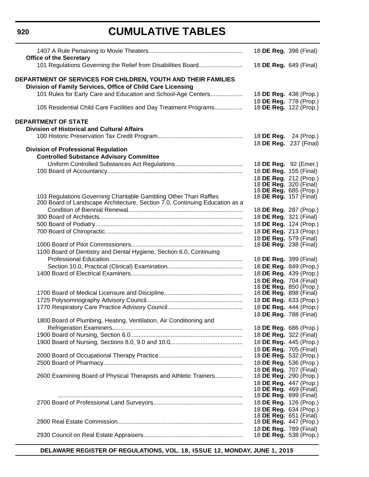# **920**

# **CUMULATIVE TABLES**

| <b>Office of the Secretary</b>                                                                                               | 18 DE Reg. 398 (Final)                                  |  |
|------------------------------------------------------------------------------------------------------------------------------|---------------------------------------------------------|--|
| 101 Regulations Governing the Relief from Disabilities Board                                                                 | 18 DE Reg. 649 (Final)                                  |  |
| DEPARTMENT OF SERVICES FOR CHILDREN, YOUTH AND THEIR FAMILIES<br>Division of Family Services, Office of Child Care Licensing |                                                         |  |
| 101 Rules for Early Care and Education and School-Age Centers                                                                | 18 DE Reg. 438 (Prop.)<br>18 DE Reg. 778 (Prop.)        |  |
| 105 Residential Child Care Facilities and Day Treatment Programs                                                             | 18 <b>DE Reg.</b> 122 (Prop.)                           |  |
| <b>DEPARTMENT OF STATE</b>                                                                                                   |                                                         |  |
| <b>Division of Historical and Cultural Affairs</b>                                                                           |                                                         |  |
|                                                                                                                              | 18 <b>DE Reg.</b> 24 (Prop.)<br>18 DE Reg. 237 (Final)  |  |
| <b>Division of Professional Regulation</b>                                                                                   |                                                         |  |
| <b>Controlled Substance Advisory Committee</b>                                                                               |                                                         |  |
|                                                                                                                              | 18 DE Reg. 92 (Emer.)                                   |  |
|                                                                                                                              | 18 DE Reg. 155 (Final)                                  |  |
|                                                                                                                              | 18 DE Reg. 212 (Prop.)                                  |  |
|                                                                                                                              | 18 <b>DE Reg.</b> 320 (Final)<br>18 DE Reg. 685 (Prop.) |  |
| 103 Regulations Governing Charitable Gambling Other Than Raffles                                                             | 18 <b>DE Reg.</b> 157 (Final)                           |  |
| 200 Board of Landscape Architecture, Section 7.0, Continuing Education as a                                                  |                                                         |  |
|                                                                                                                              | 18 DE Reg. 287 (Prop.)                                  |  |
|                                                                                                                              | 18 DE Reg. 321 (Final)                                  |  |
|                                                                                                                              | 18 DE Reg. 124 (Prop.)                                  |  |
|                                                                                                                              | 18 DE Reg. 213 (Prop.)                                  |  |
|                                                                                                                              | 18 DE Reg. 579 (Final)                                  |  |
|                                                                                                                              | 18 DE Reg. 238 (Final)                                  |  |
| 1100 Board of Dentistry and Dental Hygiene, Section 6.0, Continuing                                                          |                                                         |  |
|                                                                                                                              | 18 DE Reg. 399 (Final)                                  |  |
|                                                                                                                              | 18 DE Reg. 849 (Prop.)                                  |  |
|                                                                                                                              | 18 DE Reg. 439 (Prop.)                                  |  |
|                                                                                                                              | 18 DE Reg. 704 (Final)                                  |  |
|                                                                                                                              | 18 DE Reg. 850 (Prop.)                                  |  |
|                                                                                                                              | 18 DE Reg. 898 (Final)                                  |  |
|                                                                                                                              | 18 DE Reg. 633 (Prop.)                                  |  |
|                                                                                                                              | 18 DE Reg. 444 (Prop.)                                  |  |
|                                                                                                                              | 18 DE Reg. 788 (Final)                                  |  |
| 1800 Board of Plumbing, Heating, Ventilation, Air Conditioning and                                                           |                                                         |  |
|                                                                                                                              | 18 DE Reg. 686 (Prop.)                                  |  |
|                                                                                                                              | 18 DE Reg. 322 (Final)                                  |  |
|                                                                                                                              | 18 DE Reg. 445 (Prop.)                                  |  |
|                                                                                                                              | 18 DE Reg. 705 (Final)                                  |  |
|                                                                                                                              | 18 DE Reg. 532 (Prop.)                                  |  |
|                                                                                                                              | 18 DE Reg. 536 (Prop.)                                  |  |
|                                                                                                                              | 18 DE Reg. 707 (Final)                                  |  |
| 2600 Examining Board of Physical Therapists and Athletic Trainers                                                            | 18 DE Reg. 290 (Prop.)                                  |  |
|                                                                                                                              | 18 DE Reg. 447 (Prop.)                                  |  |
|                                                                                                                              | 18 <b>DE Reg.</b> 469 (Final)                           |  |
|                                                                                                                              | 18 DE Reg. 899 (Final)                                  |  |
|                                                                                                                              | 18 DE Reg. 126 (Prop.)                                  |  |
|                                                                                                                              | 18 DE Reg. 634 (Prop.)                                  |  |
|                                                                                                                              | 18 <b>DE Reg.</b> 651 (Final)                           |  |
|                                                                                                                              | 18 DE Reg. 447 (Prop.)                                  |  |
|                                                                                                                              | 18 DE Reg. 789 (Final)                                  |  |
|                                                                                                                              | 18 DE Reg. 538 (Prop.)                                  |  |
|                                                                                                                              |                                                         |  |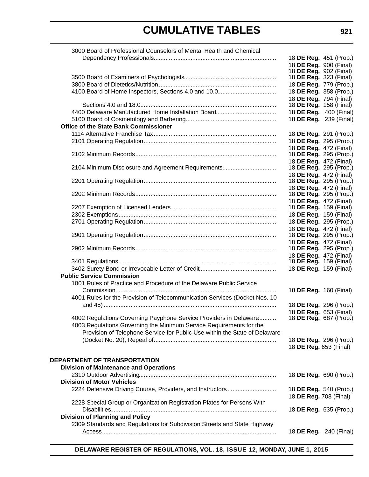| 3000 Board of Professional Counselors of Mental Health and Chemical        |                               |  |
|----------------------------------------------------------------------------|-------------------------------|--|
|                                                                            | 18 DE Reg. 451 (Prop.)        |  |
|                                                                            | 18 DE Reg. 900 (Final)        |  |
|                                                                            | 18 <b>DE Reg.</b> 902 (Final) |  |
|                                                                            | 18 <b>DE Reg.</b> 323 (Final) |  |
|                                                                            | 18 DE Reg. 779 (Prop.)        |  |
|                                                                            | 18 DE Reg. 358 (Prop.)        |  |
|                                                                            | 18 DE Reg. 794 (Final)        |  |
|                                                                            | 18 <b>DE Reg.</b> 158 (Final) |  |
|                                                                            | 18 DE Reg. 400 (Final)        |  |
|                                                                            | 18 DE Reg. 239 (Final)        |  |
| <b>Office of the State Bank Commissioner</b>                               |                               |  |
|                                                                            |                               |  |
|                                                                            | 18 DE Reg. 291 (Prop.)        |  |
|                                                                            | 18 DE Reg. 295 (Prop.)        |  |
|                                                                            | 18 DE Reg. 472 (Final)        |  |
|                                                                            | 18 DE Reg. 295 (Prop.)        |  |
|                                                                            | 18 DE Reg. 472 (Final)        |  |
| 2104 Minimum Disclosure and Agreement Requirements                         | 18 DE Reg. 295 (Prop.)        |  |
|                                                                            | 18 DE Reg. 472 (Final)        |  |
|                                                                            | 18 DE Reg. 295 (Prop.)        |  |
|                                                                            | 18 DE Reg. 472 (Final)        |  |
|                                                                            | 18 DE Reg. 295 (Prop.)        |  |
|                                                                            | 18 DE Reg. 472 (Final)        |  |
|                                                                            | 18 DE Reg. 159 (Final)        |  |
|                                                                            | 18 DE Reg. 159 (Final)        |  |
|                                                                            | 18 DE Reg. 295 (Prop.)        |  |
|                                                                            | 18 DE Reg. 472 (Final)        |  |
|                                                                            | 18 DE Reg. 295 (Prop.)        |  |
|                                                                            | 18 DE Reg. 472 (Final)        |  |
|                                                                            | 18 DE Reg. 295 (Prop.)        |  |
|                                                                            | 18 DE Reg. 472 (Final)        |  |
|                                                                            | 18 <b>DE Reg.</b> 159 (Final) |  |
|                                                                            | 18 DE Reg. 159 (Final)        |  |
| <b>Public Service Commission</b>                                           |                               |  |
| 1001 Rules of Practice and Procedure of the Delaware Public Service        |                               |  |
|                                                                            | 18 DE Reg. 160 (Final)        |  |
| 4001 Rules for the Provision of Telecommunication Services (Docket Nos. 10 |                               |  |
|                                                                            | 18 DE Reg. 296 (Prop.)        |  |
|                                                                            | 18 DE Reg. 653 (Final)        |  |
| 4002 Regulations Governing Payphone Service Providers in Delaware          | 18 DE Reg. 687 (Prop.)        |  |
| 4003 Regulations Governing the Minimum Service Requirements for the        |                               |  |
|                                                                            |                               |  |
| Provision of Telephone Service for Public Use within the State of Delaware |                               |  |
|                                                                            | 18 DE Reg. 296 (Prop.)        |  |
|                                                                            | 18 DE Reg. 653 (Final)        |  |
|                                                                            |                               |  |
| <b>DEPARTMENT OF TRANSPORTATION</b>                                        |                               |  |
| <b>Division of Maintenance and Operations</b>                              |                               |  |
|                                                                            | 18 DE Reg. 690 (Prop.)        |  |
| <b>Division of Motor Vehicles</b>                                          |                               |  |
| 2224 Defensive Driving Course, Providers, and Instructors                  | 18 DE Reg. 540 (Prop.)        |  |
|                                                                            | 18 DE Reg. 708 (Final)        |  |
| 2228 Special Group or Organization Registration Plates for Persons With    |                               |  |
|                                                                            | 18 DE Reg. 635 (Prop.)        |  |
| <b>Division of Planning and Policy</b>                                     |                               |  |
| 2309 Standards and Regulations for Subdivision Streets and State Highway   |                               |  |
|                                                                            | 18 DE Reg. 240 (Final)        |  |
|                                                                            |                               |  |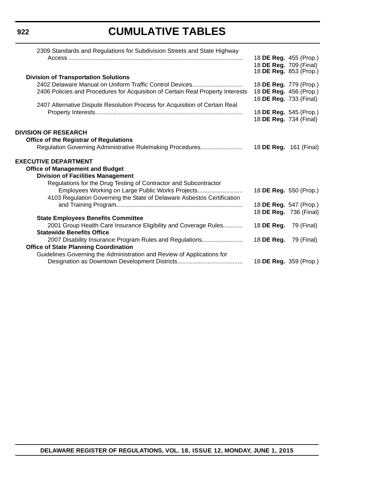# **922**

# **CUMULATIVE TABLES**

| 79 (Final)                                                                                                                                                                                                                                                                                                                                                                                      |
|-------------------------------------------------------------------------------------------------------------------------------------------------------------------------------------------------------------------------------------------------------------------------------------------------------------------------------------------------------------------------------------------------|
|                                                                                                                                                                                                                                                                                                                                                                                                 |
| 79 (Final)                                                                                                                                                                                                                                                                                                                                                                                      |
|                                                                                                                                                                                                                                                                                                                                                                                                 |
|                                                                                                                                                                                                                                                                                                                                                                                                 |
|                                                                                                                                                                                                                                                                                                                                                                                                 |
| 18 DE Reg. 455 (Prop.)<br>18 DE Reg. 709 (Final)<br>18 <b>DE Reg.</b> 853 (Prop.)<br>18 DE Reg. 779 (Prop.)<br>18 DE Reg. 456 (Prop.)<br>18 DE Reg. 733 (Final)<br>18 DE Reg. 545 (Prop.)<br>18 DE Reg. 734 (Final)<br>18 <b>DE Reg.</b> 161 (Final)<br>18 DE Reg. 550 (Prop.)<br>18 DE Reg. 547 (Prop.)<br>18 DE Reg. 736 (Final)<br>18 DE Reg.<br>18 DE Reg.<br>18 <b>DE Reg.</b> 359 (Prop.) |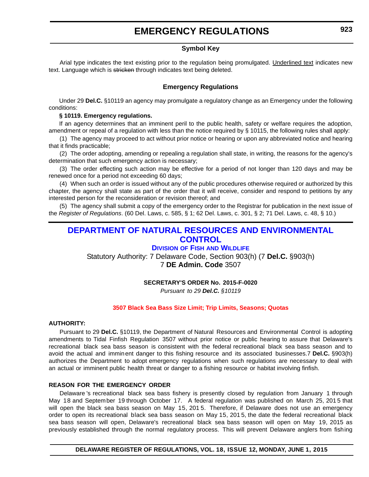# **EMERGENCY REGULATIONS**

### **Symbol Key**

<span id="page-13-0"></span>Arial type indicates the text existing prior to the regulation being promulgated. Underlined text indicates new text. Language which is stricken through indicates text being deleted.

### **Emergency Regulations**

Under 29 **Del.C.** §10119 an agency may promulgate a regulatory change as an Emergency under the following conditions:

#### **§ 10119. Emergency regulations.**

If an agency determines that an imminent peril to the public health, safety or welfare requires the adoption, amendment or repeal of a regulation with less than the notice required by § 10115, the following rules shall apply:

(1) The agency may proceed to act without prior notice or hearing or upon any abbreviated notice and hearing that it finds practicable;

(2) The order adopting, amending or repealing a regulation shall state, in writing, the reasons for the agency's determination that such emergency action is necessary;

(3) The order effecting such action may be effective for a period of not longer than 120 days and may be renewed once for a period not exceeding 60 days;

(4) When such an order is issued without any of the public procedures otherwise required or authorized by this chapter, the agency shall state as part of the order that it will receive, consider and respond to petitions by any interested person for the reconsideration or revision thereof; and

(5) The agency shall submit a copy of the emergency order to the Registrar for publication in the next issue of the *Register of Regulations*. (60 Del. Laws, c. 585, § 1; 62 Del. Laws, c. 301, § 2; 71 Del. Laws, c. 48, § 10.)

# **[DEPARTMENT OF NATURAL RESOURCES AND ENVIRONMENTAL](http://www.delaware.gov/egov/portal.nsf/portal/agencylist_dept)  CONTROL**

### **DIVISION OF FISH [AND WILDLIFE](http://www.dnrec.delaware.gov/fw/Pages/FWPortal.aspx)**

Statutory Authority: 7 Delaware Code, Section 903(h) (7 **Del.C.** §903(h) 7 **DE Admin. Code** 3507

#### **SECRETARY'S ORDER No. 2015-F-0020**

*Pursuant to 29 Del.C. §10119*

#### **[3507 Black Sea Bass Size Limit; Trip Limits, Seasons; Quotas](#page-3-0)**

#### **AUTHORITY:**

Pursuant to 29 **Del.C.** §10119, the Department of Natural Resources and Environmental Control is adopting amendments to Tidal Finfish Regulation 3507 without prior notice or public hearing to assure that Delaware's recreational black sea bass season is consistent with the federal recreational black sea bass season and to avoid the actual and imminent danger to this fishing resource and its associated businesses.7 **Del.C.** §903(h) authorizes the Department to adopt emergency regulations when such regulations are necessary to deal with an actual or imminent public health threat or danger to a fishing resource or habitat involving finfish.

#### **REASON FOR THE EMERGENCY ORDER**

Delaware 's recreational black sea bass fishery is presently closed by regulation from January 1 through May 18 and September 19 through October 17. A federal regulation was published on March 25, 201 5 that will open the black sea bass season on May 15, 201 5. Therefore, if Delaware does not use an emergency order to open its recreational black sea bass season on May 15, 201 5, the date the federal recreational black sea bass season will open, Delaware's recreational black sea bass season will open on May 19, 2015 as previously established through the normal regulatory process. This will prevent Delaware anglers from fishing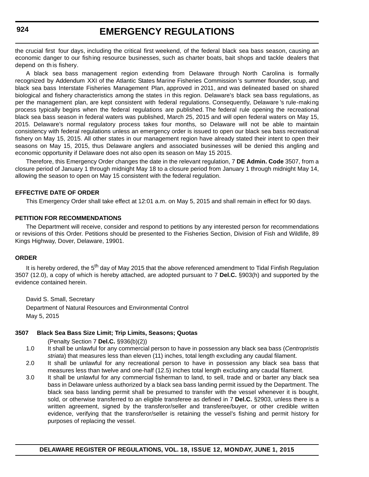# **EMERGENCY REGULATIONS**

the crucial first four days, including the critical first weekend, of the federal black sea bass season, causing an economic danger to our fishing resource businesses, such as charter boats, bait shops and tackle dealers that depend on th is fishery.

A black sea bass management region extending from Delaware through North Carolina is formally recognized by Addendum XXI of the Atlantic States Marine Fisheries Commission 's summer flounder, scup, and black sea bass Interstate Fisheries Management Plan, approved in 2011, and was delineated based on shared biological and fishery characteristics among the states i n this region. Delaware's black sea bass regulations, as per the management plan, are kept consistent with federal regulations. Consequently, Delaware 's rule-making process typically begins when the federal regulations are published. The federal rule opening the recreational black sea bass season in federal waters was published, March 25, 2015 and will open federal waters on May 15, 2015. Delaware's normal regulatory process takes four months, so Delaware will not be able to maintain consistency with federal regulations unless an emergency order is issued to open our black sea bass recreational fishery on May 15, 2015. All other states in our management region have already stated their intent to open their seasons on May 15, 2015, thus Delaware anglers and associated businesses will be denied this angling and economic opportunity if Delaware does not also open its season on May 15 2015.

Therefore, this Emergency Order changes the date in the relevant regulation, 7 **DE Admin. Code** 3507, from a closure period of January 1 through midnight May 18 to a closure period from January 1 through midnight May 14, allowing the season to open on May 15 consistent with the federal regulation.

#### **EFFECTIVE DATE OF ORDER**

This Emergency Order shall take effect at 12:01 a.m. on May 5, 2015 and shall remain in effect for 90 days.

#### **PETITION FOR RECOMMENDATIONS**

The Department will receive, consider and respond to petitions by any interested person for recommendations or revisions of this Order. Petitions should be presented to the Fisheries Section, Division of Fish and Wildlife, 89 Kings Highway, Dover, Delaware, 19901.

#### **ORDER**

It is hereby ordered, the 5<sup>th</sup> day of May 2015 that the above referenced amendment to Tidal Finfish Regulation 3507 (12.0), a copy of which is hereby attached, are adopted pursuant to 7 **Del.C.** §903(h) and supported by the evidence contained herein.

David S. Small, Secretary Department of Natural Resources and Environmental Control May 5, 2015

#### **3507 Black Sea Bass Size Limit; Trip Limits, Seasons; Quotas**

(Penalty Section 7 **Del.C.** §936(b)(2))

- 1.0 It shall be unlawful for any commercial person to have in possession any black sea bass (*Centropristis striata*) that measures less than eleven (11) inches, total length excluding any caudal filament.
- 2.0 It shall be unlawful for any recreational person to have in possession any black sea bass that measures less than twelve and one-half (12.5) inches total length excluding any caudal filament.
- 3.0 It shall be unlawful for any commercial fisherman to land, to sell, trade and or barter any black sea bass in Delaware unless authorized by a black sea bass landing permit issued by the Department. The black sea bass landing permit shall be presumed to transfer with the vessel whenever it is bought, sold, or otherwise transferred to an eligible transferee as defined in 7 **Del.C.** §2903, unless there is a written agreement, signed by the transferor/seller and transferee/buyer, or other credible written evidence, verifying that the transferor/seller is retaining the vessel's fishing and permit history for purposes of replacing the vessel.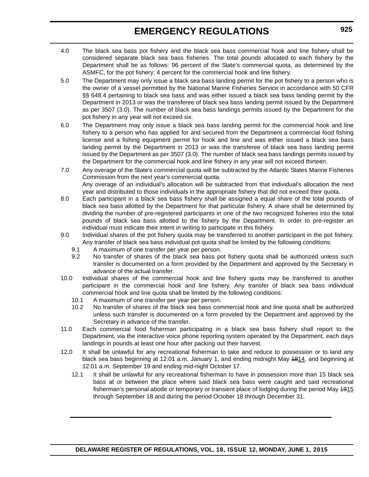# **EMERGENCY REGULATIONS**

- 4.0 The black sea bass pot fishery and the black sea bass commercial hook and line fishery shall be considered separate black sea bass fisheries. The total pounds allocated to each fishery by the Department shall be as follows: 96 percent of the State's commercial quota, as determined by the ASMFC, for the pot fishery; 4 percent for the commercial hook and line fishery.
- 5.0 The Department may only issue a black sea bass landing permit for the pot fishery to a person who is the owner of a vessel permitted by the National Marine Fisheries Service in accordance with 50 CFR §§ 648.4 pertaining to black sea bass and was either issued a black sea bass landing permit by the Department in 2013 or was the transferee of black sea bass landing permit issued by the Department as per 3507 (3.0). The number of black sea bass landings permits issued by the Department for the pot fishery in any year will not exceed six.
- 6.0 The Department may only issue a black sea bass landing permit for the commercial hook and line fishery to a person who has applied for and secured from the Department a commercial food fishing license and a fishing equipment permit for hook and line and was either issued a black sea bass landing permit by the Department in 2013 or was the transferee of black sea bass landing permit issued by the Department as per 3507 (3.0). The number of black sea bass landings permits issued by the Department for the commercial hook and line fishery in any year will not exceed thirteen.
- 7.0 Any overage of the State's commercial quota will be subtracted by the Atlantic States Marine Fisheries Commission from the next year's commercial quota. Any overage of an individual's allocation will be subtracted from that individual's allocation the next year and distributed to those individuals in the appropriate fishery that did not exceed their quota.
- 8.0 Each participant in a black sea bass fishery shall be assigned a equal share of the total pounds of black sea bass allotted by the Department for that particular fishery. A share shall be determined by dividing the number of pre-registered participants in one of the two recognized fisheries into the total pounds of black sea bass allotted to the fishery by the Department. In order to pre-register an individual must indicate their intent in writing to participate in this fishery.
- 9.0 Individual shares of the pot fishery quota may be transferred to another participant in the pot fishery. Any transfer of black sea bass individual pot quota shall be limited by the following conditions:
	- 9.1 A maximum of one transfer per year per person.
	- 9.2 No transfer of shares of the black sea bass pot fishery quota shall be authorized unless such transfer is documented on a form provided by the Department and approved by the Secretary in advance of the actual transfer.
- 10.0 Individual shares of the commercial hook and line fishery quota may be transferred to another participant in the commercial hook and line fishery. Any transfer of black sea bass individual commercial hook and line quota shall be limited by the following conditions:
	- 10.1 A maximum of one transfer per year per person.
	- 10.2 No transfer of shares of the black sea bass commercial hook and line quota shall be authorized unless such transfer is documented on a form provided by the Department and approved by the Secretary in advance of the transfer.
- 11.0 Each commercial food fisherman participating in a black sea bass fishery shall report to the Department, via the interactive voice phone reporting system operated by the Department, each days landings in pounds at least one hour after packing out their harvest.
- 12.0 It shall be unlawful for any recreational fisherman to take and reduce to possession or to land any black sea bass beginning at 12:01 a.m. January 1, and ending midnight May 1814, and beginning at 12:01 a.m. September 19 and ending mid-night October 17.
	- 12.1 It shall be unlawful for any recreational fisherman to have in possession more than 15 black sea bass at or between the place where said black sea bass were caught and said recreational fisherman's personal abode or temporary or transient place of lodging during the period May 1915 through September 18 and during the period October 18 through December 31.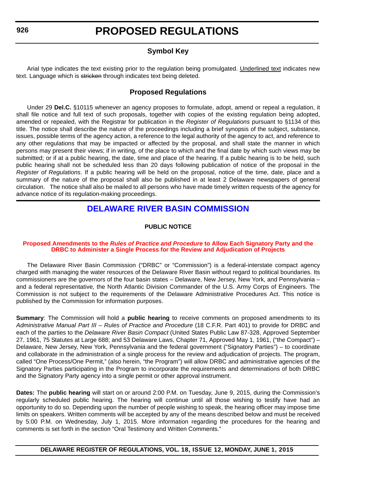# **Symbol Key**

<span id="page-16-0"></span>Arial type indicates the text existing prior to the regulation being promulgated. Underlined text indicates new text. Language which is stricken through indicates text being deleted.

# **Proposed Regulations**

Under 29 **Del.C.** §10115 whenever an agency proposes to formulate, adopt, amend or repeal a regulation, it shall file notice and full text of such proposals, together with copies of the existing regulation being adopted, amended or repealed, with the Registrar for publication in the *Register of Regulations* pursuant to §1134 of this title. The notice shall describe the nature of the proceedings including a brief synopsis of the subject, substance, issues, possible terms of the agency action, a reference to the legal authority of the agency to act, and reference to any other regulations that may be impacted or affected by the proposal, and shall state the manner in which persons may present their views; if in writing, of the place to which and the final date by which such views may be submitted; or if at a public hearing, the date, time and place of the hearing. If a public hearing is to be held, such public hearing shall not be scheduled less than 20 days following publication of notice of the proposal in the *Register of Regulations*. If a public hearing will be held on the proposal, notice of the time, date, place and a summary of the nature of the proposal shall also be published in at least 2 Delaware newspapers of general circulation. The notice shall also be mailed to all persons who have made timely written requests of the agency for advance notice of its regulation-making proceedings.

# **[DELAWARE RIVER BASIN COMMISSION](http://www.state.nj.us/drbc/)**

### **PUBLIC NOTICE**

#### **Proposed Amendments to the** *Rules of Practice and Procedure* **to Allow Each Signatory Party and the [DRBC to Administer a Single Process for the Review and Adjudication of Projects](#page-3-0)**

The Delaware River Basin Commission ("DRBC" or "Commission") is a federal-interstate compact agency charged with managing the water resources of the Delaware River Basin without regard to political boundaries. Its commissioners are the governors of the four basin states – Delaware, New Jersey, New York, and Pennsylvania – and a federal representative, the North Atlantic Division Commander of the U.S. Army Corps of Engineers. The Commission is not subject to the requirements of the Delaware Administrative Procedures Act. This notice is published by the Commission for information purposes.

**Summary**: The Commission will hold a **public hearing** to receive comments on proposed amendments to its *Administrative Manual Part III – Rules of Practice and Procedure* (18 C.F.R. Part 401) to provide for DRBC and each of the parties to the *Delaware River Basin Compact* (United States Public Law 87-328, Approved September 27, 1961, 75 Statutes at Large 688; and 53 Delaware Laws, Chapter 71, Approved May 1, 1961, ("the Compact") – Delaware, New Jersey, New York, Pennsylvania and the federal government ("Signatory Parties") – to coordinate and collaborate in the administration of a single process for the review and adjudication of projects. The program, called "One Process/One Permit," (also herein, "the Program") will allow DRBC and administrative agencies of the Signatory Parties participating in the Program to incorporate the requirements and determinations of both DRBC and the Signatory Party agency into a single permit or other approval instrument.

**Dates:** The **public hearing** will start on or around 2:00 P.M. on Tuesday, June 9, 2015, during the Commission's regularly scheduled public hearing. The hearing will continue until all those wishing to testify have had an opportunity to do so. Depending upon the number of people wishing to speak, the hearing officer may impose time limits on speakers. Written comments will be accepted by any of the means described below and must be received by 5:00 P.M. on Wednesday, July 1, 2015. More information regarding the procedures for the hearing and comments is set forth in the section "Oral Testimony and Written Comments."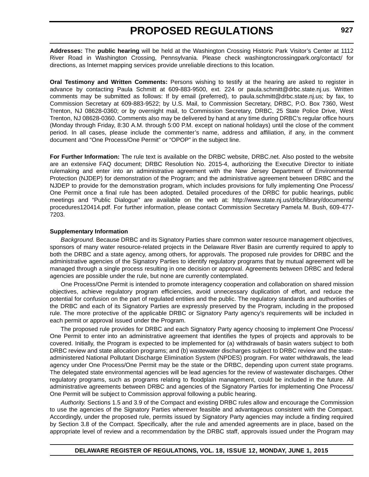**Addresses:** The **public hearing** will be held at the Washington Crossing Historic Park Visitor's Center at 1112 River Road in Washington Crossing, Pennsylvania. Please check washingtoncrossingpark.org/contact/ for directions, as Internet mapping services provide unreliable directions to this location.

**Oral Testimony and Written Comments:** Persons wishing to testify at the hearing are asked to register in advance by contacting Paula Schmitt at 609-883-9500, ext. 224 or paula.schmitt@drbc.state.nj.us. Written comments may be submitted as follows: If by email (preferred), to [paula.schmitt@drbc.state.nj.us](mailto:paula.schmitt@drbc.state.nj.us); by fax, to Commission Secretary at 609-883-9522; by U.S. Mail, to Commission Secretary, DRBC, P.O. Box 7360, West Trenton, NJ 08628-0360; or by overnight mail, to Commission Secretary, DRBC, 25 State Police Drive, West Trenton, NJ 08628-0360. Comments also may be delivered by hand at any time during DRBC's regular office hours (Monday through Friday, 8:30 A.M. through 5:00 P.M. except on national holidays) until the close of the comment period. In all cases, please include the commenter's name, address and affiliation, if any, in the comment document and "One Process/One Permit" or "OPOP" in the subject line.

**For Further Information:** The rule text is available on the DRBC website, DRBC.net. Also posted to the website are an extensive FAQ document; DRBC Resolution No. 2015-4, authorizing the Executive Director to initiate rulemaking and enter into an administrative agreement with the New Jersey Department of Environmental Protection (NJDEP) for demonstration of the Program; and the administrative agreement between DRBC and the NJDEP to provide for the demonstration program, which includes provisions for fully implementing One Process/ One Permit once a final rule has been adopted. Detailed procedures of the DRBC for public hearings, public meetings and "Public Dialogue" are available on the web at: http://www.state.nj.us/drbc/library/documents/ procedures120414.pdf. For further information, please contact Commission Secretary Pamela M. Bush, 609-477- 7203.

#### **Supplementary Information**

*Background.* Because DRBC and its Signatory Parties share common water resource management objectives, sponsors of many water resource-related projects in the Delaware River Basin are currently required to apply to both the DRBC and a state agency, among others, for approvals. The proposed rule provides for DRBC and the administrative agencies of the Signatory Parties to identify regulatory programs that by mutual agreement will be managed through a single process resulting in one decision or approval. Agreements between DRBC and federal agencies are possible under the rule, but none are currently contemplated.

One Process/One Permit is intended to promote interagency cooperation and collaboration on shared mission objectives, achieve regulatory program efficiencies, avoid unnecessary duplication of effort, and reduce the potential for confusion on the part of regulated entities and the public. The regulatory standards and authorities of the DRBC and each of its Signatory Parties are expressly preserved by the Program, including in the proposed rule. The more protective of the applicable DRBC or Signatory Party agency's requirements will be included in each permit or approval issued under the Program.

The proposed rule provides for DRBC and each Signatory Party agency choosing to implement One Process/ One Permit to enter into an administrative agreement that identifies the types of projects and approvals to be covered. Initially, the Program is expected to be implemented for (a) withdrawals of basin waters subject to both DRBC review and state allocation programs; and (b) wastewater discharges subject to DRBC review and the stateadministered National Pollutant Discharge Elimination System (NPDES) program. For water withdrawals, the lead agency under One Process/One Permit may be the state or the DRBC, depending upon current state programs. The delegated state environmental agencies will be lead agencies for the review of wastewater discharges. Other regulatory programs, such as programs relating to floodplain management, could be included in the future. All administrative agreements between DRBC and agencies of the Signatory Parties for implementing One Process/ One Permit will be subject to Commission approval following a public hearing.

*Authority.* Sections 1.5 and 3.9 of the Compact and existing DRBC rules allow and encourage the Commission to use the agencies of the Signatory Parties wherever feasible and advantageous consistent with the Compact. Accordingly, under the proposed rule, permits issued by Signatory Party agencies may include a finding required by Section 3.8 of the Compact. Specifically, after the rule and amended agreements are in place, based on the appropriate level of review and a recommendation by the DRBC staff, approvals issued under the Program may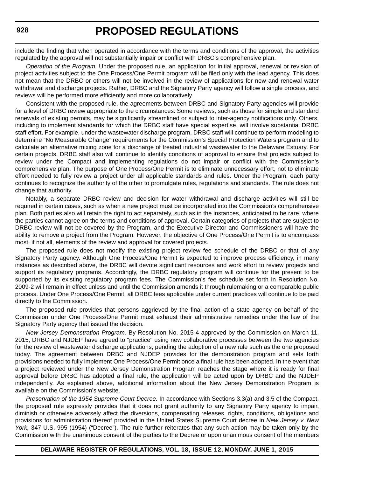include the finding that when operated in accordance with the terms and conditions of the approval, the activities regulated by the approval will not substantially impair or conflict with DRBC's comprehensive plan.

*Operation of the Program.* Under the proposed rule, an application for initial approval, renewal or revision of project activities subject to the One Process/One Permit program will be filed only with the lead agency. This does not mean that the DRBC or others will not be involved in the review of applications for new and renewal water withdrawal and discharge projects. Rather, DRBC and the Signatory Party agency will follow a single process, and reviews will be performed more efficiently and more collaboratively.

Consistent with the proposed rule, the agreements between DRBC and Signatory Party agencies will provide for a level of DRBC review appropriate to the circumstances. Some reviews, such as those for simple and standard renewals of existing permits, may be significantly streamlined or subject to inter-agency notifications only. Others, including to implement standards for which the DRBC staff have special expertise, will involve substantial DRBC staff effort. For example, under the wastewater discharge program, DRBC staff will continue to perform modeling to determine "No Measurable Change" requirements for the Commission's Special Protection Waters program and to calculate an alternative mixing zone for a discharge of treated industrial wastewater to the Delaware Estuary. For certain projects, DRBC staff also will continue to identify conditions of approval to ensure that projects subject to review under the Compact and implementing regulations do not impair or conflict with the Commission's comprehensive plan. The purpose of One Process/One Permit is to eliminate unnecessary effort, not to eliminate effort needed to fully review a project under all applicable standards and rules. Under the Program, each party continues to recognize the authority of the other to promulgate rules, regulations and standards. The rule does not change that authority.

Notably, a separate DRBC review and decision for water withdrawal and discharge activities will still be required in certain cases, such as when a new project must be incorporated into the Commission's comprehensive plan. Both parties also will retain the right to act separately, such as in the instances, anticipated to be rare, where the parties cannot agree on the terms and conditions of approval. Certain categories of projects that are subject to DRBC review will not be covered by the Program, and the Executive Director and Commissioners will have the ability to remove a project from the Program. However, the objective of One Process/One Permit is to encompass most, if not all, elements of the review and approval for covered projects.

The proposed rule does not modify the existing project review fee schedule of the DRBC or that of any Signatory Party agency. Although One Process/One Permit is expected to improve process efficiency, in many instances as described above, the DRBC will devote significant resources and work effort to review projects and support its regulatory programs. Accordingly, the DRBC regulatory program will continue for the present to be supported by its existing regulatory program fees. The Commission's fee schedule set forth in Resolution No. 2009-2 will remain in effect unless and until the Commission amends it through rulemaking or a comparable public process. Under One Process/One Permit, all DRBC fees applicable under current practices will continue to be paid directly to the Commission.

The proposed rule provides that persons aggrieved by the final action of a state agency on behalf of the Commission under One Process/One Permit must exhaust their administrative remedies under the law of the Signatory Party agency that issued the decision.

*New Jersey Demonstration Program.* By Resolution No. 2015-4 approved by the Commission on March 11, 2015, DRBC and NJDEP have agreed to "practice" using new collaborative processes between the two agencies for the review of wastewater discharge applications, pending the adoption of a new rule such as the one proposed today. The agreement between DRBC and NJDEP provides for the demonstration program and sets forth provisions needed to fully implement One Process/One Permit once a final rule has been adopted. In the event that a project reviewed under the New Jersey Demonstration Program reaches the stage where it is ready for final approval before DRBC has adopted a final rule, the application will be acted upon by DRBC and the NJDEP independently. As explained above, additional information about the New Jersey Demonstration Program is available on the Commission's website.

*Preservation of the 1954 Supreme Court Decree.* In accordance with Sections 3.3(a) and 3.5 of the Compact, the proposed rule expressly provides that it does not grant authority to any Signatory Party agency to impair, diminish or otherwise adversely affect the diversions, compensating releases, rights, conditions, obligations and provisions for administration thereof provided in the United States Supreme Court decree in *New Jersey v. New York,* 347 U.S. 995 (1954) ("Decree"). The rule further reiterates that any such action may be taken only by the Commission with the unanimous consent of the parties to the Decree or upon unanimous consent of the members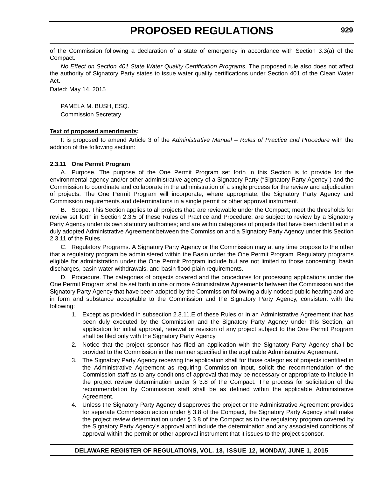of the Commission following a declaration of a state of emergency in accordance with Section 3.3(a) of the Compact.

*No Effect on Section 401 State Water Quality Certification Programs.* The proposed rule also does not affect the authority of Signatory Party states to issue water quality certifications under Section 401 of the Clean Water Act.

Dated: May 14, 2015

PAMELA M. BUSH, ESQ. Commission Secretary

#### **Text of proposed amendments:**

It is proposed to amend Article 3 of the *Administrative Manual – Rules of Practice and Procedure* with the addition of the following section:

#### **2.3.11 One Permit Program**

A. Purpose. The purpose of the One Permit Program set forth in this Section is to provide for the environmental agency and/or other administrative agency of a Signatory Party ("Signatory Party Agency") and the Commission to coordinate and collaborate in the administration of a single process for the review and adjudication of projects. The One Permit Program will incorporate, where appropriate, the Signatory Party Agency and Commission requirements and determinations in a single permit or other approval instrument.

B. Scope. This Section applies to all projects that: are reviewable under the Compact; meet the thresholds for review set forth in Section 2.3.5 of these Rules of Practice and Procedure; are subject to review by a Signatory Party Agency under its own statutory authorities; and are within categories of projects that have been identified in a duly adopted Administrative Agreement between the Commission and a Signatory Party Agency under this Section 2.3.11 of the Rules.

C. Regulatory Programs. A Signatory Party Agency or the Commission may at any time propose to the other that a regulatory program be administered within the Basin under the One Permit Program. Regulatory programs eligible for administration under the One Permit Program include but are not limited to those concerning: basin discharges, basin water withdrawals, and basin flood plain requirements.

D. Procedure. The categories of projects covered and the procedures for processing applications under the One Permit Program shall be set forth in one or more Administrative Agreements between the Commission and the Signatory Party Agency that have been adopted by the Commission following a duly noticed public hearing and are in form and substance acceptable to the Commission and the Signatory Party Agency, consistent with the following:

- 1. Except as provided in subsection 2.3.11.E of these Rules or in an Administrative Agreement that has been duly executed by the Commission and the Signatory Party Agency under this Section, an application for initial approval, renewal or revision of any project subject to the One Permit Program shall be filed only with the Signatory Party Agency.
- 2. Notice that the project sponsor has filed an application with the Signatory Party Agency shall be provided to the Commission in the manner specified in the applicable Administrative Agreement.
- 3. The Signatory Party Agency receiving the application shall for those categories of projects identified in the Administrative Agreement as requiring Commission input, solicit the recommendation of the Commission staff as to any conditions of approval that may be necessary or appropriate to include in the project review determination under § 3.8 of the Compact. The process for solicitation of the recommendation by Commission staff shall be as defined within the applicable Administrative Agreement.
- 4. Unless the Signatory Party Agency disapproves the project or the Administrative Agreement provides for separate Commission action under § 3.8 of the Compact, the Signatory Party Agency shall make the project review determination under § 3.8 of the Compact as to the regulatory program covered by the Signatory Party Agency's approval and include the determination and any associated conditions of approval within the permit or other approval instrument that it issues to the project sponsor.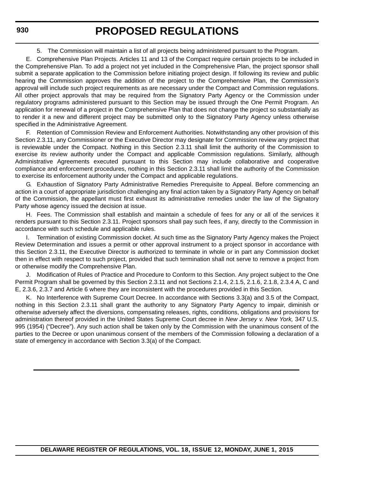5. The Commission will maintain a list of all projects being administered pursuant to the Program.

E. Comprehensive Plan Projects. Articles 11 and 13 of the Compact require certain projects to be included in the Comprehensive Plan. To add a project not yet included in the Comprehensive Plan, the project sponsor shall submit a separate application to the Commission before initiating project design. If following its review and public hearing the Commission approves the addition of the project to the Comprehensive Plan, the Commission's approval will include such project requirements as are necessary under the Compact and Commission regulations. All other project approvals that may be required from the Signatory Party Agency or the Commission under regulatory programs administered pursuant to this Section may be issued through the One Permit Program. An application for renewal of a project in the Comprehensive Plan that does not change the project so substantially as to render it a new and different project may be submitted only to the Signatory Party Agency unless otherwise specified in the Administrative Agreement.

F. Retention of Commission Review and Enforcement Authorities. Notwithstanding any other provision of this Section 2.3.11, any Commissioner or the Executive Director may designate for Commission review any project that is reviewable under the Compact. Nothing in this Section 2.3.11 shall limit the authority of the Commission to exercise its review authority under the Compact and applicable Commission regulations. Similarly, although Administrative Agreements executed pursuant to this Section may include collaborative and cooperative compliance and enforcement procedures, nothing in this Section 2.3.11 shall limit the authority of the Commission to exercise its enforcement authority under the Compact and applicable regulations.

G. Exhaustion of Signatory Party Administrative Remedies Prerequisite to Appeal. Before commencing an action in a court of appropriate jurisdiction challenging any final action taken by a Signatory Party Agency on behalf of the Commission, the appellant must first exhaust its administrative remedies under the law of the Signatory Party whose agency issued the decision at issue.

H. Fees. The Commission shall establish and maintain a schedule of fees for any or all of the services it renders pursuant to this Section 2.3.11. Project sponsors shall pay such fees, if any, directly to the Commission in accordance with such schedule and applicable rules.

I. Termination of existing Commission docket. At such time as the Signatory Party Agency makes the Project Review Determination and issues a permit or other approval instrument to a project sponsor in accordance with this Section 2.3.11, the Executive Director is authorized to terminate in whole or in part any Commission docket then in effect with respect to such project, provided that such termination shall not serve to remove a project from or otherwise modify the Comprehensive Plan.

J. Modification of Rules of Practice and Procedure to Conform to this Section. Any project subject to the One Permit Program shall be governed by this Section 2.3.11 and not Sections 2.1.4, 2.1.5, 2.1.6, 2.1.8, 2.3.4 A, C and E, 2.3.6, 2.3.7 and Article 6 where they are inconsistent with the procedures provided in this Section.

K. No Interference with Supreme Court Decree. In accordance with Sections 3.3(a) and 3.5 of the Compact, nothing in this Section 2.3.11 shall grant the authority to any Signatory Party Agency to impair, diminish or otherwise adversely affect the diversions, compensating releases, rights, conditions, obligations and provisions for administration thereof provided in the United States Supreme Court decree in *New Jersey v. New York,* 347 U.S. 995 (1954) ("Decree"). Any such action shall be taken only by the Commission with the unanimous consent of the parties to the Decree or upon unanimous consent of the members of the Commission following a declaration of a state of emergency in accordance with Section 3.3(a) of the Compact.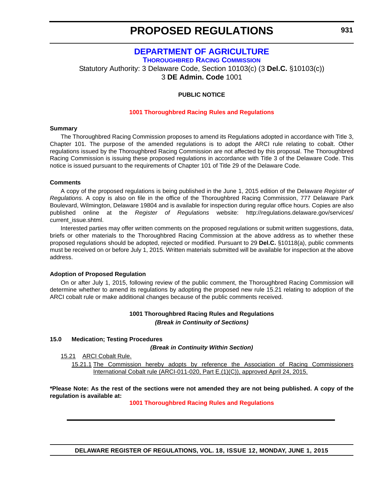# **[DEPARTMENT OF AGRICULTURE](http://dda.delaware.gov/index.shtml) [THOROUGHBRED RACING COMMISSION](http://dda.delaware.gov/thoroughbred/)**

<span id="page-21-0"></span>Statutory Authority: 3 Delaware Code, Section 10103(c) (3 **Del.C.** §10103(c)) 3 **DE Admin. Code** 1001

#### **PUBLIC NOTICE**

#### **[1001 Thoroughbred Racing](#page-3-0) Rules and Regulations**

#### **Summary**

The Thoroughbred Racing Commission proposes to amend its Regulations adopted in accordance with Title 3, Chapter 101. The purpose of the amended regulations is to adopt the ARCI rule relating to cobalt. Other regulations issued by the Thoroughbred Racing Commission are not affected by this proposal. The Thoroughbred Racing Commission is issuing these proposed regulations in accordance with Title 3 of the Delaware Code. This notice is issued pursuant to the requirements of Chapter 101 of Title 29 of the Delaware Code.

#### **Comments**

A copy of the proposed regulations is being published in the June 1, 2015 edition of the Delaware *Register of Regulations*. A copy is also on file in the office of the Thoroughbred Racing Commission, 777 Delaware Park Boulevard, Wilmington, Delaware 19804 and is available for inspection during regular office hours. Copies are also published online at the *Register of Regulations* website: http://regulations.delaware.gov/services/ current\_issue.shtml.

Interested parties may offer written comments on the proposed regulations or submit written suggestions, data, briefs or other materials to the Thoroughbred Racing Commission at the above address as to whether these proposed regulations should be adopted, rejected or modified. Pursuant to 29 **Del.C.** §10118(a), public comments must be received on or before July 1, 2015. Written materials submitted will be available for inspection at the above address.

#### **Adoption of Proposed Regulation**

On or after July 1, 2015, following review of the public comment, the Thoroughbred Racing Commission will determine whether to amend its regulations by adopting the proposed new rule 15.21 relating to adoption of the ARCI cobalt rule or make additional changes because of the public comments received.

#### **1001 Thoroughbred Racing Rules and Regulations** *(Break in Continuity of Sections)*

#### **15.0 Medication; Testing Procedures**

*(Break in Continuity Within Section)*

15.21 ARCI Cobalt Rule.

15.21.1 The Commission hereby adopts by reference the Association of Racing Commissioners International Cobalt rule (ARCI-011-020, Part E.(1)(C)), approved April 24, 2015.

**\*Please Note: As the rest of the sections were not amended they are not being published. A copy of the regulation is available at:**

**[1001 Thoroughbred Racing Rules and Regulations](http://regulations.delaware.gov/register/june2015/proposed/18 DE Reg 931 06-01-15.htm)**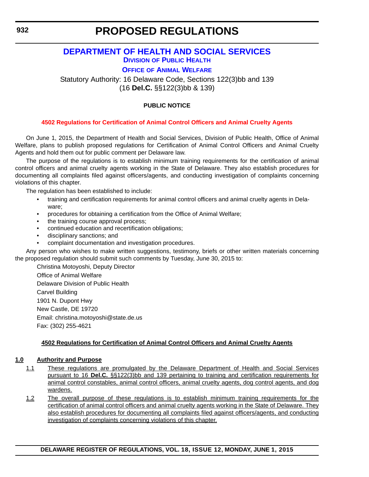# <span id="page-22-0"></span>**[DEPARTMENT OF HEALTH AND SOCIAL SERVICES](http://www.dhss.delaware.gov/dhss/index.html)**

**DIVISION [OF PUBLIC HEALTH](http://www.dhss.delaware.gov/dhss/dph/index.html)**

**OFFICE [OF ANIMAL WELFARE](http://www.dhss.delaware.gov/dhss/dph/oaw/oawhome.html)**

Statutory Authority: 16 Delaware Code, Sections 122(3)bb and 139 (16 **Del.C.** §§122(3)bb & 139)

### **PUBLIC NOTICE**

#### **[4502 Regulations for Certification of Animal Control Officers and Animal Cruelty Agents](#page-3-0)**

On June 1, 2015, the Department of Health and Social Services, Division of Public Health, Office of Animal Welfare, plans to publish proposed regulations for Certification of Animal Control Officers and Animal Cruelty Agents and hold them out for public comment per Delaware law.

The purpose of the regulations is to establish minimum training requirements for the certification of animal control officers and animal cruelty agents working in the State of Delaware. They also establish procedures for documenting all complaints filed against officers/agents, and conducting investigation of complaints concerning violations of this chapter.

The regulation has been established to include:

- training and certification requirements for animal control officers and animal cruelty agents in Delaware;
- procedures for obtaining a certification from the Office of Animal Welfare;
- the training course approval process;
- continued education and recertification obligations;
- disciplinary sanctions; and
- complaint documentation and investigation procedures.

Any person who wishes to make written suggestions, testimony, briefs or other written materials concerning the proposed regulation should submit such comments by Tuesday, June 30, 2015 to:

Christina Motoyoshi, Deputy Director Office of Animal Welfare Delaware Division of Public Health Carvel Building 1901 N. Dupont Hwy New Castle, DE 19720 Email: christina.motoyoshi@state.de.us Fax: (302) 255-4621

#### **4502 Regulations for Certification of Animal Control Officers and Animal Cruelty Agents**

#### **1.0 Authority and Purpose**

- 1.1 These regulations are promulgated by the Delaware Department of Health and Social Services pursuant to 16 **Del.C.** §§122(3)bb and 139 pertaining to training and certification requirements for animal control constables, animal control officers, animal cruelty agents, dog control agents, and dog wardens.
- 1.2 The overall purpose of these regulations is to establish minimum training requirements for the certification of animal control officers and animal cruelty agents working in the State of Delaware. They also establish procedures for documenting all complaints filed against officers/agents, and conducting investigation of complaints concerning violations of this chapter.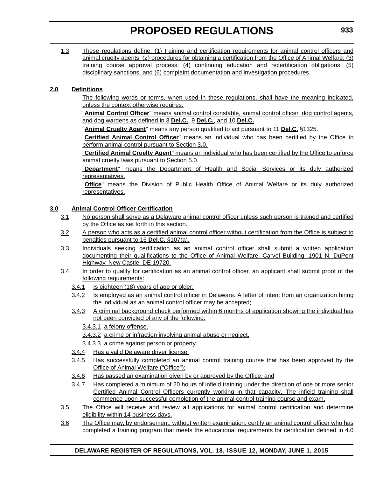1.3 These regulations define: (1) training and certification requirements for animal control officers and animal cruelty agents; (2) procedures for obtaining a certification from the Office of Animal Welfare; (3) training course approval process; (4) continuing education and recertification obligations; (5) disciplinary sanctions, and (6) complaint documentation and investigation procedures.

### **2.0 Definitions**

The following words or terms, when used in these regulations, shall have the meaning indicated, unless the context otherwise requires:

"**Animal Control Officer**" means animal control constable, animal control officer, dog control agents, and dog wardens as defined in 3 **Del.C.**, 9 **Del.C.**, and 10 **Del.C.**

"**Animal Cruelty Agent**" means any person qualified to act pursuant to 11 **Del.C.** §1325.

"**Certified Animal Control Officer**" means an individual who has been certified by the Office to perform animal control pursuant to Section 3.0.

"**Certified Animal Cruelty Agent**" means an individual who has been certified by the Office to enforce animal cruelty laws pursuant to Section 5.0.

"**Department**" means the Department of Health and Social Services or its duly authorized representatives.

"**Office**" means the Division of Public Health Office of Animal Welfare or its duly authorized representatives.

### **3.0 Animal Control Officer Certification**

- 3.1 No person shall serve as a Delaware animal control officer unless such person is trained and certified by the Office as set forth in this section.
- 3.2 A person who acts as a certified animal control officer without certification from the Office is subject to penalties pursuant to 16 **Del.C.** §107(a).
- 3.3 Individuals seeking certification as an animal control officer shall submit a written application documenting their qualifications to the Office of Animal Welfare, Carvel Building, 1901 N. DuPont Highway, New Castle, DE 19720.
- 3.4 In order to qualify for certification as an animal control officer, an applicant shall submit proof of the following requirements:
	- 3.4.1 Is eighteen (18) years of age or older;
	- 3.4.2 Is employed as an animal control officer in Delaware. A letter of intent from an organization hiring the individual as an animal control officer may be accepted;
	- 3.4.3 A criminal background check performed within 6 months of application showing the individual has not been convicted of any of the following:
		- 3.4.3.1 a felony offense.
		- 3.4.3.2 a crime or infraction involving animal abuse or neglect.
		- 3.4.3.3 a crime against person or property.
	- 3.4.4 Has a valid Delaware driver license;
	- 3.4.5 Has successfully completed an animal control training course that has been approved by the Office of Animal Welfare ("Office");
	- 3.4.6 Has passed an examination given by or approved by the Office; and
	- 3.4.7 Has completed a minimum of 20 hours of infield training under the direction of one or more senior Certified Animal Control Officers currently working in that capacity. The infield training shall commence upon successful completion of the animal control training course and exam.
- 3.5 The Office will receive and review all applications for animal control certification and determine eligibility within 14 business days.
- 3.6 The Office may, by endorsement, without written examination, certify an animal control officer who has completed a training program that meets the educational requirements for certification defined in 4.0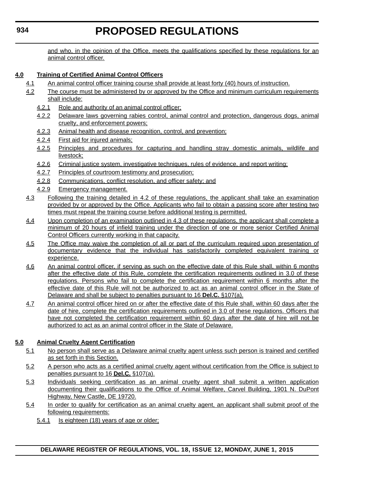and who, in the opinion of the Office, meets the qualifications specified by these regulations for an animal control officer.

### **4.0 Training of Certified Animal Control Officers**

- 4.1 An animal control officer training course shall provide at least forty (40) hours of instruction.
- 4.2 The course must be administered by or approved by the Office and minimum curriculum requirements shall include:
	- 4.2.1 Role and authority of an animal control officer;
	- 4.2.2 Delaware laws governing rabies control, animal control and protection, dangerous dogs, animal cruelty, and enforcement powers;
	- 4.2.3 Animal health and disease recognition, control, and prevention;
	- 4.2.4 First aid for injured animals;
	- 4.2.5 Principles and procedures for capturing and handling stray domestic animals, wildlife and livestock;
	- 4.2.6 Criminal justice system, investigative techniques, rules of evidence, and report writing;
	- 4.2.7 Principles of courtroom testimony and prosecution;
	- 4.2.8 Communications, conflict resolution, and officer safety; and
	- 4.2.9 Emergency management.
- 4.3 Following the training detailed in 4.2 of these regulations, the applicant shall take an examination provided by or approved by the Office. Applicants who fail to obtain a passing score after testing two times must repeat the training course before additional testing is permitted.
- 4.4 Upon completion of an examination outlined in 4.3 of these regulations, the applicant shall complete a minimum of 20 hours of infield training under the direction of one or more senior Certified Animal Control Officers currently working in that capacity.
- 4.5 The Office may waive the completion of all or part of the curriculum required upon presentation of documentary evidence that the individual has satisfactorily completed equivalent training or experience.
- 4.6 An animal control officer, if serving as such on the effective date of this Rule shall, within 6 months after the effective date of this Rule, complete the certification requirements outlined in 3.0 of these regulations. Persons who fail to complete the certification requirement within 6 months after the effective date of this Rule will not be authorized to act as an animal control officer in the State of Delaware and shall be subject to penalties pursuant to 16 **Del.C.** §107(a).
- 4.7 An animal control officer hired on or after the effective date of this Rule shall, within 60 days after the date of hire, complete the certification requirements outlined in 3.0 of these regulations. Officers that have not completed the certification requirement within 60 days after the date of hire will not be authorized to act as an animal control officer in the State of Delaware.

### **5.0 Animal Cruelty Agent Certification**

- 5.1 No person shall serve as a Delaware animal cruelty agent unless such person is trained and certified as set forth in this Section.
- 5.2 A person who acts as a certified animal cruelty agent without certification from the Office is subject to penalties pursuant to 16 **Del.C.** §107(a).
- 5.3 Individuals seeking certification as an animal cruelty agent shall submit a written application documenting their qualifications to the Office of Animal Welfare, Carvel Building, 1901 N. DuPont Highway, New Castle, DE 19720.
- 5.4 In order to qualify for certification as an animal cruelty agent, an applicant shall submit proof of the following requirements:
	- 5.4.1 Is eighteen (18) years of age or older;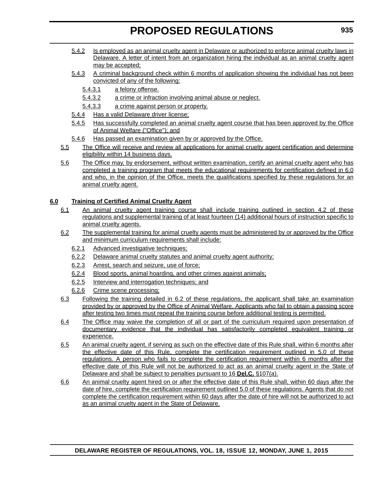- 5.4.2 Is employed as an animal cruelty agent in Delaware or authorized to enforce animal cruelty laws in Delaware. A letter of intent from an organization hiring the individual as an animal cruelty agent may be accepted;
- 5.4.3 A criminal background check within 6 months of application showing the individual has not been convicted of any of the following:
	- 5.4.3.1 a felony offense.
	- 5.4.3.2 a crime or infraction involving animal abuse or neglect.
	- 5.4.3.3 a crime against person or property.
- 5.4.4 Has a valid Delaware driver license;
- 5.4.5 Has successfully completed an animal cruelty agent course that has been approved by the Office of Animal Welfare ("Office"); and
- 5.4.6 Has passed an examination given by or approved by the Office.
- 5.5 The Office will receive and review all applications for animal cruelty agent certification and determine eligibility within 14 business days.
- 5.6 The Office may, by endorsement, without written examination, certify an animal cruelty agent who has completed a training program that meets the educational requirements for certification defined in 6.0 and who, in the opinion of the Office, meets the qualifications specified by these regulations for an animal cruelty agent.

### **6.0 Training of Certified Animal Cruelty Agent**

- 6.1 An animal cruelty agent training course shall include training outlined in section 4.2 of these regulations and supplemental training of at least fourteen (14) additional hours of instruction specific to animal cruelty agents.
- 6.2 The supplemental training for animal cruelty agents must be administered by or approved by the Office and minimum curriculum requirements shall include:
	- 6.2.1 Advanced investigative techniques;
	- 6.2.2 Delaware animal cruelty statutes and animal cruelty agent authority;
	- 6.2.3 Arrest, search and seizure, use of force;
	- 6.2.4 Blood sports, animal hoarding, and other crimes against animals;
	- 6.2.5 Interview and interrogation techniques; and
	- 6.2.6 Crime scene processing;
- 6.3 Following the training detailed in 6.2 of these regulations, the applicant shall take an examination provided by or approved by the Office of Animal Welfare. Applicants who fail to obtain a passing score after testing two times must repeat the training course before additional testing is permitted.
- 6.4 The Office may waive the completion of all or part of the curriculum required upon presentation of documentary evidence that the individual has satisfactorily completed equivalent training or experience.
- 6.5 An animal cruelty agent, if serving as such on the effective date of this Rule shall, within 6 months after the effective date of this Rule, complete the certification requirement outlined in 5.0 of these regulations. A person who fails to complete the certification requirement within 6 months after the effective date of this Rule will not be authorized to act as an animal cruelty agent in the State of Delaware and shall be subject to penalties pursuant to 16 **Del.C.** §107(a).
- 6.6 An animal cruelty agent hired on or after the effective date of this Rule shall, within 60 days after the date of hire, complete the certification requirement outlined 5.0 of these regulations. Agents that do not complete the certification requirement within 60 days after the date of hire will not be authorized to act as an animal cruelty agent in the State of Delaware.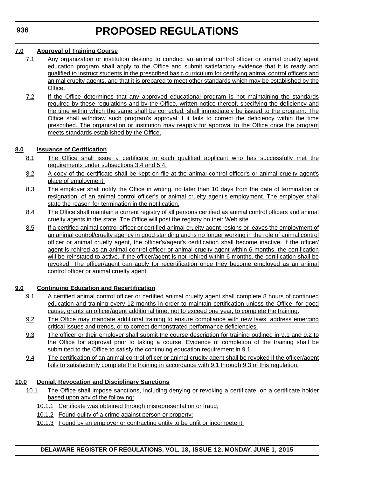### **7.0 Approval of Training Course**

- 7.1 Any organization or institution desiring to conduct an animal control officer or animal cruelty agent education program shall apply to the Office and submit satisfactory evidence that it is ready and qualified to instruct students in the prescribed basic curriculum for certifying animal control officers and animal cruelty agents, and that it is prepared to meet other standards which may be established by the Office.
- 7.2 If the Office determines that any approved educational program is not maintaining the standards required by these regulations and by the Office, written notice thereof, specifying the deficiency and the time within which the same shall be corrected, shall immediately be issued to the program. The Office shall withdraw such program's approval if it fails to correct the deficiency within the time prescribed. The organization or institution may reapply for approval to the Office once the program meets standards established by the Office.

### **8.0 Issuance of Certification**

- 8.1 The Office shall issue a certificate to each qualified applicant who has successfully met the requirements under subsections 3.4 and 5.4.
- 8.2 A copy of the certificate shall be kept on file at the animal control officer's or animal cruelty agent's place of employment.
- 8.3 The employer shall notify the Office in writing, no later than 10 days from the date of termination or resignation, of an animal control officer's or animal cruelty agent's employment. The employer shall state the reason for termination in the notification.
- 8.4 The Office shall maintain a current registry of all persons certified as animal control officers and animal cruelty agents in the state. The Office will post the registry on their Web site.
- 8.5 If a certified animal control officer or certified animal cruelty agent resigns or leaves the employment of an animal control/cruelty agency in good standing and is no longer working in the role of animal control officer or animal cruelty agent, the officer's/agent's certification shall become inactive. If the officer/ agent is rehired as an animal control officer or animal cruelty agent within 6 months, the certification will be reinstated to active. If the officer/agent is not rehired within 6 months, the certification shall be revoked. The officer/agent can apply for recertification once they become employed as an animal control officer or animal cruelty agent.

### **9.0 Continuing Education and Recertification**

- 9.1 A certified animal control officer or certified animal cruelty agent shall complete 8 hours of continued education and training every 12 months in order to maintain certification unless the Office, for good cause, grants an officer/agent additional time, not to exceed one year, to complete the training.
- 9.2 The Office may mandate additional training to ensure compliance with new laws, address emerging critical issues and trends, or to correct demonstrated performance deficiencies.
- 9.3 The officer or their employer shall submit the course description for training outlined in 9.1 and 9.2 to the Office for approval prior to taking a course. Evidence of completion of the training shall be submitted to the Office to satisfy the continuing education requirement in 9.1.
- 9.4 The certification of an animal control officer or animal cruelty agent shall be revoked if the officer/agent fails to satisfactorily complete the training in accordance with 9.1 through 9.3 of this regulation.

### **10.0 Denial, Revocation and Disciplinary Sanctions**

- 10.1 The Office shall impose sanctions, including denying or revoking a certificate, on a certificate holder based upon any of the following:
	- 10.1.1 Certificate was obtained through misrepresentation or fraud;
	- 10.1.2 Found guilty of a crime against person or property;
	- 10.1.3 Found by an employer or contracting entity to be unfit or incompetent;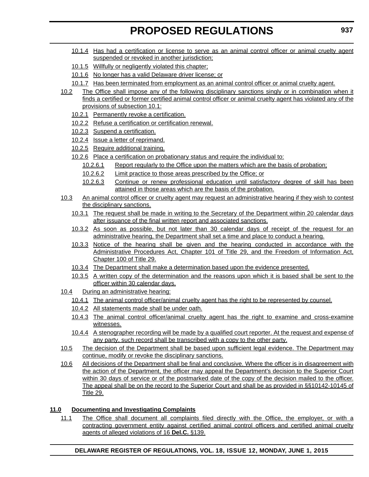- 10.1.4 Has had a certification or license to serve as an animal control officer or animal cruelty agent suspended or revoked in another jurisdiction;
- 10.1.5 Willfully or negligently violated this chapter;
- 10.1.6 No longer has a valid Delaware driver license; or
- 10.1.7 Has been terminated from employment as an animal control officer or animal cruelty agent.
- 10.2 The Office shall impose any of the following disciplinary sanctions singly or in combination when it finds a certified or former certified animal control officer or animal cruelty agent has violated any of the provisions of subsection 10.1:
	- 10.2.1 Permanently revoke a certification.
	- 10.2.2 Refuse a certification or certification renewal.
	- 10.2.3 Suspend a certification.
	- 10.2.4 Issue a letter of reprimand.
	- 10.2.5 Require additional training.
	- 10.2.6 Place a certification on probationary status and require the individual to:
		- 10.2.6.1 Report regularly to the Office upon the matters which are the basis of probation;
		- 10.2.6.2 Limit practice to those areas prescribed by the Office; or
		- 10.2.6.3 Continue or renew professional education until satisfactory degree of skill has been attained in those areas which are the basis of the probation.
- 10.3 An animal control officer or cruelty agent may request an administrative hearing if they wish to contest the disciplinary sanctions.
	- 10.3.1 The request shall be made in writing to the Secretary of the Department within 20 calendar days after issuance of the final written report and associated sanctions.
	- 10.3.2 As soon as possible, but not later than 30 calendar days of receipt of the request for an administrative hearing, the Department shall set a time and place to conduct a hearing.
	- 10.3.3 Notice of the hearing shall be given and the hearing conducted in accordance with the Administrative Procedures Act, Chapter 101 of Title 29, and the Freedom of Information Act, Chapter 100 of Title 29.
	- 10.3.4 The Department shall make a determination based upon the evidence presented.
	- 10.3.5 A written copy of the determination and the reasons upon which it is based shall be sent to the officer within 30 calendar days.
- 10.4 During an administrative hearing:
	- 10.4.1 The animal control officer/animal cruelty agent has the right to be represented by counsel.
	- 10.4.2 All statements made shall be under oath.
	- 10.4.3 The animal control officer/animal cruelty agent has the right to examine and cross-examine witnesses.
	- 10.4.4 A stenographer recording will be made by a qualified court reporter. At the request and expense of any party, such record shall be transcribed with a copy to the other party.
- 10.5 The decision of the Department shall be based upon sufficient legal evidence. The Department may continue, modify or revoke the disciplinary sanctions.
- 10.6 All decisions of the Department shall be final and conclusive. Where the officer is in disagreement with the action of the Department, the officer may appeal the Department's decision to the Superior Court within 30 days of service or of the postmarked date of the copy of the decision mailed to the officer. The appeal shall be on the record to the Superior Court and shall be as provided in §§10142-10145 of Title 29.

### **11.0 Documenting and Investigating Complaints**

11.1 The Office shall document all complaints filed directly with the Office, the employer, or with a contracting government entity against certified animal control officers and certified animal cruelty agents of alleged violations of 16 **Del.C.** §139.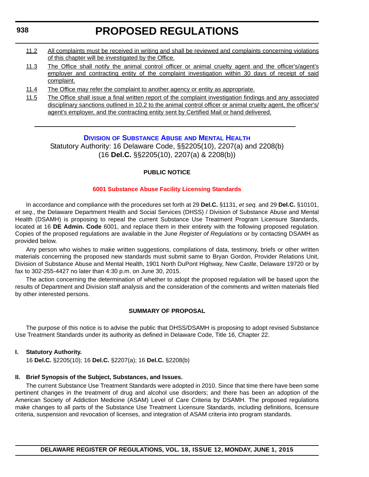#### <span id="page-28-0"></span>**938**

# **PROPOSED REGULATIONS**

- 11.2 All complaints must be received in writing and shall be reviewed and complaints concerning violations of this chapter will be investigated by the Office.
- 11.3 The Office shall notify the animal control officer or animal cruelty agent and the officer's/agent's employer and contracting entity of the complaint investigation within 30 days of receipt of said complaint.
- 11.4 The Office may refer the complaint to another agency or entity as appropriate.
- 11.5 The Office shall issue a final written report of the complaint investigation findings and any associated disciplinary sanctions outlined in 10.2 to the animal control officer or animal cruelty agent, the officer's/ agent's employer, and the contracting entity sent by Certified Mail or hand delivered.

#### **DIVISION [OF SUBSTANCE ABUSE](http://www.dhss.delaware.gov/dhss/dsamh/index.html) AND MENTAL HEALTH**

Statutory Authority: 16 Delaware Code, §§2205(10), 2207(a) and 2208(b) (16 **Del.C.** §§2205(10), 2207(a) & 2208(b))

#### **PUBLIC NOTICE**

#### **[6001 Substance Abuse Facility Licensing Standards](#page-3-0)**

In accordance and compliance with the procedures set forth at 29 **Del.C.** §1131, *et seq.* and 29 **Del.C.** §10101, *et seq.*, the Delaware Department Health and Social Services (DHSS) / Division of Substance Abuse and Mental Health (DSAMH) is proposing to repeal the current Substance Use Treatment Program Licensure Standards, located at 16 **DE Admin. Code** 6001, and replace them in their entirety with the following proposed regulation. Copies of the proposed regulations are available in the June *Register of Regulations* or by contacting DSAMH as provided below.

Any person who wishes to make written suggestions, compilations of data, testimony, briefs or other written materials concerning the proposed new standards must submit same to Bryan Gordon, Provider Relations Unit, Division of Substance Abuse and Mental Health, 1901 North DuPont Highway, New Castle, Delaware 19720 or by fax to 302-255-4427 no later than 4:30 p.m. on June 30, 2015.

The action concerning the determination of whether to adopt the proposed regulation will be based upon the results of Department and Division staff analysis and the consideration of the comments and written materials filed by other interested persons.

#### **SUMMARY OF PROPOSAL**

The purpose of this notice is to advise the public that DHSS/DSAMH is proposing to adopt revised Substance Use Treatment Standards under its authority as defined in Delaware Code, Title 16, Chapter 22.

#### **I. Statutory Authority.**

16 **Del.C.** §2205(10); 16 **Del.C.** §2207(a); 16 **Del.C.** §2208(b)

#### **II. Brief Synopsis of the Subject, Substances, and Issues.**

The current Substance Use Treatment Standards were adopted in 2010. Since that time there have been some pertinent changes in the treatment of drug and alcohol use disorders; and there has been an adoption of the American Society of Addiction Medicine (ASAM) Level of Care Criteria by DSAMH. The proposed regulations make changes to all parts of the Substance Use Treatment Licensure Standards, including definitions, licensure criteria, suspension and revocation of licenses, and integration of ASAM criteria into program standards.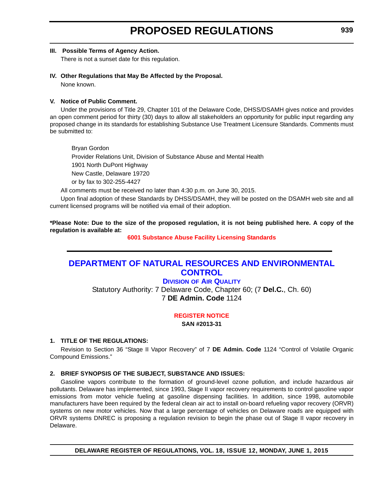#### <span id="page-29-0"></span>**III. Possible Terms of Agency Action.**

There is not a sunset date for this regulation.

### **IV. Other Regulations that May Be Affected by the Proposal.**

None known.

#### **V. Notice of Public Comment.**

Under the provisions of Title 29, Chapter 101 of the Delaware Code, DHSS/DSAMH gives notice and provides an open comment period for thirty (30) days to allow all stakeholders an opportunity for public input regarding any proposed change in its standards for establishing Substance Use Treatment Licensure Standards. Comments must be submitted to:

Bryan Gordon

Provider Relations Unit, Division of Substance Abuse and Mental Health

1901 North DuPont Highway

New Castle, Delaware 19720

or by fax to 302-255-4427

All comments must be received no later than 4:30 p.m. on June 30, 2015.

Upon final adoption of these Standards by DHSS/DSAMH, they will be posted on the DSAMH web site and all current licensed programs will be notified via email of their adoption.

**\*Please Note: Due to the size of the proposed regulation, it is not being published here. A copy of the regulation is available at:**

**[6001 Substance Abuse Facility Licensing Standards](http://regulations.delaware.gov/register/june2015/proposed/18 DE Reg 938 06-01-15.htm)**

# **[DEPARTMENT OF NATURAL RESOURCES AND ENVIRONMENTAL](http://www.dnrec.delaware.gov/Pages/Portal.aspx)  CONTROL**

### **DIVISION [OF AIR QUALITY](http://www.dnrec.delaware.gov/Air/Pages/Air-Quality.aspx)**

Statutory Authority: 7 Delaware Code, Chapter 60; (7 **Del.C.**, Ch. 60) 7 **DE Admin. Code** 1124

**[REGISTER NOTICE](#page-3-0)**

**SAN #2013-31**

### **1. TITLE OF THE REGULATIONS:**

Revision to Section 36 "Stage II Vapor Recovery" of 7 **DE Admin. Code** 1124 "Control of Volatile Organic Compound Emissions."

### **2. BRIEF SYNOPSIS OF THE SUBJECT, SUBSTANCE AND ISSUES:**

Gasoline vapors contribute to the formation of ground-level ozone pollution, and include hazardous air pollutants. Delaware has implemented, since 1993, Stage II vapor recovery requirements to control gasoline vapor emissions from motor vehicle fueling at gasoline dispensing facilities. In addition, since 1998, automobile manufacturers have been required by the federal clean air act to install on-board refueling vapor recovery (ORVR) systems on new motor vehicles. Now that a large percentage of vehicles on Delaware roads are equipped with ORVR systems DNREC is proposing a regulation revision to begin the phase out of Stage II vapor recovery in Delaware.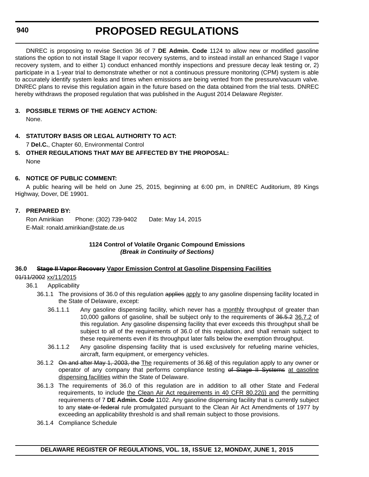#### **940**

# **PROPOSED REGULATIONS**

DNREC is proposing to revise Section 36 of 7 **DE Admin. Code** 1124 to allow new or modified gasoline stations the option to not install Stage II vapor recovery systems, and to instead install an enhanced Stage I vapor recovery system, and to either 1) conduct enhanced monthly inspections and pressure decay leak testing or, 2) participate in a 1-year trial to demonstrate whether or not a continuous pressure monitoring (CPM) system is able to accurately identify system leaks and times when emissions are being vented from the pressure/vacuum valve. DNREC plans to revise this regulation again in the future based on the data obtained from the trial tests. DNREC hereby withdraws the proposed regulation that was published in the August 2014 Delaware *Register*.

### **3. POSSIBLE TERMS OF THE AGENCY ACTION:**

None.

### **4. STATUTORY BASIS OR LEGAL AUTHORITY TO ACT:**

7 **Del.C.**, Chapter 60, Environmental Control

### **5. OTHER REGULATIONS THAT MAY BE AFFECTED BY THE PROPOSAL:** None

### **6. NOTICE OF PUBLIC COMMENT:**

A public hearing will be held on June 25, 2015, beginning at 6:00 pm, in DNREC Auditorium, 89 Kings Highway, Dover, DE 19901.

#### **7. PREPARED BY:**

Ron Amirikian Phone: (302) 739-9402 Date: May 14, 2015 E-Mail: ronald.amirikian@state.de.us

#### **1124 Control of Volatile Organic Compound Emissions** *(Break in Continuity of Sections)*

### **36.0 Stage II Vapor Recovery Vapor Emission Control at Gasoline Dispensing Facilities**

### 01/11/2002 xx/11/2015

- 36.1 Applicability
	- 36.1.1 The provisions of 36.0 of this regulation applies apply to any gasoline dispensing facility located in the State of Delaware, except:
		- 36.1.1.1 Any gasoline dispensing facility, which never has a monthly throughput of greater than 10,000 gallons of gasoline, shall be subject only to the requirements of 36.5.2 36.7.2 of this regulation. Any gasoline dispensing facility that ever exceeds this throughput shall be subject to all of the requirements of 36.0 of this regulation, and shall remain subject to these requirements even if its throughput later falls below the exemption throughput.
		- 36.1.1.2 Any gasoline dispensing facility that is used exclusively for refueling marine vehicles, aircraft, farm equipment, or emergency vehicles.
	- 36.1.2 On and after May 1, 2003, the The requirements of 36.68 of this regulation apply to any owner or operator of any company that performs compliance testing of Stage II Systems at gasoline dispensing facilities within the State of Delaware.
	- 36.1.3 The requirements of 36.0 of this regulation are in addition to all other State and Federal requirements, to include the Clean Air Act requirements in 40 CFR 80.22(j) and the permitting requirements of 7 **DE Admin. Code** 1102. Any gasoline dispensing facility that is currently subject to any state or federal rule promulgated pursuant to the Clean Air Act Amendments of 1977 by exceeding an applicability threshold is and shall remain subject to those provisions.
	- 36.1.4 Compliance Schedule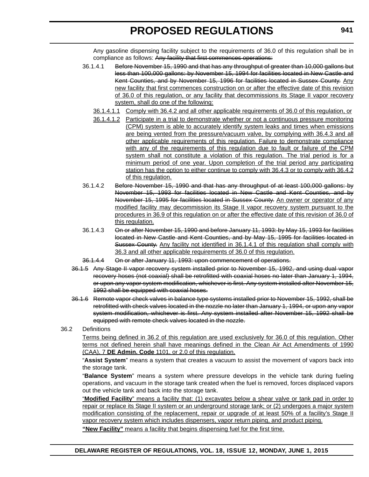Any gasoline dispensing facility subject to the requirements of 36.0 of this regulation shall be in compliance as follows: Any facility that first commences operations:

- 36.1.4.1 Before November 15, 1990 and that has any throughput of greater than 10,000 gallons but less than 100,000 gallons: by November 15, 1994 for facilities located in New Castle and Kent Counties, and by November 15, 1996 for facilities located in Sussex County. Any new facility that first commences construction on or after the effective date of this revision of 36.0 of this regulation, or any facility that decommissions its Stage II vapor recovery system, shall do one of the following:
	- 36.1.4.1.1 Comply with 36.4.2 and all other applicable requirements of 36.0 of this regulation, or
	- 36.1.4.1.2 Participate in a trial to demonstrate whether or not a continuous pressure monitoring (CPM) system is able to accurately identify system leaks and times when emissions are being vented from the pressure/vacuum valve, by complying with 36.4.3 and all other applicable requirements of this regulation. Failure to demonstrate compliance with any of the requirements of this regulation due to fault or failure of the CPM system shall not constitute a violation of this regulation. The trial period is for a minimum period of one year. Upon completion of the trial period any participating station has the option to either continue to comply with 36.4.3 or to comply with 36.4.2 of this regulation.
- 36.1.4.2 Before November 15, 1990 and that has any throughput of at least 100,000 gallons: by November 15, 1993 for facilities located in New Castle and Kent Counties, and by November 15, 1995 for facilities located in Sussex County. An owner or operator of any modified facility may decommission its Stage II vapor recovery system pursuant to the procedures in 36.9 of this regulation on or after the effective date of this revision of 36.0 of this regulation.
- 36.1.4.3 On or after November 15, 1990 and before January 11, 1993: by May 15, 1993 for facilities located in New Castle and Kent Counties, and by May 15, 1995 for facilities located in Sussex County. Any facility not identified in 36.1.4.1 of this regulation shall comply with 36.3 and all other applicable requirements of 36.0 of this regulation.
- 36.1.4.4 On or after January 11, 1993: upon commencement of operations.
- 36.1.5 Any Stage II vapor recovery system installed prior to November 15, 1992, and using dual vapor recovery hoses (not coaxial) shall be retrofitted with coaxial hoses no later than January 1, 1994, or upon any vapor system modification, whichever is first. Any system installed after November 15, 1992 shall be equipped with coaxial hoses.
- 36.1.6 Remote vapor check valves in balance type systems installed prior to November 15, 1992, shall be retrofitted with check valves located in the nozzle no later than January 1, 1994, or upon any vapor system modification, whichever is first. Any system installed after November 15, 1992 shall be equipped with remote check valves located in the nozzle.

#### 36.2 Definitions

Terms being defined in 36.2 of this regulation are used exclusively for 36.0 of this regulation. Other terms not defined herein shall have meanings defined in the Clean Air Act Amendments of 1990 (CAA), 7 **DE Admin. Code** 1101, or 2.0 of this regulation.

"**Assist System**" means a system that creates a vacuum to assist the movement of vapors back into the storage tank.

"**Balance System**" means a system where pressure develops in the vehicle tank during fueling operations, and vacuum in the storage tank created when the fuel is removed, forces displaced vapors out the vehicle tank and back into the storage tank.

"**Modified Facility**" means a facility that: (1) excavates below a shear valve or tank pad in order to repair or replace its Stage II system or an underground storage tank; or (2) undergoes a major system modification consisting of the replacement, repair or upgrade of at least 50% of a facility's Stage II vapor recovery system which includes dispensers, vapor return piping, and product piping.

**"New Facility"** means a facility that begins dispensing fuel for the first time.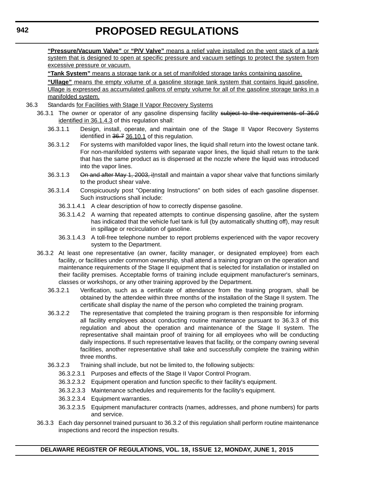**"Pressure/Vacuum Valve"** or **"P/V Valve"** means a relief valve installed on the vent stack of a tank system that is designed to open at specific pressure and vacuum settings to protect the system from excessive pressure or vacuum.

**"Tank System"** means a storage tank or a set of manifolded storage tanks containing gasoline.

**"Ullage"** means the empty volume of a gasoline storage tank system that contains liquid gasoline. Ullage is expressed as accumulated gallons of empty volume for all of the gasoline storage tanks in a manifolded system.

#### 36.3 Standards for Facilities with Stage II Vapor Recovery Systems

- 36.3.1 The owner or operator of any gasoline dispensing facility subject to the requirements of 36.0 identified in 36.1.4.3 of this regulation shall:
	- 36.3.1.1 Design, install, operate, and maintain one of the Stage II Vapor Recovery Systems identified in 36.7 36.10.1 of this regulation.
	- 36.3.1.2 For systems with manifolded vapor lines, the liquid shall return into the lowest octane tank. For non-manifolded systems with separate vapor lines, the liquid shall return to the tank that has the same product as is dispensed at the nozzle where the liquid was introduced into the vapor lines.
	- 36.3.1.3 On and after May 1, 2003, ilnstall and maintain a vapor shear valve that functions similarly to the product shear valve.
	- 36.3.1.4 Conspicuously post "Operating Instructions" on both sides of each gasoline dispenser. Such instructions shall include:
		- 36.3.1.4.1 A clear description of how to correctly dispense gasoline.
		- 36.3.1.4.2 A warning that repeated attempts to continue dispensing gasoline, after the system has indicated that the vehicle fuel tank is full (by automatically shutting off), may result in spillage or recirculation of gasoline.
		- 36.3.1.4.3 A toll-free telephone number to report problems experienced with the vapor recovery system to the Department.
- 36.3.2 At least one representative (an owner, facility manager, or designated employee) from each facility, or facilities under common ownership, shall attend a training program on the operation and maintenance requirements of the Stage II equipment that is selected for installation or installed on their facility premises. Acceptable forms of training include equipment manufacturer's seminars, classes or workshops, or any other training approved by the Department.
	- 36.3.2.1 Verification, such as a certificate of attendance from the training program, shall be obtained by the attendee within three months of the installation of the Stage II system. The certificate shall display the name of the person who completed the training program.
	- 36.3.2.2 The representative that completed the training program is then responsible for informing all facility employees about conducting routine maintenance pursuant to 36.3.3 of this regulation and about the operation and maintenance of the Stage II system. The representative shall maintain proof of training for all employees who will be conducting daily inspections. If such representative leaves that facility, or the company owning several facilities, another representative shall take and successfully complete the training within three months.
	- 36.3.2.3 Training shall include, but not be limited to, the following subjects:
		- 36.3.2.3.1 Purposes and effects of the Stage II Vapor Control Program.
		- 36.3.2.3.2 Equipment operation and function specific to their facility's equipment.
		- 36.3.2.3.3 Maintenance schedules and requirements for the facility's equipment.
		- 36.3.2.3.4 Equipment warranties.
		- 36.3.2.3.5 Equipment manufacturer contracts (names, addresses, and phone numbers) for parts and service.
- 36.3.3 Each day personnel trained pursuant to 36.3.2 of this regulation shall perform routine maintenance inspections and record the inspection results.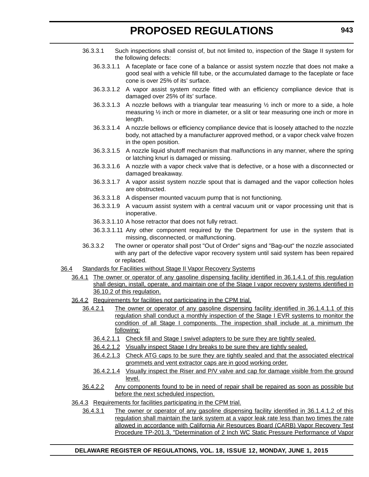- 36.3.3.1 Such inspections shall consist of, but not limited to, inspection of the Stage II system for the following defects:
	- 36.3.3.1.1 A faceplate or face cone of a balance or assist system nozzle that does not make a good seal with a vehicle fill tube, or the accumulated damage to the faceplate or face cone is over 25% of its' surface.
	- 36.3.3.1.2 A vapor assist system nozzle fitted with an efficiency compliance device that is damaged over 25% of its' surface.
	- 36.3.3.1.3 A nozzle bellows with a triangular tear measuring  $\frac{1}{2}$  inch or more to a side, a hole measuring ½ inch or more in diameter, or a slit or tear measuring one inch or more in length.
	- 36.3.3.1.4 A nozzle bellows or efficiency compliance device that is loosely attached to the nozzle body, not attached by a manufacturer approved method, or a vapor check valve frozen in the open position.
	- 36.3.3.1.5 A nozzle liquid shutoff mechanism that malfunctions in any manner, where the spring or latching knurl is damaged or missing.
	- 36.3.3.1.6 A nozzle with a vapor check valve that is defective, or a hose with a disconnected or damaged breakaway.
	- 36.3.3.1.7 A vapor assist system nozzle spout that is damaged and the vapor collection holes are obstructed.
	- 36.3.3.1.8 A dispenser mounted vacuum pump that is not functioning.
	- 36.3.3.1.9 A vacuum assist system with a central vacuum unit or vapor processing unit that is inoperative.
	- 36.3.3.1.10 A hose retractor that does not fully retract.
	- 36.3.3.1.11 Any other component required by the Department for use in the system that is missing, disconnected, or malfunctioning.
- 36.3.3.2 The owner or operator shall post "Out of Order" signs and "Bag-out" the nozzle associated with any part of the defective vapor recovery system until said system has been repaired or replaced.
- 36.4 Standards for Facilities without Stage II Vapor Recovery Systems
	- 36.4.1 The owner or operator of any gasoline dispensing facility identified in 36.1.4.1 of this regulation shall design, install, operate, and maintain one of the Stage I vapor recovery systems identified in 36.10.2 of this regulation.
	- 36.4.2 Requirements for facilities not participating in the CPM trial.
		- 36.4.2.1 The owner or operator of any gasoline dispensing facility identified in 36.1.4.1.1 of this regulation shall conduct a monthly inspection of the Stage I EVR systems to monitor the condition of all Stage I components. The inspection shall include at a minimum the following:
			- 36.4.2.1.1 Check fill and Stage I swivel adapters to be sure they are tightly sealed.
			- 36.4.2.1.2 Visually inspect Stage I dry breaks to be sure they are tightly sealed.
			- 36.4.2.1.3 Check ATG caps to be sure they are tightly sealed and that the associated electrical grommets and vent extractor caps are in good working order.
			- 36.4.2.1.4 Visually inspect the Riser and P/V valve and cap for damage visible from the ground level.
		- 36.4.2.2 Any components found to be in need of repair shall be repaired as soon as possible but before the next scheduled inspection.
	- 36.4.3 Requirements for facilities participating in the CPM trial.
		- 36.4.3.1 The owner or operator of any gasoline dispensing facility identified in 36.1.4.1.2 of this regulation shall maintain the tank system at a vapor leak rate less than two times the rate allowed in accordance with California Air Resources Board (CARB) Vapor Recovery Test Procedure TP-201.3, "Determination of 2 Inch WC Static Pressure Performance of Vapor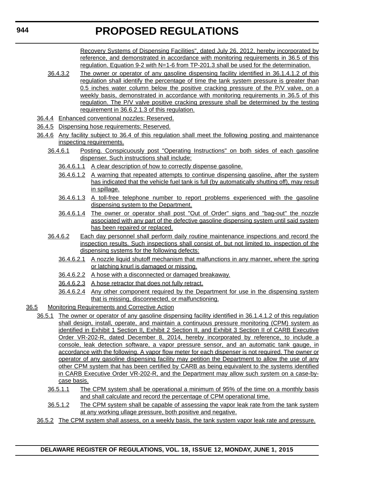Recovery Systems of Dispensing Facilities", dated July 26, 2012, hereby incorporated by reference, and demonstrated in accordance with monitoring requirements in 36.5 of this regulation. Equation 9-2 with N=1-6 from TP-201.3 shall be used for the determination.

- 36.4.3.2 The owner or operator of any gasoline dispensing facility identified in 36.1.4.1.2 of this regulation shall identify the percentage of time the tank system pressure is greater than 0.5 inches water column below the positive cracking pressure of the P/V valve, on a weekly basis, demonstrated in accordance with monitoring requirements in 36.5 of this regulation. The P/V valve positive cracking pressure shall be determined by the testing requirement in 36.6.2.1.3 of this regulation.
- 36.4.4 Enhanced conventional nozzles: Reserved.
- 36.4.5 Dispensing hose requirements: Reserved.
- 36.4.6 Any facility subject to 36.4 of this regulation shall meet the following posting and maintenance inspecting requirements.
	- 36.4.6.1 Posting. Conspicuously post "Operating Instructions" on both sides of each gasoline dispenser. Such instructions shall include:
		- 36.4.6.1.1 A clear description of how to correctly dispense gasoline.
		- 36.4.6.1.2 A warning that repeated attempts to continue dispensing gasoline, after the system has indicated that the vehicle fuel tank is full (by automatically shutting off), may result in spillage.
		- 36.4.6.1.3 A toll-free telephone number to report problems experienced with the gasoline dispensing system to the Department.
		- 36.4.6.1.4 The owner or operator shall post "Out of Order" signs and "bag-out" the nozzle associated with any part of the defective gasoline dispensing system until said system has been repaired or replaced.
	- 36.4.6.2 Each day personnel shall perform daily routine maintenance inspections and record the inspection results. Such inspections shall consist of, but not limited to, inspection of the dispensing systems for the following defects:
		- 36.4.6.2.1 A nozzle liquid shutoff mechanism that malfunctions in any manner, where the spring or latching knurl is damaged or missing.
		- 36.4.6.2.2 A hose with a disconnected or damaged breakaway.
		- 36.4.6.2.3 A hose retractor that does not fully retract.
		- 36.4.6.2.4 Any other component required by the Department for use in the dispensing system that is missing, disconnected, or malfunctioning.
- 36.5 Monitoring Requirements and Corrective Action
	- 36.5.1 The owner or operator of any gasoline dispensing facility identified in 36.1.4.1.2 of this regulation shall design, install, operate, and maintain a continuous pressure monitoring (CPM) system as identified in Exhibit 1 Section II, Exhibit 2 Section II, and Exhibit 3 Section II of CARB Executive Order VR-202-R, dated December 8, 2014, hereby incorporated by reference, to include a console, leak detection software, a vapor pressure sensor, and an automatic tank gauge, in accordance with the following. A vapor flow meter for each dispenser is not required. The owner or operator of any gasoline dispensing facility may petition the Department to allow the use of any other CPM system that has been certified by CARB as being equivalent to the systems identified in CARB Executive Order VR-202-R, and the Department may allow such system on a case-bycase basis.
		- 36.5.1.1 The CPM system shall be operational a minimum of 95% of the time on a monthly basis and shall calculate and record the percentage of CPM operational time.
		- 36.5.1.2 The CPM system shall be capable of assessing the vapor leak rate from the tank system at any working ullage pressure, both positive and negative.
	- 36.5.2 The CPM system shall assess, on a weekly basis, the tank system vapor leak rate and pressure.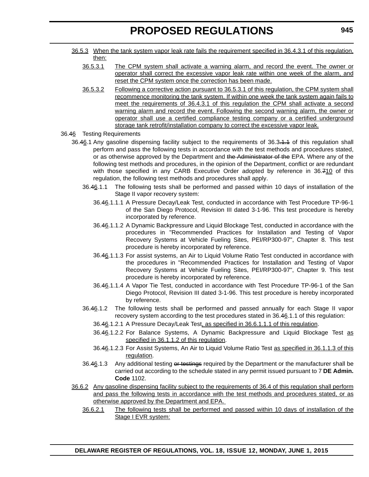- 36.5.3 When the tank system vapor leak rate fails the requirement specified in 36.4.3.1 of this regulation, then:
	- 36.5.3.1 The CPM system shall activate a warning alarm, and record the event. The owner or operator shall correct the excessive vapor leak rate within one week of the alarm, and reset the CPM system once the correction has been made.
	- 36.5.3.2 Following a corrective action pursuant to 36.5.3.1 of this regulation, the CPM system shall recommence monitoring the tank system. If within one week the tank system again fails to meet the requirements of 36.4.3.1 of this regulation the CPM shall activate a second warning alarm and record the event. Following the second warning alarm, the owner or operator shall use a certified compliance testing company or a certified underground storage tank retrofit/installation company to correct the excessive vapor leak.
- 36.46 Testing Requirements
	- 36.46.1 Any gasoline dispensing facility subject to the requirements of 36.3.4.4 of this regulation shall perform and pass the following tests in accordance with the test methods and procedures stated, or as otherwise approved by the Department and the Administrator of the EPA. Where any of the following test methods and procedures, in the opinion of the Department, conflict or are redundant with those specified in any CARB Executive Order adopted by reference in 36.710 of this regulation, the following test methods and procedures shall apply.
		- 36.46.1.1 The following tests shall be performed and passed within 10 days of installation of the Stage II vapor recovery system:
			- 36.46.1.1.1 A Pressure Decay/Leak Test, conducted in accordance with Test Procedure TP-96-1 of the San Diego Protocol, Revision III dated 3-1-96. This test procedure is hereby incorporated by reference.
			- 36.46.1.1.2 A Dynamic Backpressure and Liquid Blockage Test, conducted in accordance with the procedures in "Recommended Practices for Installation and Testing of Vapor Recovery Systems at Vehicle Fueling Sites, PEI/RP300-97", Chapter 8. This test procedure is hereby incorporated by reference.
			- 36.46.1.1.3 For assist systems, an Air to Liquid Volume Ratio Test conducted in accordance with the procedures in "Recommended Practices for Installation and Testing of Vapor Recovery Systems at Vehicle Fueling Sites, PEI/RP300-97", Chapter 9. This test procedure is hereby incorporated by reference.
			- 36.46.1.1.4 A Vapor Tie Test, conducted in accordance with Test Procedure TP-96-1 of the San Diego Protocol, Revision III dated 3-1-96. This test procedure is hereby incorporated by reference.
		- 36.46.1.2 The following tests shall be performed and passed annually for each Stage II vapor recovery system according to the test procedures stated in 36.46.1.1 of this regulation:
			- 36.46.1.2.1 A Pressure Decay/Leak Test, as specified in 36.6.1.1.1 of this regulation.
			- 36.46.1.2.2 For Balance Systems, A Dynamic Backpressure and Liquid Blockage Test as specified in 36.1.1.2 of this regulation.
			- 36.46.1.2.3 For Assist Systems, An Air to Liquid Volume Ratio Test as specified in 36.1.1.3 of this regulation.
		- 36.46.1.3 Any additional testing or testings required by the Department or the manufacturer shall be carried out according to the schedule stated in any permit issued pursuant to 7 **DE Admin. Code** 1102.
	- 36.6.2 Any gasoline dispensing facility subject to the requirements of 36.4 of this regulation shall perform and pass the following tests in accordance with the test methods and procedures stated, or as otherwise approved by the Department and EPA.
		- 36.6.2.1 The following tests shall be performed and passed within 10 days of installation of the Stage I EVR system: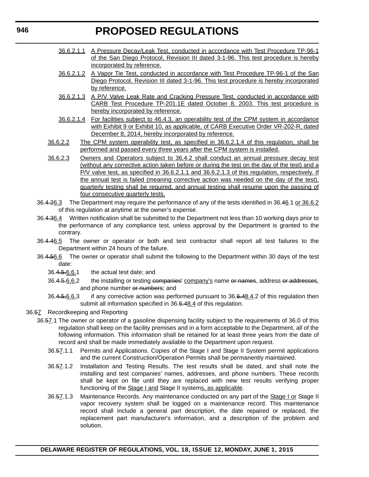- 36.6.2.1.1 A Pressure Decay/Leak Test, conducted in accordance with Test Procedure TP-96-1 of the San Diego Protocol, Revision III dated 3-1-96. This test procedure is hereby incorporated by reference.
- 36.6.2.1.2 A Vapor Tie Test, conducted in accordance with Test Procedure TP-96-1 of the San Diego Protocol, Revision III dated 3-1-96. This test procedure is hereby incorporated by reference.
- 36.6.2.1.3 A P/V Valve Leak Rate and Cracking Pressure Test, conducted in accordance with CARB Test Procedure TP-201.1E dated October 8, 2003. This test procedure is hereby incorporated by reference.
- 36.6.2.1.4 For facilities subject to 46.4.3, an operability test of the CPM system in accordance with Exhibit 9 or Exhibit 10, as applicable, of CARB Executive Order VR-202-R, dated December 8, 2014, hereby incorporated by reference.
- 36.6.2.2 The CPM system operability test, as specified in 36.6.2.1.4 of this regulation, shall be performed and passed every three years after the CPM system is installed.
- 36.6.2.3 Owners and Operators subject to 36.4.2 shall conduct an annual pressure decay test (without any corrective action taken before or during the test on the day of the test) and a P/V valve test, as specified in 36.6.2.1.1 and 36.6.2.1.3 of this regulation, respectively. If the annual test is failed (meaning corrective action was needed on the day of the test), quarterly testing shall be required, and annual testing shall resume upon the passing of four consecutive quarterly tests.
- 36.4.26.3 The Department may require the performance of any of the tests identified in 36.46.1 or 36.6.2 of this regulation at anytime at the owner's expense.
- 36.4.36.4 Written notification shall be submitted to the Department not less than 10 working days prior to the performance of any compliance test, unless approval by the Department is granted to the contrary.
- 36.4.46.5 The owner or operator or both and test contractor shall report all test failures to the Department within 24 hours of the failure.
- 36.4.56.6 The owner or operator shall submit the following to the Department within 30 days of the test date:
	- 36.4.5.6.6.1 the actual test date; and
	- 36.4.5.6.6.2 the installing or testing companies' company's name or names, address or addresses, and phone number or numbers; and
	- 36.4.5.6.6.3 if any corrective action was performed pursuant to 36.6.48.4.2 of this regulation then submit all information specified in 36.6.48.4 of this regulation.
- 36.57 Recordkeeping and Reporting
	- 36.57.1 The owner or operator of a gasoline dispensing facility subject to the requirements of 36.0 of this regulation shall keep on the facility premises and in a form acceptable to the Department, all of the following information. This information shall be retained for at least three years from the date of record and shall be made immediately available to the Department upon request.
		- 36.57.1.1 Permits and Applications. Copies of the Stage I and Stage II System permit applications and the current Construction/Operation Permits shall be permanently maintained.
		- 36.57.1.2 Installation and Testing Results. The test results shall be dated, and shall note the installing and test companies' names, addresses, and phone numbers. These records shall be kept on file until they are replaced with new test results verifying proper functioning of the **Stage I and Stage II systems**, as applicable.
		- 36.57.1.3 Maintenance Records. Any maintenance conducted on any part of the Stage I or Stage II vapor recovery system shall be logged on a maintenance record. This maintenance record shall include a general part description, the date repaired or replaced, the replacement part manufacturer's information, and a description of the problem and solution.

**DELAWARE REGISTER OF REGULATIONS, VOL. 18, ISSUE 12, MONDAY, JUNE 1, 2015**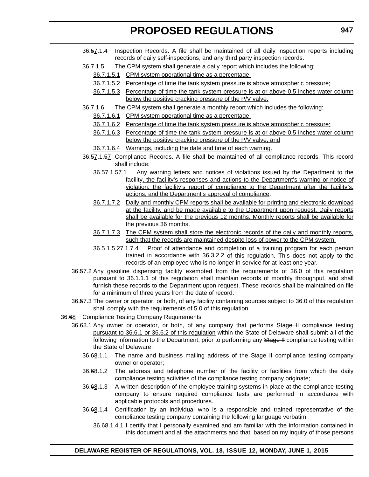- 36.57.1.4 Inspection Records. A file shall be maintained of all daily inspection reports including records of daily self-inspections, and any third party inspection records.
- 36.7.1.5 The CPM system shall generate a daily report which includes the following:
	- 36.7.1.5.1 CPM system operational time as a percentage;
	- 36.7.1.5.2 Percentage of time the tank system pressure is above atmospheric pressure;
	- 36.7.1.5.3 Percentage of time the tank system pressure is at or above 0.5 inches water column below the positive cracking pressure of the P/V valve.
- 36.7.1.6 The CPM system shall generate a monthly report which includes the following:
	- 36.7.1.6.1 CPM system operational time as a percentage;
	- 36.7.1.6.2 Percentage of time the tank system pressure is above atmospheric pressure;
	- 36.7.1.6.3 Percentage of time the tank system pressure is at or above 0.5 inches water column below the positive cracking pressure of the P/V valve; and
	- 36.7.1.6.4 Warnings, including the date and time of each warning.
- 36.57.1.57 Compliance Records. A file shall be maintained of all compliance records. This record shall include:
	- 36.57.1.57.1 Any warning letters and notices of violations issued by the Department to the facility, the facility's responses and actions to the Department's warning or notice of violation, the facility's report of compliance to the Department after the facility's. actions, and the Department's approval of compliance.
	- 36.7.1.7.2 Daily and monthly CPM reports shall be available for printing and electronic download at the facility, and be made available to the Department upon request. Daily reports shall be available for the previous 12 months. Monthly reports shall be available for the previous 36 months.
	- 36.7.1.7.3 The CPM system shall store the electronic records of the daily and monthly reports, such that the records are maintained despite loss of power to the CPM system.
	- 36.5.1.5.27.1.7.4 Proof of attendance and completion of a training program for each person trained in accordance with 36.3.2.2 of this regulation. This does not apply to the records of an employee who is no longer in service for at least one year.
- 36.57.2 Any gasoline dispensing facility exempted from the requirements of 36.0 of this regulation pursuant to 36.1.1.1 of this regulation shall maintain records of monthly throughput, and shall furnish these records to the Department upon request. These records shall be maintained on file for a minimum of three years from the date of record.
- 36.57.3 The owner or operator, or both, of any facility containing sources subject to 36.0 of this regulation shall comply with the requirements of 5.0 of this regulation.
- 36.68 Compliance Testing Company Requirements
	- 36.68.1 Any owner or operator, or both, of any company that performs Stage II compliance testing pursuant to 36.6.1 or 36.6.2 of this regulation within the State of Delaware shall submit all of the following information to the Department, prior to performing any Stage II compliance testing within the State of Delaware:
		- 36.68.1.1 The name and business mailing address of the Stage II compliance testing company owner or operator;
		- 36.68.1.2 The address and telephone number of the facility or facilities from which the daily compliance testing activities of the compliance testing company originate;
		- 36.68.1.3 A written description of the employee training systems in place at the compliance testing company to ensure required compliance tests are performed in accordance with applicable protocols and procedures.
		- 36.68.1.4 Certification by an individual who is a responsible and trained representative of the compliance testing company containing the following language verbatim:
			- 36.68.1.4.1 I certify that I personally examined and am familiar with the information contained in this document and all the attachments and that, based on my inquiry of those persons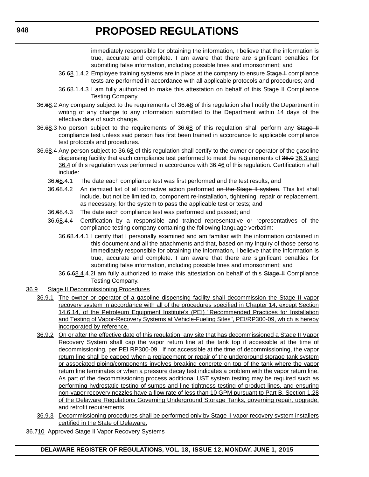immediately responsible for obtaining the information, I believe that the information is true, accurate and complete. I am aware that there are significant penalties for submitting false information, including possible fines and imprisonment; and

- 36.68.1.4.2 Employee training systems are in place at the company to ensure Stage H compliance tests are performed in accordance with all applicable protocols and procedures; and
- 36.68.1.4.3 I am fully authorized to make this attestation on behalf of this Stage II Compliance Testing Company.
- 36.68.2 Any company subject to the requirements of 36.68 of this regulation shall notify the Department in writing of any change to any information submitted to the Department within 14 days of the effective date of such change.
- 36.68.3 No person subject to the requirements of 36.68 of this regulation shall perform any Stage II compliance test unless said person has first been trained in accordance to applicable compliance test protocols and procedures.
- 36.68.4 Any person subject to 36.68 of this regulation shall certify to the owner or operator of the gasoline dispensing facility that each compliance test performed to meet the requirements of 36.0 36.3 and 36.4 of this regulation was performed in accordance with 36.46 of this regulation. Certification shall include:
	- 36.68.4.1 The date each compliance test was first performed and the test results; and
	- 36.68.4.2 An itemized list of all corrective action performed on the Stage II system. This list shall include, but not be limited to, component re-installation, tightening, repair or replacement, as necessary, for the system to pass the applicable test or tests; and
	- 36.68.4.3 The date each compliance test was performed and passed; and
	- 36.68.4.4 Certification by a responsible and trained representative or representatives of the compliance testing company containing the following language verbatim:
		- 36.68.4.4.1 I certify that I personally examined and am familiar with the information contained in this document and all the attachments and that, based on my inquiry of those persons immediately responsible for obtaining the information, I believe that the information is true, accurate and complete. I am aware that there are significant penalties for submitting false information, including possible fines and imprisonment; and
		- 36.6.68.4.4.2I am fully authorized to make this attestation on behalf of this Stage II Compliance Testing Company.
- 36.9 Stage II Decommissioning Procedures
	- 36.9.1 The owner or operator of a gasoline dispensing facility shall decommission the Stage II vapor recovery system in accordance with all of the procedures specified in Chapter 14, except Section 14.6.14, of the Petroleum Equipment Institute's (PEI) "Recommended Practices for Installation and Testing of Vapor-Recovery Systems at Vehicle-Fueling Sites", PEI/RP300-09, which is hereby incorporated by reference.
	- 36.9.2 On or after the effective date of this regulation, any site that has decommissioned a Stage II Vapor Recovery System shall cap the vapor return line at the tank top if accessible at the time of decommissioning, per PEI RP300-09. If not accessible at the time of decommissioning, the vapor return line shall be capped when a replacement or repair of the underground storage tank system or associated piping/components involves breaking concrete on top of the tank where the vapor return line terminates or when a pressure decay test indicates a problem with the vapor return line. As part of the decommissioning process additional UST system testing may be required such as performing hydrostatic testing of sumps and line tightness testing of product lines, and ensuring non-vapor recovery nozzles have a flow rate of less than 10 GPM pursuant to Part B, Section 1.28 of the Delaware Regulations Governing Underground Storage Tanks, governing repair, upgrade, and retrofit requirements.
	- 36.9.3 Decommissioning procedures shall be performed only by Stage II vapor recovery system installers certified in the State of Delaware.
- 36.710 Approved Stage II Vapor Recovery Systems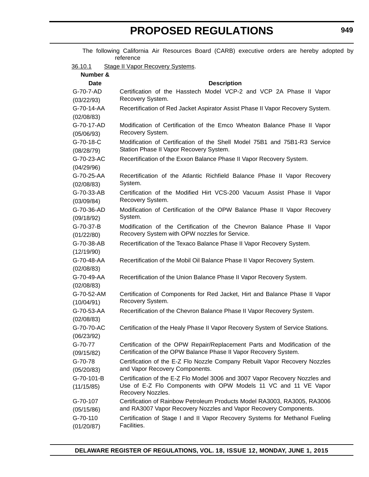| The following California Air Resources Board (CARB) executive orders are hereby adopted by<br>reference |                                                                                                                                               |  |  |
|---------------------------------------------------------------------------------------------------------|-----------------------------------------------------------------------------------------------------------------------------------------------|--|--|
| 36.10.1                                                                                                 | Stage II Vapor Recovery Systems.                                                                                                              |  |  |
| Number &                                                                                                |                                                                                                                                               |  |  |
| <b>Date</b>                                                                                             | <b>Description</b>                                                                                                                            |  |  |
| G-70-7-AD                                                                                               | Certification of the Hasstech Model VCP-2 and VCP 2A Phase II Vapor                                                                           |  |  |
| (03/22/93)                                                                                              | Recovery System.                                                                                                                              |  |  |
| G-70-14-AA                                                                                              | Recertification of Red Jacket Aspirator Assist Phase II Vapor Recovery System.                                                                |  |  |
| (02/08/83)                                                                                              |                                                                                                                                               |  |  |
| G-70-17-AD                                                                                              | Modification of Certification of the Emco Wheaton Balance Phase II Vapor                                                                      |  |  |
| (05/06/93)                                                                                              | Recovery System.                                                                                                                              |  |  |
| G-70-18-C                                                                                               | Modification of Certification of the Shell Model 75B1 and 75B1-R3 Service                                                                     |  |  |
| (08/28/79)                                                                                              | Station Phase II Vapor Recovery System.                                                                                                       |  |  |
| G-70-23-AC                                                                                              | Recertification of the Exxon Balance Phase II Vapor Recovery System.                                                                          |  |  |
| (04/29/96)                                                                                              |                                                                                                                                               |  |  |
| G-70-25-AA                                                                                              | Recertification of the Atlantic Richfield Balance Phase II Vapor Recovery<br>System.                                                          |  |  |
| (02/08/83)                                                                                              | Certification of the Modified Hirt VCS-200 Vacuum Assist Phase II Vapor                                                                       |  |  |
| G-70-33-AB<br>(03/09/84)                                                                                | Recovery System.                                                                                                                              |  |  |
| G-70-36-AD                                                                                              | Modification of Certification of the OPW Balance Phase II Vapor Recovery                                                                      |  |  |
| (09/18/92)                                                                                              | System.                                                                                                                                       |  |  |
| G-70-37-B                                                                                               | Modification of the Certification of the Chevron Balance Phase II Vapor                                                                       |  |  |
| (01/22/80)                                                                                              | Recovery System with OPW nozzles for Service.                                                                                                 |  |  |
| G-70-38-AB                                                                                              | Recertification of the Texaco Balance Phase II Vapor Recovery System.                                                                         |  |  |
| (12/19/90)                                                                                              |                                                                                                                                               |  |  |
| G-70-48-AA                                                                                              | Recertification of the Mobil Oil Balance Phase II Vapor Recovery System.                                                                      |  |  |
| (02/08/83)                                                                                              |                                                                                                                                               |  |  |
| G-70-49-AA                                                                                              | Recertification of the Union Balance Phase II Vapor Recovery System.                                                                          |  |  |
| (02/08/83)                                                                                              |                                                                                                                                               |  |  |
| G-70-52-AM                                                                                              | Certification of Components for Red Jacket, Hirt and Balance Phase II Vapor                                                                   |  |  |
| (10/04/91)                                                                                              | Recovery System.                                                                                                                              |  |  |
| G-70-53-AA                                                                                              | Recertification of the Chevron Balance Phase II Vapor Recovery System.                                                                        |  |  |
| (02/08/83)                                                                                              |                                                                                                                                               |  |  |
| G-70-70-AC                                                                                              | Certification of the Healy Phase II Vapor Recovery System of Service Stations.                                                                |  |  |
| (06/23/92)                                                                                              |                                                                                                                                               |  |  |
| G-70-77                                                                                                 | Certification of the OPW Repair/Replacement Parts and Modification of the<br>Certification of the OPW Balance Phase II Vapor Recovery System. |  |  |
| (09/15/82)                                                                                              |                                                                                                                                               |  |  |
| G-70-78<br>(05/20/83)                                                                                   | Certification of the E-Z Flo Nozzle Company Rebuilt Vapor Recovery Nozzles<br>and Vapor Recovery Components.                                  |  |  |
| G-70-101-B                                                                                              | Certification of the E-Z Flo Model 3006 and 3007 Vapor Recovery Nozzles and                                                                   |  |  |
| (11/15/85)                                                                                              | Use of E-Z Flo Components with OPW Models 11 VC and 11 VE Vapor<br>Recovery Nozzles.                                                          |  |  |
| G-70-107                                                                                                | Certification of Rainbow Petroleum Products Model RA3003, RA3005, RA3006                                                                      |  |  |
| (05/15/86)                                                                                              | and RA3007 Vapor Recovery Nozzles and Vapor Recovery Components.                                                                              |  |  |
| G-70-110                                                                                                | Certification of Stage I and II Vapor Recovery Systems for Methanol Fueling                                                                   |  |  |
| (01/20/87)                                                                                              | Facilities.                                                                                                                                   |  |  |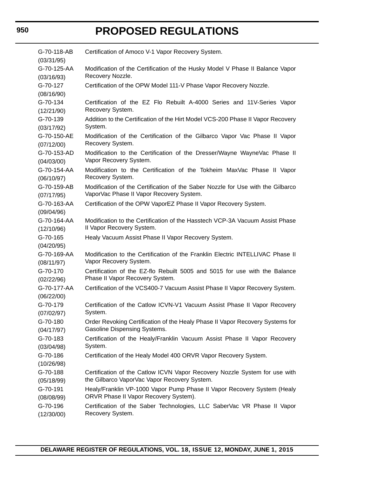| G-70-118-AB               | Certification of Amoco V-1 Vapor Recovery System.                                                  |  |  |
|---------------------------|----------------------------------------------------------------------------------------------------|--|--|
| (03/31/95)<br>G-70-125-AA |                                                                                                    |  |  |
| (03/16/93)                | Modification of the Certification of the Husky Model V Phase II Balance Vapor<br>Recovery Nozzle.  |  |  |
| G-70-127                  | Certification of the OPW Model 111-V Phase Vapor Recovery Nozzle.                                  |  |  |
| (08/16/90)                |                                                                                                    |  |  |
| G-70-134                  | Certification of the EZ Flo Rebuilt A-4000 Series and 11V-Series Vapor                             |  |  |
| (12/21/90)                | Recovery System.                                                                                   |  |  |
| G-70-139                  | Addition to the Certification of the Hirt Model VCS-200 Phase II Vapor Recovery                    |  |  |
| (03/17/92)                | System.                                                                                            |  |  |
| G-70-150-AE               | Modification of the Certification of the Gilbarco Vapor Vac Phase II Vapor                         |  |  |
| (07/12/00)                | Recovery System.                                                                                   |  |  |
| G-70-153-AD<br>(04/03/00) | Modification to the Certification of the Dresser/Wayne WayneVac Phase II<br>Vapor Recovery System. |  |  |
| G-70-154-AA               | Modification to the Certification of the Tokheim MaxVac Phase II Vapor                             |  |  |
| (06/10/97)                | Recovery System.                                                                                   |  |  |
| G-70-159-AB               | Modification of the Certification of the Saber Nozzle for Use with the Gilbarco                    |  |  |
| (07/17/95)                | VaporVac Phase II Vapor Recovery System.                                                           |  |  |
| G-70-163-AA               | Certification of the OPW VaporEZ Phase II Vapor Recovery System.                                   |  |  |
| (09/04/96)                |                                                                                                    |  |  |
| G-70-164-AA               | Modification to the Certification of the Hasstech VCP-3A Vacuum Assist Phase                       |  |  |
| (12/10/96)                | II Vapor Recovery System.                                                                          |  |  |
| G-70-165                  | Healy Vacuum Assist Phase II Vapor Recovery System.                                                |  |  |
| (04/20/95)                |                                                                                                    |  |  |
| G-70-169-AA               | Modification to the Certification of the Franklin Electric INTELLIVAC Phase II                     |  |  |
| (08/11/97)                | Vapor Recovery System.                                                                             |  |  |
| G-70-170                  | Certification of the EZ-flo Rebuilt 5005 and 5015 for use with the Balance                         |  |  |
| (02/22/96)                | Phase II Vapor Recovery System.                                                                    |  |  |
| G-70-177-AA               | Certification of the VCS400-7 Vacuum Assist Phase II Vapor Recovery System.                        |  |  |
| (06/22/00)                |                                                                                                    |  |  |
| G-70-179                  | Certification of the Catlow ICVN-V1 Vacuum Assist Phase II Vapor Recovery                          |  |  |
| (07/02/97)                | System.                                                                                            |  |  |
| G-70-180                  | Order Revoking Certification of the Healy Phase II Vapor Recovery Systems for                      |  |  |
| (04/17/97)                | Gasoline Dispensing Systems.                                                                       |  |  |
| G-70-183                  | Certification of the Healy/Franklin Vacuum Assist Phase II Vapor Recovery                          |  |  |
| (03/04/98)                | System.                                                                                            |  |  |
| G-70-186                  | Certification of the Healy Model 400 ORVR Vapor Recovery System.                                   |  |  |
| (10/26/98)                |                                                                                                    |  |  |
| G-70-188                  | Certification of the Catlow ICVN Vapor Recovery Nozzle System for use with                         |  |  |
| (05/18/99)                | the Gilbarco VaporVac Vapor Recovery System.                                                       |  |  |
| G-70-191                  | Healy/Franklin VP-1000 Vapor Pump Phase II Vapor Recovery System (Healy                            |  |  |
| (08/08/99)                | ORVR Phase II Vapor Recovery System).                                                              |  |  |
| G-70-196                  | Certification of the Saber Technologies, LLC SaberVac VR Phase II Vapor                            |  |  |
| (12/30/00)                | Recovery System.                                                                                   |  |  |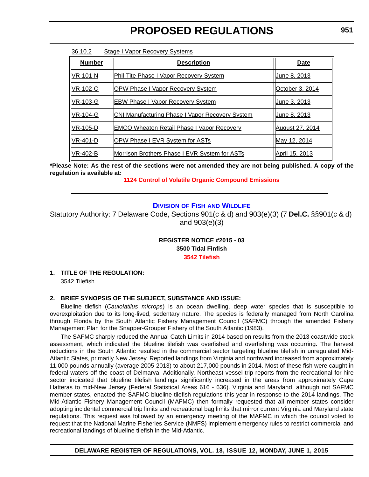| <b>Number</b>   | <b>Description</b>                                     | <b>Date</b>            |
|-----------------|--------------------------------------------------------|------------------------|
| $NR-101-N$      | <b>Phil-Tite Phase I Vapor Recovery System</b>         | June 8. 2013           |
| VR-102-O        | OPW Phase I Vapor Recovery System                      | October 3, 2014        |
| <b>VR-103-G</b> | <b>EBW Phase I Vapor Recovery System</b>               | June 3. 2013           |
| VR-104-G        | <b>CNI Manufacturing Phase I Vapor Recovery System</b> | June 8, 2013           |
| <b>VR-105-D</b> | <b>EMCO Wheaton Retail Phase I Vapor Recovery</b>      | <b>August 27, 2014</b> |
| VR-401-D        | <b>OPW Phase I EVR System for ASTs</b>                 | May 12, 2014           |
| <b>VR-402-B</b> | Morrison Brothers Phase I EVR System for ASTs          | April 15, 2013         |

36.10.2 Stage I Vapor Recovery Systems

**\*Please Note: As the rest of the sections were not amended they are not being published. A copy of the regulation is available at:**

**[1124 Control of Volatile Organic Compound Emissions](http://regulations.delaware.gov/register/june2015/proposed/18 DE Reg 939 06-01-15.htm)**

### **DIVISION OF FISH [AND WILDLIFE](http://www.dnrec.delaware.gov/fw/Pages/FWPortal.aspx)**

Statutory Authority: 7 Delaware Code, Sections 901(c & d) and 903(e)(3) (7 **Del.C.** §§901(c & d) and 903(e)(3)

> **REGISTER NOTICE #2015 - 03 3500 Tidal Finfish [3542 Tilefish](#page-3-0)**

### **1. TITLE OF THE REGULATION:** 3542 Tilefish

### **2. BRIEF SYNOPSIS OF THE SUBJECT, SUBSTANCE AND ISSUE:**

Blueline tilefish (*Caulolatilus microps*) is an ocean dwelling, deep water species that is susceptible to overexploitation due to its long-lived, sedentary nature. The species is federally managed from North Carolina through Florida by the South Atlantic Fishery Management Council (SAFMC) through the amended Fishery Management Plan for the Snapper-Grouper Fishery of the South Atlantic (1983).

The SAFMC sharply reduced the Annual Catch Limits in 2014 based on results from the 2013 coastwide stock assessment, which indicated the blueline tilefish was overfished and overfishing was occurring. The harvest reductions in the South Atlantic resulted in the commercial sector targeting blueline tilefish in unregulated Mid-Atlantic States, primarily New Jersey. Reported landings from Virginia and northward increased from approximately 11,000 pounds annually (average 2005-2013) to about 217,000 pounds in 2014. Most of these fish were caught in federal waters off the coast of Delmarva. Additionally, Northeast vessel trip reports from the recreational for-hire sector indicated that blueline tilefish landings significantly increased in the areas from approximately Cape Hatteras to mid-New Jersey (Federal Statistical Areas 616 - 636). Virginia and Maryland, although not SAFMC member states, enacted the SAFMC blueline tilefish regulations this year in response to the 2014 landings. The Mid-Atlantic Fishery Management Council (MAFMC) then formally requested that all member states consider adopting incidental commercial trip limits and recreational bag limits that mirror current Virginia and Maryland state regulations. This request was followed by an emergency meeting of the MAFMC in which the council voted to request that the National Marine Fisheries Service (NMFS) implement emergency rules to restrict commercial and recreational landings of blueline tilefish in the Mid-Atlantic.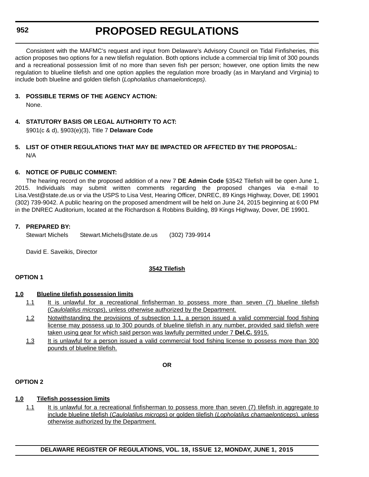### **952**

## **PROPOSED REGULATIONS**

Consistent with the MAFMC's request and input from Delaware's Advisory Council on Tidal Finfisheries, this action proposes two options for a new tilefish regulation. Both options include a commercial trip limit of 300 pounds and a recreational possession limit of no more than seven fish per person; however, one option limits the new regulation to blueline tilefish and one option applies the regulation more broadly (as in Maryland and Virginia) to include both blueline and golden tilefish (*Lopholatilus chamaelonticeps)*.

### **3. POSSIBLE TERMS OF THE AGENCY ACTION:**

None.

**4. STATUTORY BASIS OR LEGAL AUTHORITY TO ACT:**  §901(c & d), §903(e)(3), Title 7 **Delaware Code**

### **5. LIST OF OTHER REGULATIONS THAT MAY BE IMPACTED OR AFFECTED BY THE PROPOSAL:** N/A

### **6. NOTICE OF PUBLIC COMMENT:**

The hearing record on the proposed addition of a new 7 **DE Admin Code** §3542 Tilefish will be open June 1, 2015. Individuals may submit written comments regarding the proposed changes via e-mail to Lisa.Vest@state.de.us or via the USPS to Lisa Vest, Hearing Officer, DNREC, 89 Kings Highway, Dover, DE 19901 (302) 739-9042. A public hearing on the proposed amendment will be held on June 24, 2015 beginning at 6:00 PM in the DNREC Auditorium, located at the Richardson & Robbins Building, 89 Kings Highway, Dover, DE 19901.

### **7. PREPARED BY:**

Stewart Michels Stewart.Michels@state.de.us (302) 739-9914

David E. Saveikis, Director

### **3542 Tilefish**

### **OPTION 1**

### **1.0 Blueline tilefish possession limits**

- 1.1 It is unlawful for a recreational finfisherman to possess more than seven (7) blueline tilefish (*Caulolatilus microps*), unless otherwise authorized by the Department.
- 1.2 Notwithstanding the provisions of subsection 1.1, a person issued a valid commercial food fishing license may possess up to 300 pounds of blueline tilefish in any number, provided said tilefish were taken using gear for which said person was lawfully permitted under 7 **Del.C.** §915.
- 1.3 It is unlawful for a person issued a valid commercial food fishing license to possess more than 300 pounds of blueline tilefish.

**OR**

### **OPTION 2**

### **1.0 Tilefish possession limits**

1.1 It is unlawful for a recreational finfisherman to possess more than seven (7) tilefish in aggregate to include blueline tilefish (*Caulolatilus microps*) or golden tilefish (*Lopholatilus chamaelonticeps*), unless otherwise authorized by the Department.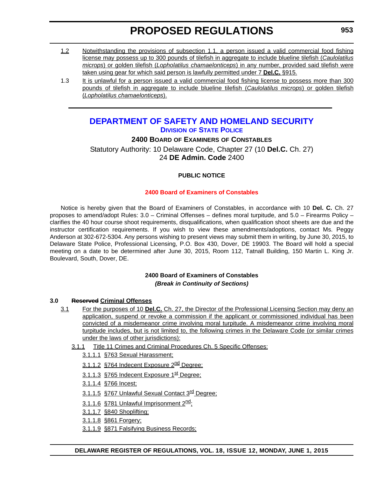- 1.2 Notwithstanding the provisions of subsection 1.1, a person issued a valid commercial food fishing license may possess up to 300 pounds of tilefish in aggregate to include blueline tilefish (*Caulolatilus microps*) or golden tilefish (*Lopholatilus chamaelonticeps*) in any number, provided said tilefish were taken using gear for which said person is lawfully permitted under 7 **Del.C.** §915.
- 1.3 It is unlawful for a person issued a valid commercial food fishing license to possess more than 300 pounds of tilefish in aggregate to include blueline tilefish (*Caulolatilus microps*) or golden tilefish (*Lopholatilus chamaelonticeps*).

## **[DEPARTMENT OF SAFETY AND HOMELAND SECURITY](http://dshs.delaware.gov/) DIVISION [OF STATE POLICE](http://dsp.delaware.gov/)**

### **2400 BOARD OF EXAMINERS OF CONSTABLES**

Statutory Authority: 10 Delaware Code, Chapter 27 (10 **Del.C.** Ch. 27) 24 **DE Admin. Code** 2400

### **PUBLIC NOTICE**

### **[2400 Board of Examiners of Constables](#page-3-0)**

Notice is hereby given that the Board of Examiners of Constables, in accordance with 10 **Del. C.** Ch. 27 proposes to amend/adopt Rules: 3.0 – Criminal Offenses – defines moral turpitude, and 5.0 – Firearms Policy – clarifies the 40 hour course shoot requirements, disqualifications, when qualification shoot sheets are due and the instructor certification requirements. If you wish to view these amendments/adoptions, contact Ms. Peggy Anderson at 302-672-5304. Any persons wishing to present views may submit them in writing, by June 30, 2015, to Delaware State Police, Professional Licensing, P.O. Box 430, Dover, DE 19903. The Board will hold a special meeting on a date to be determined after June 30, 2015, Room 112, Tatnall Building, 150 Martin L. King Jr. Boulevard, South, Dover, DE.

### **2400 Board of Examiners of Constables** *(Break in Continuity of Sections)*

### **3.0 Reserved Criminal Offenses**

- 3.1 For the purposes of 10 **Del.C.** Ch. 27, the Director of the Professional Licensing Section may deny an application, suspend or revoke a commission if the applicant or commissioned individual has been convicted of a misdemeanor crime involving moral turpitude. A misdemeanor crime involving moral turpitude includes, but is not limited to, the following crimes in the Delaware Code (or similar crimes under the laws of other jurisdictions):
	- 3.1.1 Title 11 Crimes and Criminal Procedures Ch. 5 Specific Offenses:
		- 3.1.1.1 §763 Sexual Harassment;
		- 3.1.1.2 §764 Indecent Exposure 2<sup>nd</sup> Degree;
		- 3.1.1.3 §765 Indecent Exposure 1<sup>st</sup> Degree;
		- 3.1.1.4 §766 Incest;
		- 3.1.1.5 §767 Unlawful Sexual Contact 3<sup>rd</sup> Degree;
		- 3.1.1.6 §781 Unlawful Imprisonment 2<sup>nd</sup>;
		- 3.1.1.7 §840 Shoplifting;
		- 3.1.1.8 §861 Forgery;
		- 3.1.1.9 §871 Falsifying Business Records;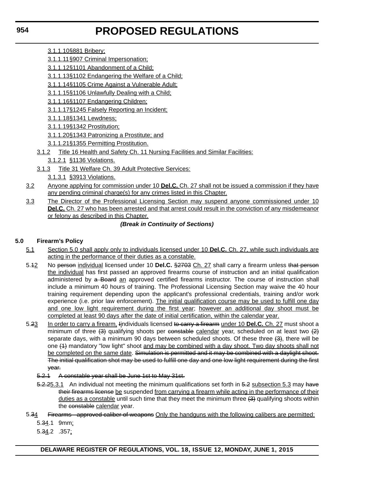- 3.1.1.10§881 Bribery;
- 3.1.1.11§907 Criminal Impersonation;
- 3.1.1.12§1101 Abandonment of a Child;
- 3.1.1.13§1102 Endangering the Welfare of a Child;
- 3.1.1.14§1105 Crime Against a Vulnerable Adult;
- 3.1.1.15§1106 Unlawfully Dealing with a Child;
- 3.1.1.16§1107 Endangering Children;
- 3.1.1.17§1245 Falsely Reporting an Incident;
- 3.1.1.18§1341 Lewdness;
- 3.1.1.19§1342 Prostitution;
- 3.1.1.20§1343 Patronizing a Prostitute; and
- 3.1.1.21§1355 Permitting Prostitution.
- 3.1.2 Title 16 Health and Safety Ch. 11 Nursing Facilities and Similar Facilities:
	- 3.1.2.1 §1136 Violations.
- 3.1.3 Title 31 Welfare Ch. 39 Adult Protective Services:
	- 3.1.3.1 §3913 Violations.
- 3.2 Anyone applying for commission under 10 **Del.C.** Ch. 27 shall not be issued a commission if they have any pending criminal charge(s) for any crimes listed in this Chapter.
- 3.3 The Director of the Professional Licensing Section may suspend anyone commissioned under 10 **Del.C.** Ch. 27 who has been arrested and that arrest could result in the conviction of any misdemeanor or felony as described in this Chapter.

### *(Break in Continuity of Sections)*

### **5.0 Firearm's Policy**

- 5.1 Section 5.0 shall apply only to individuals licensed under 10 **Del.C.** Ch. 27, while such individuals are acting in the performance of their duties as a constable.
- 5.12 No person individual licensed under 10 **Del.C.** §2703 Ch. 27 shall carry a firearm unless that person the individual has first passed an approved firearms course of instruction and an initial qualification administered by a Board an approved certified firearms instructor. The course of instruction shall include a minimum 40 hours of training. The Professional Licensing Section may waive the 40 hour training requirement depending upon the applicant's professional credentials, training and/or work experience (i.e. prior law enforcement). The initial qualification course may be used to fulfill one day and one low light requirement during the first year; however an additional day shoot must be completed at least 90 days after the date of initial certification, within the calendar year.
- 5.23 In order to carry a firearm, Iindividuals licensed to carry a firearm under 10 **Del.C.** Ch. 27 must shoot a minimum of three  $(3)$  qualifying shoots per constable calendar year, scheduled on at least two  $(2)$ separate days, with a minimum 90 days between scheduled shoots. Of these three  $(3)$ , there will be one (4) mandatory "low light" shoot and may be combined with a day shoot. Two day shoots shall not be completed on the same date. Simulation is permitted and it may be combined with a daylight shoot. The initial qualification shot may be used to fulfill one day and one low light requirement during the first year.
	- 5.2.1 A constable year shall be June 1st to May 31st.
	- 5.2.25.3.1 An individual not meeting the minimum qualifications set forth in 5.2 subsection 5.3 may have their firearms license be suspended from carrying a firearm while acting in the performance of their duties as a constable until such time that they meet the minimum three  $(3)$  qualifying shoots within the constable calendar year.
- 5.34 Firearms approved caliber of weapons Only the handguns with the following calibers are permitted:

5.34.1 9mm;

5.34.2 .357;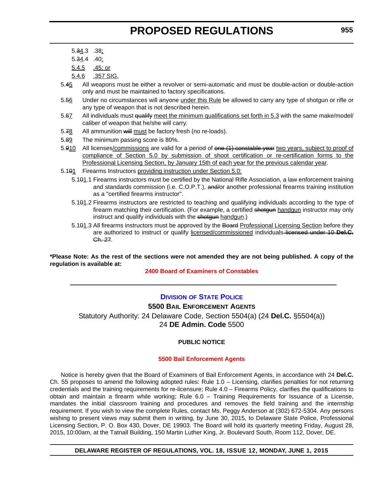- 5.34.3 .38;
- 5.34.4 .40;
- 5.4.5 .45; or
- 5.4.6 .357 SIG.
- 5.45 All weapons must be either a revolver or semi-automatic and must be double-action or double-action only and must be maintained to factory specifications.
- 5.56 Under no circumstances will anyone under this Rule be allowed to carry any type of shotgun or rifle or any type of weapon that is not described herein.
- 5.67 All individuals must qualify meet the minimum qualifications set forth in 5.3 with the same make/model/ caliber of weapon that he/she will carry.
- 5.78 All ammunition will must be factory fresh (no re-loads).
- 5.89 The minimum passing score is 80%.
- 5.910 All licenses/commissions are valid for a period of one (1) constable year two years, subject to proof of compliance of Section 5.0 by submission of shoot certification or re-certification forms to the Professional Licensing Section, by January 15th of each year for the previous calendar year.
- 5.101 Firearms Instructors providing instruction under Section 5.0:
	- 5.101.1 Firearms instructors must be certified by the National Rifle Association, a law enforcement training and standards commission (i.e. C.O.P.T.), and/or another professional firearms training institution as a "certified firearms instructor".
	- 5.101.2 Firearms instructors are restricted to teaching and qualifying individuals according to the type of firearm matching their certification. (For example, a certified shotgun handgun instructor may only instruct and qualify individuals with the shotgun handgun.)
	- 5.101.3 All firearms instructors must be approved by the Board Professional Licensing Section before they are authorized to instruct or qualify licensed/commissioned individuals licensed under 10 **Del.C.** Ch. 27.

**\*Please Note: As the rest of the sections were not amended they are not being published. A copy of the regulation is available at:**

**[2400 Board of Examiners of Constables](http://regulations.delaware.gov/register/june2015/proposed/18 DE Reg 953 06-01-15.htm)**

### **DIVISION [OF STATE POLICE](http://dsp.delaware.gov/)**

**5500 BAIL ENFORCEMENT AGENTS**

Statutory Authority: 24 Delaware Code, Section 5504(a) (24 **Del.C.** §5504(a)) 24 **DE Admin. Code** 5500

### **PUBLIC NOTICE**

### **[5500 Bail Enforcement Agents](#page-3-0)**

Notice is hereby given that the Board of Examiners of Bail Enforcement Agents, in accordance with 24 **Del.C.** Ch. 55 proposes to amend the following adopted rules: Rule 1.0 – Licensing, clarifies penalties for not returning credentials and the training requirements for re-licensure; Rule 4.0 – Firearms Policy, clarifies the qualifications to obtain and maintain a firearm while working; Rule 6.0 – Training Requirements for Issuance of a License, mandates the initial classroom training and procedures and removes the field training and the internship requirement. If you wish to view the complete Rules, contact Ms. Peggy Anderson at (302) 672-5304. Any persons wishing to present views may submit them in writing, by June 30, 2015, to Delaware State Police, Professional Licensing Section, P. O. Box 430, Dover, DE 19903. The Board will hold its quarterly meeting Friday, August 28, 2015, 10:00am, at the Tatnall Building, 150 Martin Luther King, Jr. Boulevard South, Room 112, Dover, DE.

**DELAWARE REGISTER OF REGULATIONS, VOL. 18, ISSUE 12, MONDAY, JUNE 1, 2015**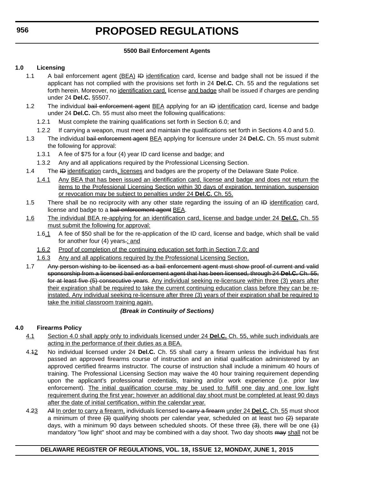### **5500 Bail Enforcement Agents**

### **1.0 Licensing**

- 1.1 A bail enforcement agent (BEA) ID identification card, license and badge shall not be issued if the applicant has not complied with the provisions set forth in 24 **Del.C.** Ch. 55 and the regulations set forth herein. Moreover, no identification card, license and badge shall be issued if charges are pending under 24 **Del.C.** §5507.
- 1.2 The individual bail enforcement agent **BEA** applying for an ID identification card, license and badge under 24 **Del.C.** Ch. 55 must also meet the following qualifications:
	- 1.2.1 Must complete the training qualifications set forth in Section 6.0; and
	- 1.2.2 If carrying a weapon, must meet and maintain the qualifications set forth in Sections 4.0 and 5.0.
- 1.3 The individual bail enforcement agent BEA applying for licensure under 24 **Del.C.** Ch. 55 must submit the following for approval:
	- 1.3.1 A fee of \$75 for a four (4) year ID card license and badge; and
	- 1.3.2 Any and all applications required by the Professional Licensing Section.
- 1.4 The ID identification cards, licenses and badges are the property of the Delaware State Police.
	- 1.4.1 Any BEA that has been issued an identification card, license and badge and does not return the items to the Professional Licensing Section within 30 days of expiration, termination, suspension or revocation may be subject to penalties under 24 **Del.C.** Ch. 55.
- 1.5 There shall be no reciprocity with any other state regarding the issuing of an ID identification card, license and badge to a bail enforcement agent BEA.
- 1.6 The individual BEA re-applying for an identification card, license and badge under 24 **Del.C.** Ch. 55 must submit the following for approval:
	- 1.6.1 A fee of \$50 shall be for the re-application of the ID card, license and badge, which shall be valid for another four (4) years.; and
	- 1.6.2 Proof of completion of the continuing education set forth in Section 7.0; and
	- 1.6.3 Any and all applications required by the Professional Licensing Section.
- 1.7 Any person wishing to be licensed as a bail enforcement agent must show proof of current and valid sponsorship from a licensed bail enforcement agent that has been licensed, through 24 **Del.C.** Ch. 55, for at least five (5) consecutive years. Any individual seeking re-licensure within three (3) years after their expiration shall be required to take the current continuing education class before they can be reinstated. Any individual seeking re-licensure after three (3) years of their expiration shall be required to take the initial classroom training again.

## *(Break in Continuity of Sections)*

## **4.0 Firearms Policy**

- 4.1 Section 4.0 shall apply only to individuals licensed under 24 **Del.C.** Ch. 55, while such individuals are acting in the performance of their duties as a BEA.
- 4.12 No individual licensed under 24 **Del.C.** Ch. 55 shall carry a firearm unless the individual has first passed an approved firearms course of instruction and an initial qualification administered by an approved certified firearms instructor. The course of instruction shall include a minimum 40 hours of training. The Professional Licensing Section may waive the 40 hour training requirement depending upon the applicant's professional credentials, training and/or work experience (i.e. prior law enforcement). The initial qualification course may be used to fulfill one day and one low light requirement during the first year; however an additional day shoot must be completed at least 90 days after the date of initial certification, within the calendar year.
- 4.23 All In order to carry a firearm, individuals licensed to carry a firearm under 24 **Del.C.** Ch. 55 must shoot a minimum of three  $(3)$  qualifying shoots per calendar year, scheduled on at least two  $(2)$  separate days, with a minimum 90 days between scheduled shoots. Of these three  $(3)$ , there will be one  $(1)$ mandatory "low light" shoot and may be combined with a day shoot. Two day shoots may shall not be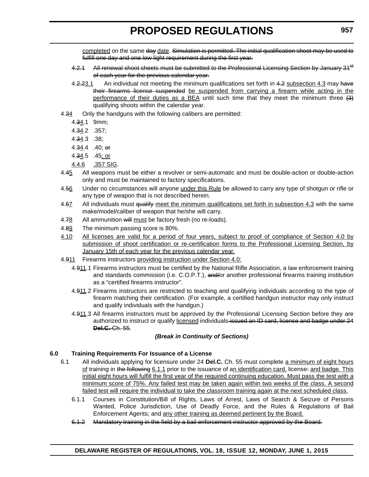completed on the same day date. Simulation is permitted. The initial qualification shoot may be used to fulfill one day and one low light requirement during the first year.

- 4.2.1 All renewal shoot sheets must be submitted to the Professional Licensing Section by January 31<sup>st</sup> of each year for the previous calendar year.
- 4.2.23.1 An individual not meeting the minimum qualifications set forth in 4.2 subsection 4.3 may have their firearms license suspended be suspended from carrying a firearm while acting in the performance of their duties as a BEA until such time that they meet the minimum three  $(3)$ qualifying shoots within the calendar year.
- 4.34 Only the handguns with the following calibers are permitted:
	- 4.34.1 9mm;
	- 4.34.2 .357;
	- 4.34.3 .38;
	- 4.34.4 .40; or
	- 4.34.5 .45; or
	- 4.4.6 .357 SIG.
- 4.45 All weapons must be either a revolver or semi-automatic and must be double-action or double-action only and must be maintained to factory specifications.
- 4.56 Under no circumstances will anyone under this Rule be allowed to carry any type of shotgun or rifle or any type of weapon that is not described herein.
- 4.67 All individuals must qualify meet the minimum qualifications set forth in subsection 4.3 with the same make/model/caliber of weapon that he/she will carry.
- 4.78 All ammunition will must be factory fresh (no re-loads).
- 4.89 The minimum passing score is 80%.
- 4.10 All licenses are valid for a period of four years, subject to proof of compliance of Section 4.0 by submission of shoot certification or re-certification forms to the Professional Licensing Section, by January 15th of each year for the previous calendar year.
- 4.911 Firearms instructors providing instruction under Section 4.0:
	- 4.911.1 Firearms instructors must be certified by the National Rifle Association, a law enforcement training and standards commission (i.e. C.O.P.T.), and/or another professional firearms training institution as a "certified firearms instructor".
	- 4.911.2 Firearms instructors are restricted to teaching and qualifying individuals according to the type of firearm matching their certification. (For example, a certified handgun instructor may only instruct and qualify individuals with the handgun.)
	- 4.911.3 All firearms instructors must be approved by the Professional Licensing Section before they are authorized to instruct or qualify licensed individuals-issued an ID card, license and badge under 24 **Del.C.** Ch. 55.

### *(Break in Continuity of Sections)*

### **6.0 Training Requirements For Issuance of a License**

- 6.1 All individuals applying for licensure under 24 **Del.C.** Ch. 55 must complete a minimum of eight hours of training in the following 6.1.1 prior to the issuance of an identification card, license: and badge. This initial eight hours will fulfill the first year of the required continuing education. Must pass the test with a minimum score of 75%. Any failed test may be taken again within two weeks of the class. A second failed test will require the individual to take the classroom training again at the next scheduled class.
	- 6.1.1 Courses in Constitution/Bill of Rights, Laws of Arrest, Laws of Search & Seizure of Persons Wanted, Police Jurisdiction, Use of Deadly Force, and the Rules & Regulations of Bail Enforcement Agents; and any other training as deemed pertinent by the Board.
	- 6.1.2 Mandatory training in the field by a bail enforcement instructor approved by the Board.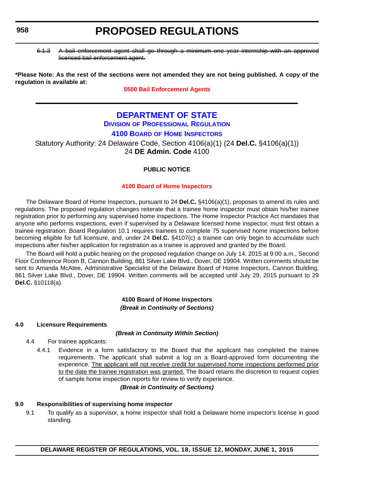6.1.3 A bail enforcement agent shall go through a minimum one year internship with an approved licensed bail enforcement agent.

**\*Please Note: As the rest of the sections were not amended they are not being published. A copy of the regulation is available at:**

**[5500 Bail Enforcement Agents](http://regulations.delaware.gov/register/june2015/proposed/18 DE Reg 955 06-01-15.htm)**

## **[DEPARTMENT OF STATE](http://sos.delaware.gov/)**

## **DIVISION [OF PROFESSIONAL REGULATION](http://dpr.delaware.gov/)**

## **4100 BOARD [OF HOME INSPECTORS](http://dpr.delaware.gov/boards/homeinspector/index.shtml)**

Statutory Authority: 24 Delaware Code, Section 4106(a)(1) (24 **Del.C.** §4106(a)(1)) 24 **DE Admin. Code** 4100

### **PUBLIC NOTICE**

### **[4100 Board of Home Inspectors](#page-3-0)**

The Delaware Board of Home Inspectors, pursuant to 24 **Del.C.** §4106(a)(1), proposes to amend its rules and regulations*.* The proposed regulation changes reiterate that a trainee home inspector must obtain his/her trainee registration prior to performing any supervised home inspections. The Home Inspector Practice Act mandates that anyone who performs inspections, even if supervised by a Delaware licensed home inspector, must first obtain a trainee registration. Board Regulation 10.1 requires trainees to complete 75 supervised home inspections before becoming eligible for full licensure, and, under 24 **Del.C.** §4107(c) a trainee can only begin to accumulate such inspections after his/her application for registration as a trainee is approved and granted by the Board.

The Board will hold a public hearing on the proposed regulation change on July 14, 2015 at 9:00 a.m., Second Floor Conference Room B, Cannon Building, 861 Silver Lake Blvd., Dover, DE 19904. Written comments should be sent to Amanda McAtee, Administrative Specialist of the Delaware Board of Home Inspectors, Cannon Building, 861 Silver Lake Blvd., Dover, DE 19904. Written comments will be accepted until July 29, 2015 pursuant to 29 **Del.C.** §10118(a).

### **4100 Board of Home Inspectors** *(Break in Continuity of Sections)*

### **4.0 Licensure Requirements**

### *(Break in Continuity Within Section)*

- 4.4 For trainee applicants:
	- 4.4.1 Evidence in a form satisfactory to the Board that the applicant has completed the trainee requirements. The applicant shall submit a log on a Board-approved form documenting the experience. The applicant will not receive credit for supervised home inspections performed prior to the date the trainee registration was granted. The Board retains the discretion to request copies of sample home inspection reports for review to verify experience.

### *(Break in Continuity of Sections)*

### **9.0 Responsibilities of supervising home inspector**

9.1 To qualify as a supervisor, a home inspector shall hold a Delaware home inspector's license in good standing.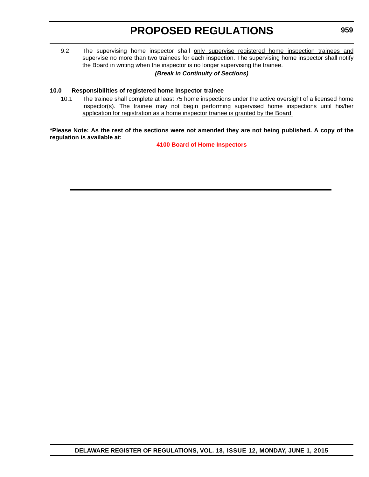9.2 The supervising home inspector shall only supervise registered home inspection trainees and supervise no more than two trainees for each inspection. The supervising home inspector shall notify the Board in writing when the inspector is no longer supervising the trainee.

### *(Break in Continuity of Sections)*

### **10.0 Responsibilities of registered home inspector trainee**

10.1 The trainee shall complete at least 75 home inspections under the active oversight of a licensed home inspector(s). The trainee may not begin performing supervised home inspections until his/her application for registration as a home inspector trainee is granted by the Board.

**\*Please Note: As the rest of the sections were not amended they are not being published. A copy of the regulation is available at:**

**[4100 Board of Home Inspectors](http://regulations.delaware.gov/register/june2015/proposed/18 DE Reg 958 06-01-15.htm)**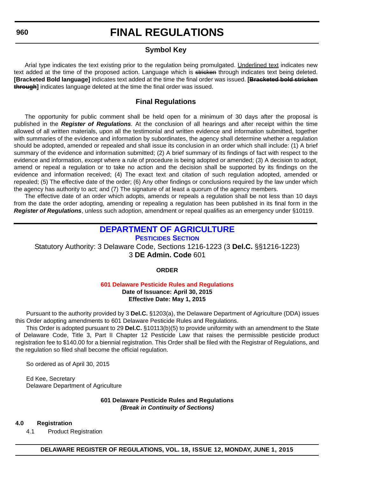### **Symbol Key**

Arial type indicates the text existing prior to the regulation being promulgated. Underlined text indicates new text added at the time of the proposed action. Language which is stricken through indicates text being deleted. **[Bracketed Bold language]** indicates text added at the time the final order was issued. **[Bracketed bold stricken through]** indicates language deleted at the time the final order was issued.

### **Final Regulations**

The opportunity for public comment shall be held open for a minimum of 30 days after the proposal is published in the *Register of Regulations*. At the conclusion of all hearings and after receipt within the time allowed of all written materials, upon all the testimonial and written evidence and information submitted, together with summaries of the evidence and information by subordinates, the agency shall determine whether a regulation should be adopted, amended or repealed and shall issue its conclusion in an order which shall include: (1) A brief summary of the evidence and information submitted; (2) A brief summary of its findings of fact with respect to the evidence and information, except where a rule of procedure is being adopted or amended; (3) A decision to adopt, amend or repeal a regulation or to take no action and the decision shall be supported by its findings on the evidence and information received; (4) The exact text and citation of such regulation adopted, amended or repealed; (5) The effective date of the order; (6) Any other findings or conclusions required by the law under which the agency has authority to act; and (7) The signature of at least a quorum of the agency members.

The effective date of an order which adopts, amends or repeals a regulation shall be not less than 10 days from the date the order adopting, amending or repealing a regulation has been published in its final form in the *Register of Regulations*, unless such adoption, amendment or repeal qualifies as an emergency under §10119.

## **[DEPARTMENT OF AGRICULTURE](http://dda.delaware.gov/index.shtml)**

**[PESTICIDES SECTION](http://dda.delaware.gov/pesticides/)**

Statutory Authority: 3 Delaware Code, Sections 1216-1223 (3 **Del.C.** §§1216-1223) 3 **DE Admin. Code** 601

**ORDER**

## **[601 Delaware Pesticide Rules and Regulations](#page-3-0)**

**Date of Issuance: April 30, 2015 Effective Date: May 1, 2015**

Pursuant to the authority provided by 3 **Del.C.** §1203(a), the Delaware Department of Agriculture (DDA) issues this Order adopting amendments to 601 Delaware Pesticide Rules and Regulations.

This Order is adopted pursuant to 29 **Del.C.** §10113(b)(5) to provide uniformity with an amendment to the State of Delaware Code, Title 3, Part II Chapter 12 Pesticide Law that raises the permissible pesticide product registration fee to \$140.00 for a biennial registration. This Order shall be filed with the Registrar of Regulations, and the regulation so filed shall become the official regulation.

So ordered as of April 30, 2015

Ed Kee, Secretary Delaware Department of Agriculture

> **601 Delaware Pesticide Rules and Regulations** *(Break in Continuity of Sections)*

### **4.0 Registration**

4.1 Product Registration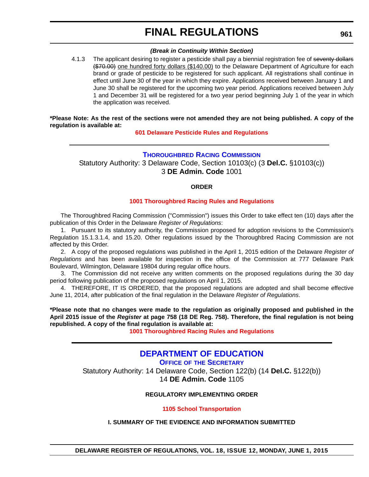### *(Break in Continuity Within Section)*

4.1.3 The applicant desiring to register a pesticide shall pay a biennial registration fee of seventy dollars (\$70.00) one hundred forty dollars (\$140.00) to the Delaware Department of Agriculture for each brand or grade of pesticide to be registered for such applicant. All registrations shall continue in effect until June 30 of the year in which they expire. Applications received between January 1 and June 30 shall be registered for the upcoming two year period. Applications received between July 1 and December 31 will be registered for a two year period beginning July 1 of the year in which the application was received.

**\*Please Note: As the rest of the sections were not amended they are not being published. A copy of the regulation is available at:**

**[601 Delaware Pesticide Rules and Regulations](http://regulations.delaware.gov/register/june2015/final/18 DE Reg 960 06-01-15.htm)**

### **[THOROUGHBRED RACING COMMISSION](http://dda.delaware.gov/thoroughbred/)**

Statutory Authority: 3 Delaware Code, Section 10103(c) (3 **Del.C.** §10103(c)) 3 **DE Admin. Code** 1001

### **ORDER**

### **[1001 Thoroughbred Racing Rules and Regulations](#page-3-0)**

The Thoroughbred Racing Commission ("Commission") issues this Order to take effect ten (10) days after the publication of this Order in the Delaware *Register of Regulations*:

1. Pursuant to its statutory authority, the Commission proposed for adoption revisions to the Commission's Regulation 15.1.3.1.4, and 15.20. Other regulations issued by the Thoroughbred Racing Commission are not affected by this Order.

2. A copy of the proposed regulations was published in the April 1, 2015 edition of the Delaware *Register of Regulations* and has been available for inspection in the office of the Commission at 777 Delaware Park Boulevard, Wilmington, Delaware 19804 during regular office hours.

3. The Commission did not receive any written comments on the proposed regulations during the 30 day period following publication of the proposed regulations on April 1, 2015.

4. THEREFORE, IT IS ORDERED, that the proposed regulations are adopted and shall become effective June 11, 2014, after publication of the final regulation in the Delaware *Register of Regulations*.

**\*Please note that no changes were made to the regulation as originally proposed and published in the April 2015 issue of the** *Register* **at page 758 (18 DE Reg. 758). Therefore, the final regulation is not being republished. A copy of the final regulation is available at:**

**[1001 Thoroughbred Racing Rules and Regulations](http://regulations.delaware.gov/register/june2015/final/18 DE Reg 961 06-01-15.htm)**

## **[DEPARTMENT OF EDUCATION](http://www.doe.k12.de.us/site/default.aspx?PageID=1)**

**OFFICE OF [THE SECRETARY](http://www.doe.k12.de.us/site/default.aspx?PageID=1)**

Statutory Authority: 14 Delaware Code, Section 122(b) (14 **Del.C.** §122(b)) 14 **DE Admin. Code** 1105

### **REGULATORY IMPLEMENTING ORDER**

**[1105 School Transportation](#page-3-0)**

### **I. SUMMARY OF THE EVIDENCE AND INFORMATION SUBMITTED**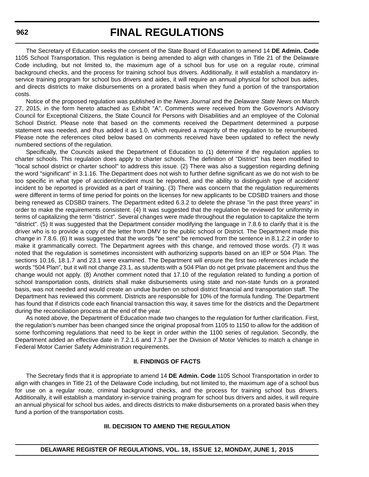The Secretary of Education seeks the consent of the State Board of Education to amend 14 **DE Admin. Code** 1105 School Transportation. This regulation is being amended to align with changes in Title 21 of the Delaware Code including, but not limited to, the maximum age of a school bus for use on a regular route, criminal background checks, and the process for training school bus drivers. Additionally, it will establish a mandatory inservice training program for school bus drivers and aides, it will require an annual physical for school bus aides, and directs districts to make disbursements on a prorated basis when they fund a portion of the transportation costs.

Notice of the proposed regulation was published in the *News Journal* and the *Delaware State News* on March 27, 2015, in the form hereto attached as Exhibit "A". Comments were received from the Governor's Advisory Council for Exceptional Citizens, the State Council for Persons with Disabilities and an employee of the Colonial School District. Please note that based on the comments received the Department determined a purpose statement was needed, and thus added it as 1.0, which required a majority of the regulation to be renumbered. Please note the references cited below based on comments received have been updated to reflect the newly numbered sections of the regulation.

Specifically, the Councils asked the Department of Education to (1) determine if the regulation applies to charter schools. This regulation does apply to charter schools. The definition of "District" has been modified to "local school district or charter school" to address this issue. (2) There was also a suggestion regarding defining the word "significant" in 3.1.16. The Department does not wish to further define significant as we do not wish to be too specific in what type of accident/incident must be reported, and the ability to distinguish type of accident/ incident to be reported is provided as a part of training. (3) There was concern that the regulation requirements were different in terms of time period for points on the licenses for new applicants to be CDSBD trainers and those being renewed as CDSBD trainers. The Department edited 6.3.2 to delete the phrase "in the past three years" in order to make the requirements consistent. (4) It was suggested that the regulation be reviewed for uniformity in terms of capitalizing the term "district". Several changes were made throughout the regulation to capitalize the term "district". (5) It was suggested that the Department consider modifying the language in 7.8.6 to clarify that it is the driver who is to provide a copy of the letter from DMV to the public school or District. The Department made this change in 7.8.6. (6) It was suggested that the words "be sent" be removed from the sentence in 8.1.2.2 in order to make it grammatically correct. The Department agrees with this change, and removed those words. (7) It was noted that the regulation is sometimes inconsistent with authorizing supports based on an IEP or 504 Plan. The sections 10.16, 18.1.7 and 23.1 were examined. The Department will ensure the first two references include the words "504 Plan", but it will not change 23.1, as students with a 504 Plan do not get private placement and thus the change would not apply. (8) Another comment noted that 17.10 of the regulation related to funding a portion of school transportation costs, districts shall make disbursements using state and non-state funds on a prorated basis, was not needed and would create an undue burden on school district financial and transportation staff. The Department has reviewed this comment. Districts are responsible for 10% of the formula funding. The Department has found that if districts code each financial transaction this way, it saves time for the districts and the Department during the reconciliation process at the end of the year.

As noted above, the Department of Education made two changes to the regulation for further clarification. First, the regulation's number has been changed since the original proposal from 1105 to 1150 to allow for the addition of some forthcoming regulations that need to be kept in order within the 1100 series of regulation. Secondly, the Department added an effective date in 7.2.1.6 and 7.3.7 per the Division of Motor Vehicles to match a change in Federal Motor Carrier Safety Administration requirements.

### **II. FINDINGS OF FACTS**

The Secretary finds that it is appropriate to amend 14 **DE Admin. Code** 1105 School Transportation in order to align with changes in Title 21 of the Delaware Code including, but not limited to, the maximum age of a school bus for use on a regular route, criminal background checks, and the process for training school bus drivers. Additionally, it will establish a mandatory in-service training program for school bus drivers and aides, it will require an annual physical for school bus aides, and directs districts to make disbursements on a prorated basis when they fund a portion of the transportation costs.

### **III. DECISION TO AMEND THE REGULATION**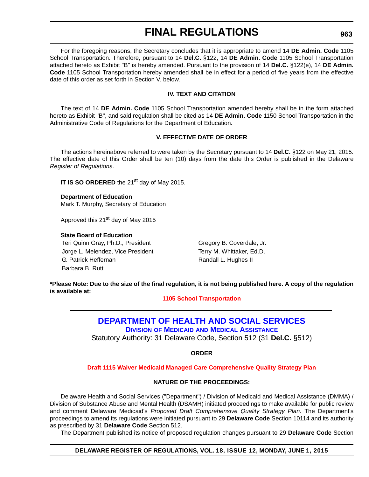For the foregoing reasons, the Secretary concludes that it is appropriate to amend 14 **DE Admin. Code** 1105 School Transportation. Therefore, pursuant to 14 **Del.C.** §122, 14 **DE Admin. Code** 1105 School Transportation attached hereto as Exhibit "B" is hereby amended. Pursuant to the provision of 14 **Del.C.** §122(e), 14 **DE Admin. Code** 1105 School Transportation hereby amended shall be in effect for a period of five years from the effective date of this order as set forth in Section V. below.

### **IV. TEXT AND CITATION**

The text of 14 **DE Admin. Code** 1105 School Transportation amended hereby shall be in the form attached hereto as Exhibit "B", and said regulation shall be cited as 14 **DE Admin. Code** 1150 School Transportation in the Administrative Code of Regulations for the Department of Education.

### **V. EFFECTIVE DATE OF ORDER**

The actions hereinabove referred to were taken by the Secretary pursuant to 14 **Del.C.** §122 on May 21, 2015. The effective date of this Order shall be ten (10) days from the date this Order is published in the Delaware *Register of Regulations*.

**IT IS SO ORDERED** the 21<sup>st</sup> day of May 2015.

**Department of Education** Mark T. Murphy, Secretary of Education

Approved this 21<sup>st</sup> day of May 2015

### **State Board of Education**

Teri Quinn Gray, Ph.D., President Gregory B. Coverdale, Jr. Jorge L. Melendez, Vice President Terry M. Whittaker, Ed.D. G. Patrick Heffernan **Randall L. Hughes II** Barbara B. Rutt

**\*Please Note: Due to the size of the final regulation, it is not being published here. A copy of the regulation is available at:**

**[1105 School Transportation](http://regulations.delaware.gov/register/june2015/final/18 DE Reg 961a 06-01-15.htm)**

## **[DEPARTMENT OF HEALTH AND SOCIAL SERVICES](http://www.dhss.delaware.gov/dhss/index.html)**

**DIVISION OF MEDICAID [AND MEDICAL ASSISTANCE](http://www.dhss.delaware.gov/dhss/dmma/)**

Statutory Authority: 31 Delaware Code, Section 512 (31 **Del.C.** §512)

**ORDER**

### **[Draft 1115 Waiver Medicaid Managed Care Comprehensive Quality Strategy Plan](#page-4-0)**

### **NATURE OF THE PROCEEDINGS:**

Delaware Health and Social Services ("Department") / Division of Medicaid and Medical Assistance (DMMA) / Division of Substance Abuse and Mental Health (DSAMH) initiated proceedings to make available for public review and comment Delaware Medicaid's *Proposed Draft Comprehensive Quality Strategy Plan*. The Department's proceedings to amend its regulations were initiated pursuant to 29 **Delaware Code** Section 10114 and its authority as prescribed by 31 **Delaware Code** Section 512.

The Department published its notice of proposed regulation changes pursuant to 29 **Delaware Code** Section

### **DELAWARE REGISTER OF REGULATIONS, VOL. 18, ISSUE 12, MONDAY, JUNE 1, 2015**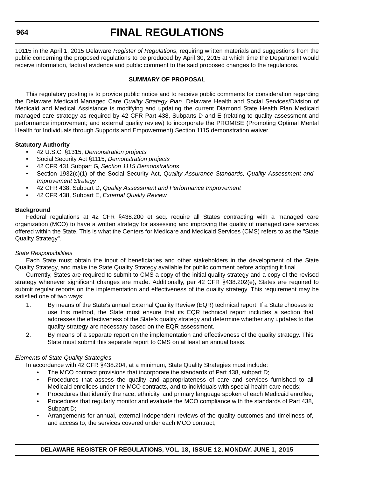### **964**

# **FINAL REGULATIONS**

10115 in the April 1, 2015 Delaware *Register of Regulations*, requiring written materials and suggestions from the public concerning the proposed regulations to be produced by April 30, 2015 at which time the Department would receive information, factual evidence and public comment to the said proposed changes to the regulations.

### **SUMMARY OF PROPOSAL**

This regulatory posting is to provide public notice and to receive public comments for consideration regarding the Delaware Medicaid Managed Care *Quality Strategy Plan*. Delaware Health and Social Services/Division of Medicaid and Medical Assistance is modifying and updating the current Diamond State Health Plan Medicaid managed care strategy as required by 42 CFR Part 438, Subparts D and E (relating to quality assessment and performance improvement; and external quality review) to incorporate the PROMISE (Promoting Optimal Mental Health for Individuals through Supports and Empowerment) Section 1115 demonstration waiver.

### **Statutory Authority**

- 42 U.S.C. §1315, *Demonstration projects*
- Social Security Act §1115, *Demonstration projects*
- 42 CFR 431 Subpart G, *Section 1115 Demonstrations*
- Section 1932(c)(1) of the Social Security Act, *Quality Assurance Standards, Quality Assessment and Improvement Strategy*
- 42 CFR 438, Subpart D, *Quality Assessment and Performance Improvement*
- 42 CFR 438, Subpart E, *External Quality Review*

### **Background**

Federal regulations at 42 CFR §438.200 et seq. require all States contracting with a managed care organization (MCO) to have a written strategy for assessing and improving the quality of managed care services offered within the State. This is what the Centers for Medicare and Medicaid Services (CMS) refers to as the "State Quality Strategy".

### *State Responsibilities*

Each State must obtain the input of beneficiaries and other stakeholders in the development of the State Quality Strategy, and make the State Quality Strategy available for public comment before adopting it final.

Currently, States are required to submit to CMS a copy of the initial quality strategy and a copy of the revised strategy whenever significant changes are made. Additionally, per 42 CFR §438.202(e), States are required to submit regular reports on the implementation and effectiveness of the quality strategy. This requirement may be satisfied one of two ways:

- 1. By means of the State's annual External Quality Review (EQR) technical report. If a State chooses to use this method, the State must ensure that its EQR technical report includes a section that addresses the effectiveness of the State's quality strategy and determine whether any updates to the quality strategy are necessary based on the EQR assessment.
- 2. By means of a separate report on the implementation and effectiveness of the quality strategy. This State must submit this separate report to CMS on at least an annual basis.

### *Elements of State Quality Strategies*

In accordance with 42 CFR §438.204, at a minimum, State Quality Strategies must include:

- The MCO contract provisions that incorporate the standards of Part 438, subpart D;
- Procedures that assess the quality and appropriateness of care and services furnished to all Medicaid enrollees under the MCO contracts, and to individuals with special health care needs;
- Procedures that identify the race, ethnicity, and primary language spoken of each Medicaid enrollee;
- Procedures that regularly monitor and evaluate the MCO compliance with the standards of Part 438, Subpart D;
- Arrangements for annual, external independent reviews of the quality outcomes and timeliness of, and access to, the services covered under each MCO contract;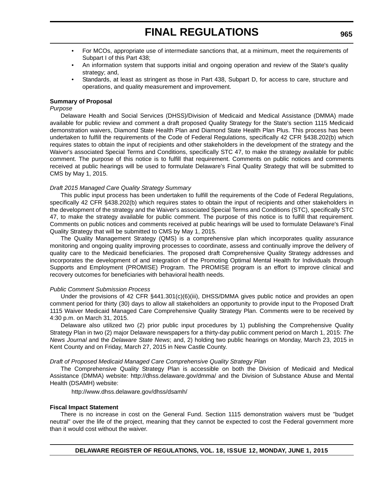- For MCOs, appropriate use of intermediate sanctions that, at a minimum, meet the requirements of Subpart I of this Part 438;
- An information system that supports initial and ongoing operation and review of the State's quality strategy; and,
- Standards, at least as stringent as those in Part 438, Subpart D, for access to care, structure and operations, and quality measurement and improvement.

### **Summary of Proposal**

#### *Purpose*

Delaware Health and Social Services (DHSS)/Division of Medicaid and Medical Assistance (DMMA) made available for public review and comment a draft proposed Quality Strategy for the State's section 1115 Medicaid demonstration waivers, Diamond State Health Plan and Diamond State Health Plan Plus. This process has been undertaken to fulfill the requirements of the Code of Federal Regulations, specifically 42 CFR §438.202(b) which requires states to obtain the input of recipients and other stakeholders in the development of the strategy and the Waiver's associated Special Terms and Conditions, specifically STC 47, to make the strategy available for public comment. The purpose of this notice is to fulfill that requirement. Comments on public notices and comments received at public hearings will be used to formulate Delaware's Final Quality Strategy that will be submitted to CMS by May 1, 2015.

#### *Draft 2015 Managed Care Quality Strategy Summary*

This public input process has been undertaken to fulfill the requirements of the Code of Federal Regulations, specifically 42 CFR §438.202(b) which requires states to obtain the input of recipients and other stakeholders in the development of the strategy and the Waiver's associated Special Terms and Conditions (STC), specifically STC 47, to make the strategy available for public comment. The purpose of this notice is to fulfill that requirement. Comments on public notices and comments received at public hearings will be used to formulate Delaware's Final Quality Strategy that will be submitted to CMS by May 1, 2015.

The Quality Management Strategy (QMS) is a comprehensive plan which incorporates quality assurance monitoring and ongoing quality improving processes to coordinate, assess and continually improve the delivery of quality care to the Medicaid beneficiaries. The proposed draft Comprehensive Quality Strategy addresses and incorporates the development of and integration of the Promoting Optimal Mental Health for Individuals through Supports and Employment (PROMISE) Program. The PROMISE program is an effort to improve clinical and recovery outcomes for beneficiaries with behavioral health needs.

### *Public Comment Submission Process*

Under the provisions of 42 CFR §441.301(c)(6)(iii), DHSS/DMMA gives public notice and provides an open comment period for thirty (30) days to allow all stakeholders an opportunity to provide input to the Proposed Draft 1115 Waiver Medicaid Managed Care Comprehensive Quality Strategy Plan. Comments were to be received by 4:30 p.m. on March 31, 2015.

Delaware also utilized two (2) prior public input procedures by 1) publishing the Comprehensive Quality Strategy Plan in two (2) major Delaware newspapers for a thirty-day public comment period on March 1, 2015: *The News Journal* and the *Delaware State News*; and, 2) holding two public hearings on Monday, March 23, 2015 in Kent County and on Friday, March 27, 2015 in New Castle County.

#### *Draft of Proposed Medicaid Managed Care Comprehensive Quality Strategy Plan*

The Comprehensive Quality Strategy Plan is accessible on both the Division of Medicaid and Medical Assistance (DMMA) website: http://dhss.delaware.gov/dmma/ and the Division of Substance Abuse and Mental Health (DSAMH) website:

http://www.dhss.delaware.gov/dhss/dsamh/

### **Fiscal Impact Statement**

There is no increase in cost on the General Fund. Section 1115 demonstration waivers must be "budget neutral" over the life of the project, meaning that they cannot be expected to cost the Federal government more than it would cost without the waiver.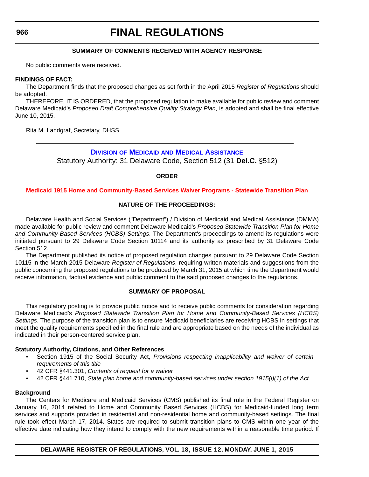#### **966**

## **FINAL REGULATIONS**

### **SUMMARY OF COMMENTS RECEIVED WITH AGENCY RESPONSE**

No public comments were received.

### **FINDINGS OF FACT:**

The Department finds that the proposed changes as set forth in the April 2015 *Register of Regulations* should be adopted.

THEREFORE, IT IS ORDERED, that the proposed regulation to make available for public review and comment Delaware Medicaid's *Proposed Draft Comprehensive Quality Strategy Plan*, is adopted and shall be final effective June 10, 2015.

Rita M. Landgraf, Secretary, DHSS

## **DIVISION OF MEDICAID [AND MEDICAL ASSISTANCE](http://www.dhss.delaware.gov/dhss/dmma/)**

Statutory Authority: 31 Delaware Code, Section 512 (31 **Del.C.** §512)

### **ORDER**

### **[Medicaid 1915 Home and Community-Based Services Waiver Programs - Statewide Transition Plan](#page-4-0)**

### **NATURE OF THE PROCEEDINGS:**

Delaware Health and Social Services ("Department") / Division of Medicaid and Medical Assistance (DMMA) made available for public review and comment Delaware Medicaid's *Proposed Statewide Transition Plan for Home and Community-Based Services (HCBS) Settings*. The Department's proceedings to amend its regulations were initiated pursuant to 29 Delaware Code Section 10114 and its authority as prescribed by 31 Delaware Code Section 512.

The Department published its notice of proposed regulation changes pursuant to 29 Delaware Code Section 10115 in the March 2015 Delaware *Register of Regulations*, requiring written materials and suggestions from the public concerning the proposed regulations to be produced by March 31, 2015 at which time the Department would receive information, factual evidence and public comment to the said proposed changes to the regulations.

### **SUMMARY OF PROPOSAL**

This regulatory posting is to provide public notice and to receive public comments for consideration regarding Delaware Medicaid's *Proposed Statewide Transition Plan for Home and Community-Based Services (HCBS) Settings*. The purpose of the transition plan is to ensure Medicaid beneficiaries are receiving HCBS in settings that meet the quality requirements specified in the final rule and are appropriate based on the needs of the individual as indicated in their person-centered service plan.

### **Statutory Authority, Citations, and Other References**

- Section 1915 of the Social Security Act, *Provisions respecting inapplicability and waiver of certain requirements of this title*
- 42 CFR §441.301, *Contents of request for a waiver*
- 42 CFR §441.710, *State plan home and community-based services under section 1915(i)(1) of the Act*

### **Background**

The Centers for Medicare and Medicaid Services (CMS) published its final rule in the Federal Register on January 16, 2014 related to Home and Community Based Services (HCBS) for Medicaid-funded long term services and supports provided in residential and non-residential home and community-based settings. The final rule took effect March 17, 2014. States are required to submit transition plans to CMS within one year of the effective date indicating how they intend to comply with the new requirements within a reasonable time period. If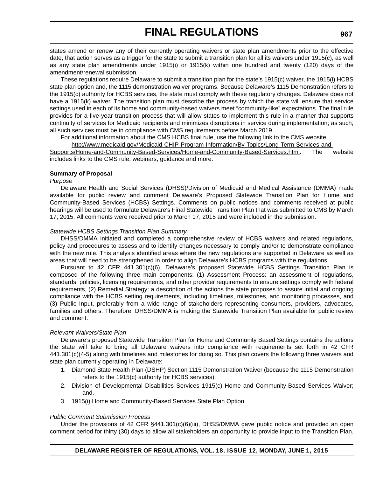states amend or renew any of their currently operating waivers or state plan amendments prior to the effective date, that action serves as a trigger for the state to submit a transition plan for all its waivers under 1915(c), as well as any state plan amendments under 1915(i) or 1915(k) within one hundred and twenty (120) days of the amendment/renewal submission.

These regulations require Delaware to submit a transition plan for the state's 1915(c) waiver, the 1915(i) HCBS state plan option and, the 1115 demonstration waiver programs. Because Delaware's 1115 Demonstration refers to the 1915(c) authority for HCBS services, the state must comply with these regulatory changes. Delaware does not have a 1915(k) waiver. The transition plan must describe the process by which the state will ensure that service settings used in each of its home and community-based waivers meet "community-like" expectations. The final rule provides for a five-year transition process that will allow states to implement this rule in a manner that supports continuity of services for Medicaid recipients and minimizes disruptions in service during implementation; as such, all such services must be in compliance with CMS requirements before March 2019.

For additional information about the CMS HCBS final rule, use the following link to the CMS website:

[http://www.medicaid.gov/Medicaid-CHIP-Program-Information/By-Topics/Long-Term-Services-and-](http://www.medicaid.gov/Medicaid-CHIP-Program-Information/By-Topics/Long-Term-Services-and-Supports/Home-and-Community-Based-Services/Home-and-Community-Based-Services.html)[Supports/Home-and-Community-Based-Services/Home-and-Community-Based-Services.html.](http://www.medicaid.gov/Medicaid-CHIP-Program-Information/By-Topics/Long-Term-Services-and-Supports/Home-and-Community-Based-Services/Home-and-Community-Based-Services.html) The website includes links to the CMS rule, webinars, guidance and more.

### **Summary of Proposal**

### *Purpose*

Delaware Health and Social Services (DHSS)/Division of Medicaid and Medical Assistance (DMMA) made available for public review and comment Delaware's Proposed Statewide Transition Plan for Home and Community-Based Services (HCBS) Settings. Comments on public notices and comments received at public hearings will be used to formulate Delaware's Final Statewide Transition Plan that was submitted to CMS by March 17, 2015. All comments were received prior to March 17, 2015 and were included in the submission.

### *Statewide HCBS Settings Transition Plan Summary*

DHSS/DMMA initiated and completed a comprehensive review of HCBS waivers and related regulations, policy and procedures to assess and to identify changes necessary to comply and/or to demonstrate compliance with the new rule. This analysis identified areas where the new regulations are supported in Delaware as well as areas that will need to be strengthened in order to align Delaware's HCBS programs with the regulations.

Pursuant to 42 CFR 441.301(c)(6), Delaware's proposed Statewide HCBS Settings Transition Plan is composed of the following three main components: (1) Assessment Process: an assessment of regulations, standards, policies, licensing requirements, and other provider requirements to ensure settings comply with federal requirements, (2) Remedial Strategy: a description of the actions the state proposes to assure initial and ongoing compliance with the HCBS setting requirements, including timelines, milestones, and monitoring processes, and (3) Public Input, preferably from a wide range of stakeholders representing consumers, providers, advocates, families and others. Therefore, DHSS/DMMA is making the Statewide Transition Plan available for public review and comment.

### *Relevant Waivers/State Plan*

Delaware's proposed Statewide Transition Plan for Home and Community Based Settings contains the actions the state will take to bring all Delaware waivers into compliance with requirements set forth in 42 CFR 441.301(c)(4-5) along with timelines and milestones for doing so. This plan covers the following three waivers and state plan currently operating in Delaware:

- 1. Diamond State Health Plan (DSHP) Section 1115 Demonstration Waiver (because the 1115 Demonstration refers to the 1915(c) authority for HCBS services);
- 2. Division of Developmental Disabilities Services 1915(c) Home and Community-Based Services Waiver; and,
- 3. 1915(i) Home and Community-Based Services State Plan Option.

### *Public Comment Submission Process*

Under the provisions of 42 CFR §441.301(c)(6)(iii), DHSS/DMMA gave public notice and provided an open comment period for thirty (30) days to allow all stakeholders an opportunity to provide input to the Transition Plan.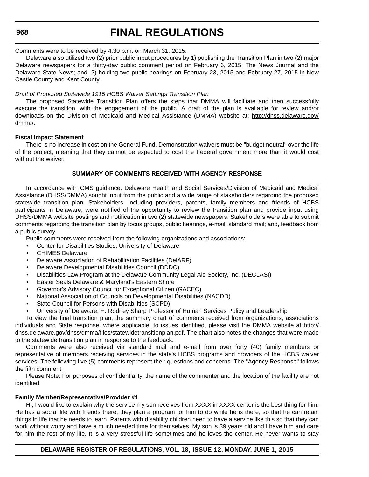### **968**

## **FINAL REGULATIONS**

### Comments were to be received by 4:30 p.m. on March 31, 2015.

Delaware also utilized two (2) prior public input procedures by 1) publishing the Transition Plan in two (2) major Delaware newspapers for a thirty-day public comment period on February 6, 2015: The News Journal and the Delaware State News; and, 2) holding two public hearings on February 23, 2015 and February 27, 2015 in New Castle County and Kent County.

### *Draft of Proposed Statewide 1915 HCBS Waiver Settings Transition Plan*

The proposed Statewide Transition Plan offers the steps that DMMA will facilitate and then successfully execute the transition, with the engagement of the public. A draft of the plan is available for review and/or downloads on the Division of Medicaid and Medical Assistance (DMMA) website at: [http://dhss.delaware.gov/](http://dhss.delaware.gov/dmma/) [dmma/.](http://dhss.delaware.gov/dmma/)

### **Fiscal Impact Statement**

There is no increase in cost on the General Fund. Demonstration waivers must be "budget neutral" over the life of the project, meaning that they cannot be expected to cost the Federal government more than it would cost without the waiver.

### **SUMMARY OF COMMENTS RECEIVED WITH AGENCY RESPONSE**

In accordance with CMS guidance, Delaware Health and Social Services/Division of Medicaid and Medical Assistance (DHSS/DMMA) sought input from the public and a wide range of stakeholders regarding the proposed statewide transition plan. Stakeholders, including providers, parents, family members and friends of HCBS participants in Delaware, were notified of the opportunity to review the transition plan and provide input using DHSS/DMMA website postings and notification in two (2) statewide newspapers. Stakeholders were able to submit comments regarding the transition plan by focus groups, public hearings, e-mail, standard mail; and, feedback from a public survey.

Public comments were received from the following organizations and associations:

- Center for Disabilities Studies, University of Delaware
- CHIMES Delaware
- Delaware Association of Rehabilitation Facilities (DelARF)
- Delaware Developmental Disabilities Council (DDDC)
- Disabilities Law Program at the Delaware Community Legal Aid Society, Inc. (DECLASI)
- Easter Seals Delaware & Maryland's Eastern Shore
- Governor's Advisory Council for Exceptional Citizen (GACEC)
- National Association of Councils on Developmental Disabilities (NACDD)
- State Council for Persons with Disabilities (SCPD)
- University of Delaware, H. Rodney Sharp Professor of Human Services Policy and Leadership

To view the final transition plan, the summary chart of comments received from organizations, associations individuals and State response, where applicable, to issues identified, please visit the DMMA website at [http://](http://dhss.delaware.gov/dhss/dmma/files/statewidetransitionplan.pdf) [dhss.delaware.gov/dhss/dmma/files/statewidetransitionplan.pdf](http://dhss.delaware.gov/dhss/dmma/files/statewidetransitionplan.pdf). The chart also notes the changes that were made to the statewide transition plan in response to the feedback.

Comments were also received via standard mail and e-mail from over forty (40) family members or representative of members receiving services in the state's HCBS programs and providers of the HCBS waiver services. The following five (5) comments represent their questions and concerns. The "Agency Response" follows the fifth comment.

Please Note: For purposes of confidentiality, the name of the commenter and the location of the facility are not identified.

### **Family Member/Representative/Provider #1**

Hi, I would like to explain why the service my son receives from XXXX in XXXX center is the best thing for him. He has a social life with friends there; they plan a program for him to do while he is there, so that he can retain things in life that he needs to learn. Parents with disability children need to have a service like this so that they can work without worry and have a much needed time for themselves. My son is 39 years old and I have him and care for him the rest of my life. It is a very stressful life sometimes and he loves the center. He never wants to stay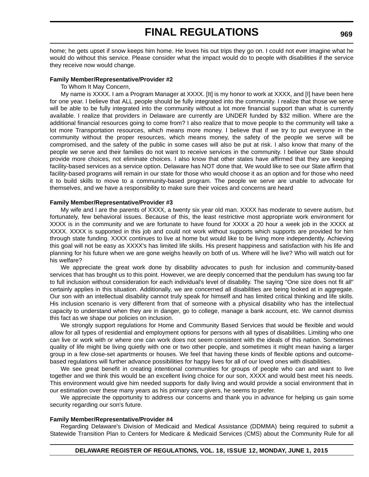home; he gets upset if snow keeps him home. He loves his out trips they go on. I could not ever imagine what he would do without this service. Please consider what the impact would do to people with disabilities if the service they receive now would change.

#### **Family Member/Representative/Provider #2**

To Whom It May Concern,

My name is XXXX. I am a Program Manager at XXXX. [It] is my honor to work at XXXX, and [I] have been here for one year. I believe that ALL people should be fully integrated into the community. I realize that those we serve will be able to be fully integrated into the community without a lot more financial support than what is currently available. I realize that providers in Delaware are currently are UNDER funded by \$32 million. Where are the additional financial resources going to come from? I also realize that to move people to the community will take a lot more Transportation resources, which means more money. I believe that if we try to put everyone in the community without the proper resources, which means money, the safety of the people we serve will be compromised, and the safety of the public in some cases will also be put at risk. I also know that many of the people we serve and their families do not want to receive services in the community. I believe our State should provide more choices, not eliminate choices. I also know that other states have affirmed that they are keeping facility-based services as a service option. Delaware has NOT done that. We would like to see our State affirm that facility-based programs will remain in our state for those who would choose it as an option and for those who need it to build skills to move to a community-based program. The people we serve are unable to advocate for themselves, and we have a responsibility to make sure their voices and concerns are heard

#### **Family Member/Representative/Provider #3**

My wife and I are the parents of XXXX, a twenty six year old man. XXXX has moderate to severe autism, but fortunately, few behavioral issues. Because of this, the least restrictive most appropriate work environment for XXXX is in the community and we are fortunate to have found for XXXX a 20 hour a week job in the XXXX at XXXX. XXXX is supported in this job and could not work without supports which supports are provided for him through state funding. XXXX continues to live at home but would like to be living more independently. Achieving this goal will not be easy as XXXX's has limited life skills. His present happiness and satisfaction with his life and planning for his future when we are gone weighs heavily on both of us. Where will he live? Who will watch out for his welfare?

We appreciate the great work done by disability advocates to push for inclusion and community-based services that has brought us to this point. However, we are deeply concerned that the pendulum has swung too far to full inclusion without consideration for each individual's level of disability. The saying "One size does not fit all" certainly applies in this situation. Additionally, we are concerned all disabilities are being looked at in aggregate. Our son with an intellectual disability cannot truly speak for himself and has limited critical thinking and life skills. His inclusion scenario is very different from that of someone with a physical disability who has the intellectual capacity to understand when they are in danger, go to college, manage a bank account, etc. We cannot dismiss this fact as we shape our policies on inclusion.

We strongly support regulations for Home and Community Based Services that would be flexible and would allow for all types of residential and employment options for persons with all types of disabilities. Limiting who one can live or work with or where one can work does not seem consistent with the ideals of this nation. Sometimes quality of life might be living quietly with one or two other people, and sometimes it might mean having a larger group in a few close-set apartments or houses. We feel that having these kinds of flexible options and outcomebased regulations will further advance possibilities for happy lives for all of our loved ones with disabilities.

We see great benefit in creating intentional communities for groups of people who can and want to live together and we think this would be an excellent living choice for our son, XXXX and would best meet his needs. This environment would give him needed supports for daily living and would provide a social environment that in our estimation over these many years as his primary care givers, he seems to prefer.

We appreciate the opportunity to address our concerns and thank you in advance for helping us gain some security regarding our son's future.

#### **Family Member/Representative/Provider #4**

Regarding Delaware's Division of Medicaid and Medical Assistance (DDMMA) being required to submit a Statewide Transition Plan to Centers for Medicare & Medicaid Services (CMS) about the Community Rule for all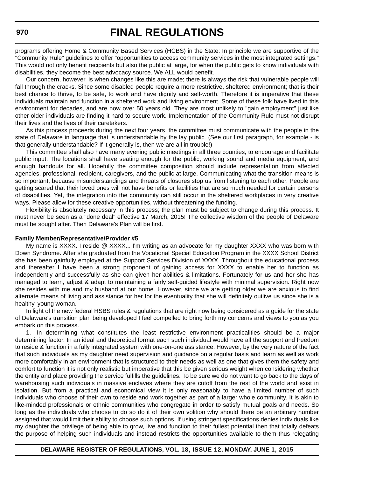programs offering Home & Community Based Services (HCBS) in the State: In principle we are supportive of the "Community Rule" guidelines to offer "opportunities to access community services in the most integrated settings." This would not only benefit recipients but also the public at large, for when the public gets to know individuals with disabilities, they become the best advocacy source. We ALL would benefit.

Our concern, however, is when changes like this are made; there is always the risk that vulnerable people will fall through the cracks. Since some disabled people require a more restrictive, sheltered environment; that is their best chance to thrive, to be safe, to work and have dignity and self-worth. Therefore it is imperative that these individuals maintain and function in a sheltered work and living environment. Some of these folk have lived in this environment for decades, and are now over 50 years old. They are most unlikely to "gain employment" just like other older individuals are finding it hard to secure work. Implementation of the Community Rule must not disrupt their lives and the lives of their caretakers.

As this process proceeds during the next four years, the committee must communicate with the people in the state of Delaware in language that is understandable by the lay public. (See our first paragraph, for example - is that generally understandable? If it generally is, then we are all in trouble!)

This committee shall also have many evening public meetings in all three counties, to encourage and facilitate public input. The locations shall have seating enough for the public, working sound and media equipment, and enough handouts for all. Hopefully the committee composition should include representation from affected agencies, professional, recipient, caregivers, and the public at large. Communicating what the transition means is so important, because misunderstandings and threats of closures stop us from listening to each other. People are getting scared that their loved ones will not have benefits or facilities that are so much needed for certain persons of disabilities. Yet, the integration into the community can still occur in the sheltered workplaces in very creative ways. Please allow for these creative opportunities, without threatening the funding.

Flexibility is absolutely necessary in this process; the plan must be subject to change during this process. It must never be seen as a "done deal" effective 17 March, 2015! The collective wisdom of the people of Delaware must be sought after. Then Delaware's Plan will be first.

#### **Family Member/Representative/Provider #5**

My name is XXXX. I reside @ XXXX... I'm writing as an advocate for my daughter XXXX who was born with Down Syndrome. After she graduated from the Vocational Special Education Program in the XXXX School District she has been gainfully employed at the Support Services Division of XXXX. Throughout the educational process and thereafter I have been a strong proponent of gaining access for XXXX to enable her to function as independently and successfully as she can given her abilities & limitations. Fortunately for us and her she has managed to learn, adjust & adapt to maintaining a fairly self-guided lifestyle with minimal supervision. Right now she resides with me and my husband at our home. However, since we are getting older we are anxious to find alternate means of living and assistance for her for the eventuality that she will definitely outlive us since she is a healthy, young woman.

In light of the new federal HSBS rules & regulations that are right now being considered as a guide for the state of Delaware's transition plan being developed I feel compelled to bring forth my concerns and views to you as you embark on this process.

1. In determining what constitutes the least restrictive environment practicalities should be a major determining factor. In an ideal and theoretical format each such individual would have all the support and freedom to reside & function in a fully integrated system with one-on-one assistance. However, by the very nature of the fact that such individuals as my daughter need supervision and guidance on a regular basis and learn as well as work more comfortably in an environment that is structured to their needs as well as one that gives them the safety and comfort to function it is not only realistic but imperative that this be given serious weight when considering whether the entity and place providing the service fulfills the guidelines. To be sure we do not want to go back to the days of warehousing such individuals in massive enclaves where they are cutoff from the rest of the world and exist in isolation. But from a practical and economical view it is only reasonably to have a limited number of such individuals who choose of their own to reside and work together as part of a larger whole community. It is akin to like-minded professionals or ethnic communities who congregate in order to satisfy mutual goals and needs. So long as the individuals who choose to do so do it of their own volition why should there be an arbitrary number assigned that would limit their ability to choose such options. If using stringent specifications denies individuals like my daughter the privilege of being able to grow, live and function to their fullest potential then that totally defeats the purpose of helping such individuals and instead restricts the opportunities available to them thus relegating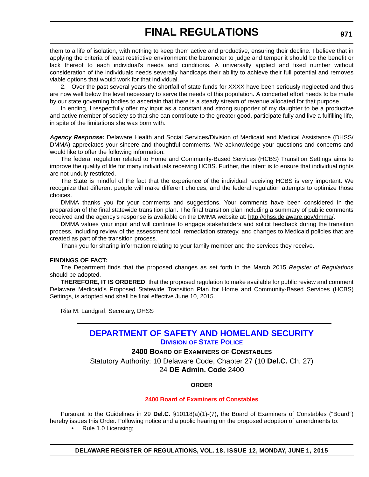them to a life of isolation, with nothing to keep them active and productive, ensuring their decline. I believe that in applying the criteria of least restrictive environment the barometer to judge and temper it should be the benefit or lack thereof to each individual's needs and conditions. A universally applied and fixed number without consideration of the individuals needs severally handicaps their ability to achieve their full potential and removes viable options that would work for that individual.

2. Over the past several years the shortfall of state funds for XXXX have been seriously neglected and thus are now well below the level necessary to serve the needs of this population. A concerted effort needs to be made by our state governing bodies to ascertain that there is a steady stream of revenue allocated for that purpose.

In ending, I respectfully offer my input as a constant and strong supporter of my daughter to be a productive and active member of society so that she can contribute to the greater good, participate fully and live a fulfilling life, in spite of the limitations she was born with.

*Agency Response:* Delaware Health and Social Services/Division of Medicaid and Medical Assistance (DHSS/ DMMA) appreciates your sincere and thoughtful comments. We acknowledge your questions and concerns and would like to offer the following information:

The federal regulation related to Home and Community-Based Services (HCBS) Transition Settings aims to improve the quality of life for many individuals receiving HCBS. Further, the intent is to ensure that individual rights are not unduly restricted.

The State is mindful of the fact that the experience of the individual receiving HCBS is very important. We recognize that different people will make different choices, and the federal regulation attempts to optimize those choices.

DMMA thanks you for your comments and suggestions. Your comments have been considered in the preparation of the final statewide transition plan. The final transition plan including a summary of public comments received and the agency's response is available on the DMMA website at: [http://dhss.delaware.gov/dmma/.](http://dhss.delaware.gov/dmma/)

DMMA values your input and will continue to engage stakeholders and solicit feedback during the transition process, including review of the assessment tool, remediation strategy, and changes to Medicaid policies that are created as part of the transition process.

Thank you for sharing information relating to your family member and the services they receive.

### **FINDINGS OF FACT:**

The Department finds that the proposed changes as set forth in the March 2015 *Register of Regulations* should be adopted.

**THEREFORE, IT IS ORDERED**, that the proposed regulation to make available for public review and comment Delaware Medicaid's Proposed Statewide Transition Plan for Home and Community-Based Services (HCBS) Settings, is adopted and shall be final effective June 10, 2015.

Rita M. Landgraf, Secretary, DHSS

## **[DEPARTMENT OF SAFETY AND HOMELAND SECURITY](http://dshs.delaware.gov/) DIVISION [OF STATE POLICE](http://dsp.delaware.gov/)**

### **2400 BOARD OF EXAMINERS OF CONSTABLES**

Statutory Authority: 10 Delaware Code, Chapter 27 (10 **Del.C.** Ch. 27) 24 **DE Admin. Code** 2400

### **ORDER**

### **[2400 Board of Examiners of Constables](#page-4-0)**

Pursuant to the Guidelines in 29 **Del.C.** §10118(a)(1)-(7), the Board of Examiners of Constables ("Board") hereby issues this Order. Following notice and a public hearing on the proposed adoption of amendments to:

• Rule 1.0 Licensing;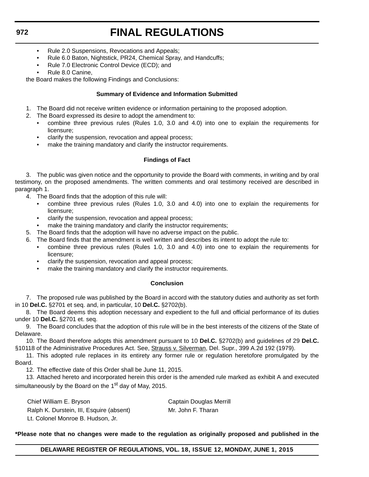- Rule 2.0 Suspensions, Revocations and Appeals;
- Rule 6.0 Baton, Nightstick, PR24, Chemical Spray, and Handcuffs;
- Rule 7.0 Electronic Control Device (ECD); and
- Rule 8.0 Canine,

the Board makes the following Findings and Conclusions:

### **Summary of Evidence and Information Submitted**

- 1. The Board did not receive written evidence or information pertaining to the proposed adoption.
- 2. The Board expressed its desire to adopt the amendment to:
	- combine three previous rules (Rules 1.0, 3.0 and 4.0) into one to explain the requirements for licensure;
	- clarify the suspension, revocation and appeal process;
	- make the training mandatory and clarify the instructor requirements.

### **Findings of Fact**

3. The public was given notice and the opportunity to provide the Board with comments, in writing and by oral testimony, on the proposed amendments. The written comments and oral testimony received are described in paragraph 1.

- 4. The Board finds that the adoption of this rule will:
	- combine three previous rules (Rules 1.0, 3.0 and 4.0) into one to explain the requirements for licensure;
	- clarify the suspension, revocation and appeal process;
	- make the training mandatory and clarify the instructor requirements;
- 5. The Board finds that the adoption will have no adverse impact on the public.
- 6. The Board finds that the amendment is well written and describes its intent to adopt the rule to:
	- combine three previous rules (Rules 1.0, 3.0 and 4.0) into one to explain the requirements for licensure;
	- clarify the suspension, revocation and appeal process;
	- make the training mandatory and clarify the instructor requirements.

### **Conclusion**

7. The proposed rule was published by the Board in accord with the statutory duties and authority as set forth in 10 **Del.C.** §2701 et seq. and, in particular, 10 **Del.C.** §2702(b).

8. The Board deems this adoption necessary and expedient to the full and official performance of its duties under 10 **Del.C.** §2701 et. seq.

9. The Board concludes that the adoption of this rule will be in the best interests of the citizens of the State of Delaware.

10. The Board therefore adopts this amendment pursuant to 10 **Del.C.** §2702(b) and guidelines of 29 **Del.C.** §10118 of the Administrative Procedures Act. See, Strauss v. Silverman, Del. Supr., 399 A.2d 192 (1979).

11. This adopted rule replaces in its entirety any former rule or regulation heretofore promulgated by the Board.

12. The effective date of this Order shall be June 11, 2015.

13. Attached hereto and incorporated herein this order is the amended rule marked as exhibit A and executed simultaneously by the Board on the  $1<sup>st</sup>$  day of May, 2015.

Chief William E. Bryson Chief William E. Bryson Ralph K. Durstein, III, Esquire (absent) Mr. John F. Tharan Lt. Colonel Monroe B. Hudson, Jr.

### **\*Please note that no changes were made to the regulation as originally proposed and published in the**

**DELAWARE REGISTER OF REGULATIONS, VOL. 18, ISSUE 12, MONDAY, JUNE 1, 2015**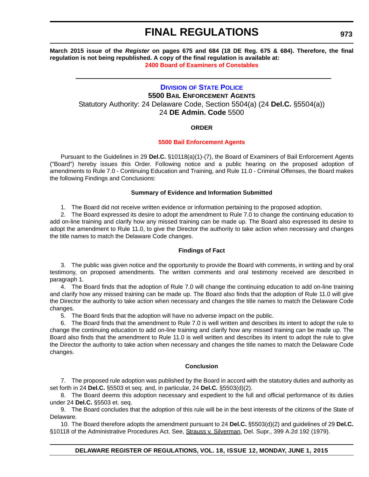**March 2015 issue of the** *Register* **on pages 675 and 684 (18 DE Reg. 675 & 684). Therefore, the final regulation is not being republished. A copy of the final regulation is available at: [2400 Board of Examiners of Constables](http://regulations.delaware.gov/register/june2015/final/18 DE Reg 971 06-01-15.htm)**

## **DIVISION [OF STATE POLICE](http://dsp.delaware.gov/) 5500 BAIL ENFORCEMENT AGENTS** Statutory Authority: 24 Delaware Code, Section 5504(a) (24 **Del.C.** §5504(a)) 24 **DE Admin. Code** 5500

### **ORDER**

### **[5500 Bail Enforcement Agents](#page-4-0)**

Pursuant to the Guidelines in 29 **Del.C.** §10118(a)(1)-(7), the Board of Examiners of Bail Enforcement Agents ("Board") hereby issues this Order. Following notice and a public hearing on the proposed adoption of amendments to Rule 7.0 - Continuing Education and Training, and Rule 11.0 - Criminal Offenses, the Board makes the following Findings and Conclusions:

### **Summary of Evidence and Information Submitted**

1. The Board did not receive written evidence or information pertaining to the proposed adoption.

2. The Board expressed its desire to adopt the amendment to Rule 7.0 to change the continuing education to add on-line training and clarify how any missed training can be made up. The Board also expressed its desire to adopt the amendment to Rule 11.0, to give the Director the authority to take action when necessary and changes the title names to match the Delaware Code changes.

### **Findings of Fact**

3. The public was given notice and the opportunity to provide the Board with comments, in writing and by oral testimony, on proposed amendments. The written comments and oral testimony received are described in paragraph 1.

4. The Board finds that the adoption of Rule 7.0 will change the continuing education to add on-line training and clarify how any missed training can be made up. The Board also finds that the adoption of Rule 11.0 will give the Director the authority to take action when necessary and changes the title names to match the Delaware Code changes.

5. The Board finds that the adoption will have no adverse impact on the public.

6. The Board finds that the amendment to Rule 7.0 is well written and describes its intent to adopt the rule to change the continuing education to add on-line training and clarify how any missed training can be made up. The Board also finds that the amendment to Rule 11.0 is well written and describes its intent to adopt the rule to give the Director the authority to take action when necessary and changes the title names to match the Delaware Code changes.

### **Conclusion**

7. The proposed rule adoption was published by the Board in accord with the statutory duties and authority as set forth in 24 **Del.C.** §5503 et seq. and, in particular, 24 **Del.C.** §5503(d)(2).

8. The Board deems this adoption necessary and expedient to the full and official performance of its duties under 24 **Del.C.** §5503 et. seq.

9. The Board concludes that the adoption of this rule will be in the best interests of the citizens of the State of Delaware.

10. The Board therefore adopts the amendment pursuant to 24 **Del.C.** §5503(d)(2) and guidelines of 29 **Del.C.** §10118 of the Administrative Procedures Act. See, Strauss v. Silverman, Del. Supr., 399 A.2d 192 (1979).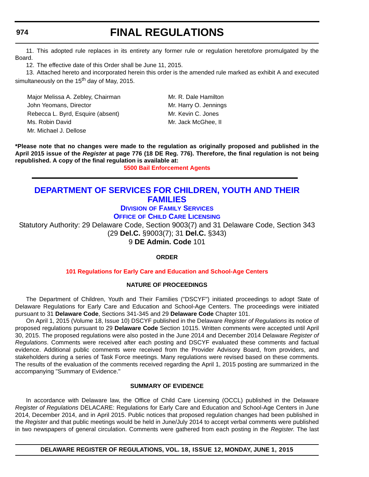### **974**

## **FINAL REGULATIONS**

11. This adopted rule replaces in its entirety any former rule or regulation heretofore promulgated by the Board.

12. The effective date of this Order shall be June 11, 2015.

13. Attached hereto and incorporated herein this order is the amended rule marked as exhibit A and executed simultaneously on the 15<sup>th</sup> day of May, 2015.

Major Melissa A. Zebley, Chairman Mr. R. Dale Hamilton John Yeomans, Director Mr. Harry O. Jennings Rebecca L. Byrd, Esquire (absent) Mr. Kevin C. Jones Ms. Robin David Mr. Jack McGhee, II Mr. Michael J. Dellose

**\*Please note that no changes were made to the regulation as originally proposed and published in the April 2015 issue of the** *Register* **at page 776 (18 DE Reg. 776). Therefore, the final regulation is not being republished. A copy of the final regulation is available at:**

**[5500 Bail Enforcement Agents](http://regulations.delaware.gov/register/june2015/final/18 DE Reg 973 06-01-15.htm)**

## **[DEPARTMENT OF SERVICES FOR CHILDREN, YOUTH AND THEIR](http://kids.delaware.gov/)  FAMILIES**

**DIVISION [OF FAMILY SERVICES](http://kids.delaware.gov/fs/fs.shtml)**

**OFFICE [OF CHILD CARE LICENSING](http://kids.delaware.gov/occl/occl.shtml)**

Statutory Authority: 29 Delaware Code, Section 9003(7) and 31 Delaware Code, Section 343 (29 **Del.C.** §9003(7); 31 **Del.C.** §343)

9 **DE Admin. Code** 101

**ORDER**

### **[101 Regulations for Early Care and Education and School-Age Centers](#page-4-0)**

### **NATURE OF PROCEEDINGS**

The Department of Children, Youth and Their Families ("DSCYF") initiated proceedings to adopt State of Delaware Regulations for Early Care and Education and School-Age Centers. The proceedings were initiated pursuant to 31 **Delaware Code**, Sections 341-345 and 29 **Delaware Code** Chapter 101.

On April 1, 2015 (Volume 18, Issue 10) DSCYF published in the Delaware *Register of Regulations* its notice of proposed regulations pursuant to 29 **Delaware Code** Section 10115. Written comments were accepted until April 30, 2015. The proposed regulations were also posted in the June 2014 and December 2014 Delaware *Register of Regulations*. Comments were received after each posting and DSCYF evaluated these comments and factual evidence. Additional public comments were received from the Provider Advisory Board, from providers, and stakeholders during a series of Task Force meetings. Many regulations were revised based on these comments. The results of the evaluation of the comments received regarding the April 1, 2015 posting are summarized in the accompanying "Summary of Evidence."

### **SUMMARY OF EVIDENCE**

In accordance with Delaware law, the Office of Child Care Licensing (OCCL) published in the Delaware *Register of Regulations* DELACARE: Regulations for Early Care and Education and School-Age Centers in June 2014, December 2014, and in April 2015. Public notices that proposed regulation changes had been published in the *Register* and that public meetings would be held in June/July 2014 to accept verbal comments were published in two newspapers of general circulation. Comments were gathered from each posting in the *Register*. The last

**DELAWARE REGISTER OF REGULATIONS, VOL. 18, ISSUE 12, MONDAY, JUNE 1, 2015**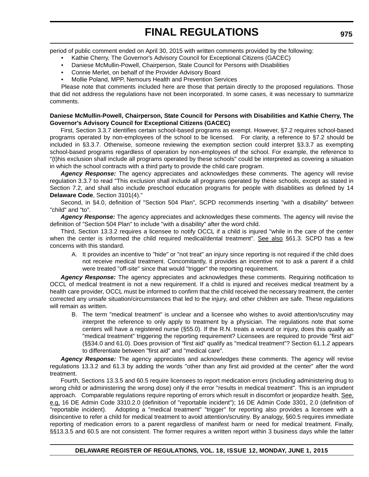period of public comment ended on April 30, 2015 with written comments provided by the following:

- Kathie Cherry, The Governor's Advisory Council for Exceptional Citizens (GACEC)
- Daniese McMullin-Powell, Chairperson, State Council for Persons with Disabilities
- Connie Merlet, on behalf of the Provider Advisory Board
- Mollie Poland, MPP, Nemours Health and Prevention Services

Please note that comments included here are those that pertain directly to the proposed regulations. Those that did not address the regulations have not been incorporated. In some cases, it was necessary to summarize comments.

### **Daniese McMullin-Powell, Chairperson, State Council for Persons with Disabilities and Kathie Cherry, The Governor's Advisory Council for Exceptional Citizens (GACEC)**

First, Section 3.3.7 identifies certain school-based programs as exempt. However, §7.2 requires school-based programs operated by non-employees of the school to be licensed. For clarity, a reference to §7.2 should be included in §3.3.7. Otherwise, someone reviewing the exemption section could interpret §3.3.7 as exempting school-based programs regardless of operation by non-employees of the school. For example, the reference to "(t)his exclusion shall include all programs operated by these schools" could be interpreted as covering a situation in which the school contracts with a third party to provide the child care program.

*Agency Response:* The agency appreciates and acknowledges these comments. The agency will revise regulation 3.3.7 to read "This exclusion shall include all programs operated by these schools, except as stated in Section 7.2, and shall also include preschool education programs for people with disabilities as defined by 14 **Delaware Code**, Section 3101(4)."

Second, in §4.0, definition of "Section 504 Plan", SCPD recommends inserting "with a disability" between "child" and "to".

*Agency Response:* The agency appreciates and acknowledges these comments. The agency will revise the definition of "Section 504 Plan" to include "with a disability" after the word child.

Third, Section 13.3.2 requires a licensee to notify OCCL if a child is injured "while in the care of the center when the center is informed the child required medical/dental treatment". See also §61.3. SCPD has a few concerns with this standard.

A. It provides an incentive to "hide" or "not treat" an injury since reporting is not required if the child does not receive medical treatment. Concomitantly, it provides an incentive not to ask a parent if a child were treated "off-site" since that would "trigger" the reporting requirement.

*Agency Response:* The agency appreciates and acknowledges these comments. Requiring notification to OCCL of medical treatment is not a new requirement. If a child is injured and receives medical treatment by a health care provider, OCCL must be informed to confirm that the child received the necessary treatment, the center corrected any unsafe situation/circumstances that led to the injury, and other children are safe. These regulations will remain as written.

B. The term "medical treatment" is unclear and a licensee who wishes to avoid attention/scrutiny may interpret the reference to only apply to treatment by a physician. The regulations note that some centers will have a registered nurse (§55.0). If the R.N. treats a wound or injury, does this qualify as "medical treatment" triggering the reporting requirement? Licensees are required to provide "first aid" (§§34.0 and 61.0). Does provision of "first aid" qualify as "medical treatment"? Section 61.1.2 appears to differentiate between "first aid" and "medical care".

*Agency Response:* The agency appreciates and acknowledges these comments. The agency will revise regulations 13.3.2 and 61.3 by adding the words "other than any first aid provided at the center" after the word treatment.

Fourth, Sections 13.3.5 and 60.5 require licensees to report medication errors (including administering drug to wrong child or administering the wrong dose) only if the error "results in medical treatment". This is an imprudent approach. Comparable regulations require reporting of errors which result in discomfort or jeopardize health. See, e.g, 16 DE Admin Code 3310.2.0 (definition of "reportable incident"); 16 DE Admin Code 3301, 2.0 (definition of "reportable incident). Adopting a "medical treatment" "trigger" for reporting also provides a licensee with a disincentive to refer a child for medical treatment to avoid attention/scrutiny. By analogy, §60.5 requires immediate reporting of medication errors to a parent regardless of manifest harm or need for medical treatment. Finally, §§13.3.5 and 60.5 are not consistent. The former requires a written report within 3 business days while the latter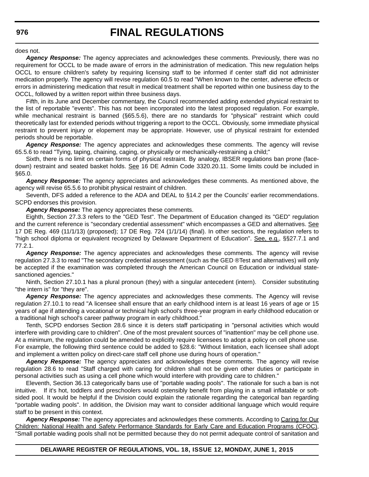does not.

*Agency Response:* The agency appreciates and acknowledges these comments. Previously, there was no requirement for OCCL to be made aware of errors in the administration of medication. This new regulation helps OCCL to ensure children's safety by requiring licensing staff to be informed if center staff did not administer medication properly. The agency will revise regulation 60.5 to read "When known to the center, adverse effects or errors in administering medication that result in medical treatment shall be reported within one business day to the OCCL, followed by a written report within three business days.

Fifth, in its June and December commentary, the Council recommended adding extended physical restraint to the list of reportable "events". This has not been incorporated into the latest proposed regulation. For example, while mechanical restraint is banned (§65.5.6), there are no standards for "physical" restraint which could theoretically last for extended periods without triggering a report to the OCCL. Obviously, some immediate physical restraint to prevent injury or elopement may be appropriate. However, use of physical restraint for extended periods should be reportable.

*Agency Response:* The agency appreciates and acknowledges these comments. The agency will revise 65.5.6 to read "Tying, taping, chaining, caging, or physically or mechanically-restraining a child;"

Sixth, there is no limit on certain forms of physical restraint. By analogy, IBSER regulations ban prone (facedown) restraint and seated basket holds. See 16 DE Admin Code 3320.20.11. Some limits could be included in §65.0.

*Agency Response:* The agency appreciates and acknowledges these comments. As mentioned above, the agency will revise 65.5.6 to prohibit physical restraint of children.

Seventh, DFS added a reference to the ADA and DEAL to §14.2 per the Councils' earlier recommendations. SCPD endorses this provision.

*Agency Response:* The agency appreciates these comments.

Eighth, Section 27.3.3 refers to the "GED Test". The Department of Education changed its "GED" regulation and the current reference is "secondary credential assessment" which encompasses a GED and alternatives. See 17 DE Reg. 469 (11/1/13) (proposed); 17 DE Reg. 724 (1/1/14) (final). In other sections, the regulation refers to "high school diploma or equivalent recognized by Delaware Department of Education". See, e.g., §§27.7.1 and 77.2.1.

*Agency Response:* The agency appreciates and acknowledges these comments. The agency will revise regulation 27.3.3 to read "The secondary credential assessment (such as the GED ®Test and alternatives) will only be accepted if the examination was completed through the American Council on Education or individual statesanctioned agencies."

Ninth, Section 27.10.1 has a plural pronoun (they) with a singular antecedent (intern). Consider substituting "the intern is" for "they are".

*Agency Response:* The agency appreciates and acknowledges these comments. The Agency will revise regulation 27.10.1 to read "A licensee shall ensure that an early childhood intern is at least 16 years of age or 15 years of age if attending a vocational or technical high school's three-year program in early childhood education or a traditional high school's career pathway program in early childhood."

Tenth, SCPD endorses Section 28.6 since it is deters staff participating in "personal activities which would interfere with providing care to children". One of the most prevalent sources of "inattention" may be cell phone use. At a minimum, the regulation could be amended to explicitly require licensees to adopt a policy on cell phone use. For example, the following third sentence could be added to §28.6: "Without limitation, each licensee shall adopt and implement a written policy on direct-care staff cell phone use during hours of operation."

*Agency Response:* The agency appreciates and acknowledges these comments. The agency will revise regulation 28.6 to read "Staff charged with caring for children shall not be given other duties or participate in personal activities such as using a cell phone which would interfere with providing care to children."

Eleventh, Section 36.13 categorically bans use of "portable wading pools". The rationale for such a ban is not intuitive. If it's hot, toddlers and preschoolers would ostensibly benefit from playing in a small inflatable or softsided pool. It would be helpful if the Division could explain the rationale regarding the categorical ban regarding "portable wading pools". In addition, the Division may want to consider additional language which would require staff to be present in this context.

*Agency Response:* The agency appreciates and acknowledges these comments. According to Caring for Our Children: National Health and Safety Performance Standards for Early Care and Education Programs (CFOC), "Small portable wading pools shall not be permitted because they do not permit adequate control of sanitation and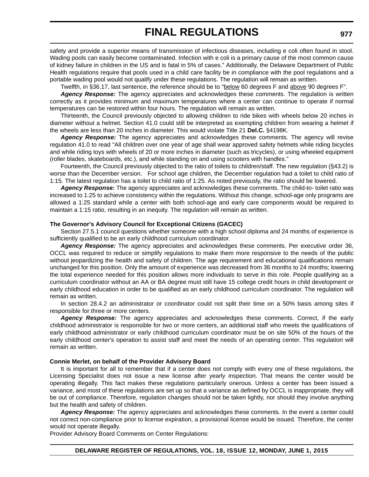safety and provide a superior means of transmission of infectious diseases, including e coli often found in stool. Wading pools can easily become contaminated. Infection with e coli is a primary cause of the most common cause of kidney failure in children in the US and is fatal in 5% of cases." Additionally, the Delaware Department of Public Health regulations require that pools used in a child care facility be in compliance with the pool regulations and a portable wading pool would not qualify under these regulations. The regulation will remain as written.

Twelfth, in §36.17, last sentence, the reference should be to "below 60 degrees F and above 90 degrees F".

*Agency Response:* The agency appreciates and acknowledges these comments. The regulation is written correctly as it provides minimum and maximum temperatures where a center can continue to operate if normal temperatures can be restored within four hours. The regulation will remain as written.

Thirteenth, the Council previously objected to allowing children to ride bikes with wheels below 20 inches in diameter without a helmet. Section 41.0 could still be interpreted as exempting children from wearing a helmet if the wheels are less than 20 inches in diameter. This would violate Title 21 **Del.C.** §4198K.

*Agency Response:* The agency appreciates and acknowledges these comments. The agency will revise regulation 41.0 to read "All children over one year of age shall wear approved safety helmets while riding bicycles and while riding toys with wheels of 20 or more inches in diameter (such as tricycles), or using wheeled equipment (roller blades, skateboards, etc.), and while standing on and using scooters with handles."

Fourteenth, the Council previously objected to the ratio of toilets to children/staff. The new regulation (§43.2) is worse than the December version. For school age children, the December regulation had a toilet to child ratio of 1:15. The latest regulation has a toilet to child ratio of 1:25. As noted previously, the ratio should be lowered.

*Agency Response:* The agency appreciates and acknowledges these comments. The child-to- toilet ratio was increased to 1:25 to achieve consistency within the regulations. Without this change, school-age only programs are allowed a 1:25 standard while a center with both school-age and early care components would be required to maintain a 1:15 ratio, resulting in an inequity. The regulation will remain as written.

#### **The Governor's Advisory Council for Exceptional Citizens (GACEC)**

Section 27.5.1 council questions whether someone with a high school diploma and 24 months of experience is sufficiently qualified to be an early childhood curriculum coordinator.

Agency Response: The agency appreciates and acknowledges these comments. Per executive order 36, OCCL was required to reduce or simplify regulations to make them more responsive to the needs of the public without jeopardizing the health and safety of children. The age requirement and educational qualifications remain unchanged for this position. Only the amount of experience was decreased from 36 months to 24 months; lowering the total experience needed for this position allows more individuals to serve in this role. People qualifying as a curriculum coordinator without an AA or BA degree must still have 15 college credit hours in child development or early childhood education in order to be qualified as an early childhood curriculum coordinator. The regulation will remain as written.

In section 28.4.2 an administrator or coordinator could not split their time on a 50% basis among sites if responsible for three or more centers.

*Agency Response:* The agency appreciates and acknowledges these comments. Correct, if the early childhood administrator is responsible for two or more centers, an additional staff who meets the qualifications of early childhood administrator or early childhood curriculum coordinator must be on site 50% of the hours of the early childhood center's operation to assist staff and meet the needs of an operating center. This regulation will remain as written.

### **Connie Merlet, on behalf of the Provider Advisory Board**

It is important for all to remember that if a center does not comply with every one of these regulations, the Licensing Specialist does not issue a new license after yearly inspection. That means the center would be operating illegally. This fact makes these regulations particularly onerous. Unless a center has been issued a variance, and most of these regulations are set up so that a variance as defined by OCCL is inappropriate, they will be out of compliance. Therefore, regulation changes should not be taken lightly, nor should they involve anything but the health and safety of children.

*Agency Response:* The agency appreciates and acknowledges these comments. In the event a center could not correct non-compliance prior to license expiration, a provisional license would be issued. Therefore, the center would not operate illegally.

Provider Advisory Board Comments on Center Regulations: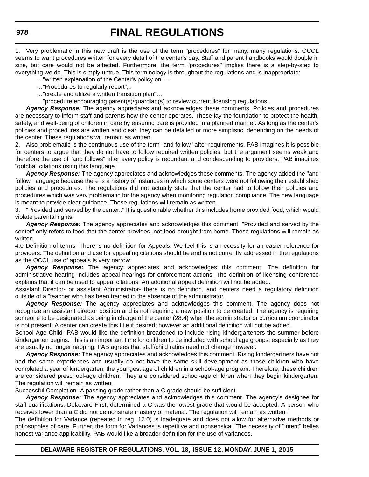1. Very problematic in this new draft is the use of the term "procedures" for many, many regulations. OCCL seems to want procedures written for every detail of the center's day. Staff and parent handbooks would double in size, but care would not be affected. Furthermore, the term "procedures" implies there is a step-by-step to everything we do. This is simply untrue. This terminology is throughout the regulations and is inappropriate:

…"written explanation of the Center's policy on"…

…"Procedures to regularly report",..

…"create and utilize a written transition plan"…

…"procedure encouraging parent(s)/guardian(s) to review current licensing regulations…

*Agency Response:* The agency appreciates and acknowledges these comments. Policies and procedures are necessary to inform staff and parents how the center operates. These lay the foundation to protect the health, safety, and well-being of children in care by ensuring care is provided in a planned manner. As long as the center's policies and procedures are written and clear, they can be detailed or more simplistic, depending on the needs of the center. These regulations will remain as written.

2. Also problematic is the continuous use of the term "and follow" after requirements. PAB imagines it is possible for centers to argue that they do not have to follow required written policies, but the argument seems weak and therefore the use of "and follows" after every policy is redundant and condescending to providers. PAB imagines "gotcha" citations using this language.

*Agency Response:* The agency appreciates and acknowledges these comments. The agency added the "and follow" language because there is a history of instances in which some centers were not following their established policies and procedures. The regulations did not actually state that the center had to follow their policies and procedures which was very problematic for the agency when monitoring regulation compliance. The new language is meant to provide clear guidance. These regulations will remain as written.

3. "Provided and served by the center.." It is questionable whether this includes home provided food, which would violate parental rights.

*Agency Response:* The agency appreciates and acknowledges this comment. "Provided and served by the center" only refers to food that the center provides, not food brought from home. These regulations will remain as written.

4.0 Definition of terms- There is no definition for Appeals. We feel this is a necessity for an easier reference for providers. The definition and use for appealing citations should be and is not currently addressed in the regulations as the OCCL use of appeals is very narrow.

*Agency Response:* The agency appreciates and acknowledges this comment. The definition for administrative hearing includes appeal hearings for enforcement actions. The definition of licensing conference explains that it can be used to appeal citations. An additional appeal definition will not be added.

Assistant Director- or assistant Administrator- there is no definition, and centers need a regulatory definition outside of a "teacher who has been trained in the absence of the administrator.

*Agency Response:* The agency appreciates and acknowledges this comment. The agency does not recognize an assistant director position and is not requiring a new position to be created. The agency is requiring someone to be designated as being in charge of the center (28.4) when the administrator or curriculum coordinator is not present. A center can create this title if desired; however an additional definition will not be added.

School Age Child- PAB would like the definition broadened to include rising kindergarteners the summer before kindergarten begins. This is an important time for children to be included with school age groups, especially as they are usually no longer napping. PAB agrees that staff/child ratios need not change however.

*Agency Response:* The agency appreciates and acknowledges this comment. Rising kindergartners have not had the same experiences and usually do not have the same skill development as those children who have completed a year of kindergarten, the youngest age of children in a school-age program. Therefore, these children are considered preschool-age children. They are considered school-age children when they begin kindergarten. The regulation will remain as written.

Successful Completion- A passing grade rather than a C grade should be sufficient.

*Agency Response:* The agency appreciates and acknowledges this comment. The agency's designee for staff qualifications, Delaware First, determined a C was the lowest grade that would be accepted. A person who receives lower than a C did not demonstrate mastery of material. The regulation will remain as written.

The definition for Variance (repeated in reg. 12.0) is inadequate and does not allow for alternative methods or philosophies of care. Further, the form for Variances is repetitive and nonsensical. The necessity of "intent" belies honest variance applicability. PAB would like a broader definition for the use of variances.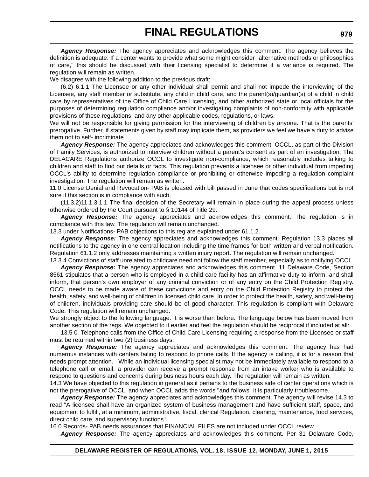*Agency Response:* The agency appreciates and acknowledges this comment. The agency believes the definition is adequate. If a center wants to provide what some might consider "alternative methods or philosophies of care," this should be discussed with their licensing specialist to determine if a variance is required. The regulation will remain as written.

We disagree with the following addition to the previous draft:

(6.2) 6.1.1 The Licensee or any other individual shall permit and shall not impede the interviewing of the Licensee, any staff member or substitute, any child in child care, and the parent(s)/guardian(s) of a child in child care by representatives of the Office of Child Care Licensing, and other authorized state or local officials for the purposes of determining regulation compliance and/or investigating complaints of non-conformity with applicable provisions of these regulations, and any other applicable codes, regulations, or laws.

We will not be responsible for giving permission for the interviewing of children by anyone. That is the parents' prerogative. Further, if statements given by staff may implicate them, as providers we feel we have a duty to advise them not to self- incriminate.

*Agency Response:* The agency appreciates and acknowledges this comment. OCCL, as part of the Division of Family Services, is authorized to interview children without a parent's consent as part of an investigation. The DELACARE Regulations authorize OCCL to investigate non-compliance, which reasonably includes talking to children and staff to find out details or facts. This regulation prevents a licensee or other individual from impeding OCCL's ability to determine regulation compliance or prohibiting or otherwise impeding a regulation complaint investigation. The regulation will remain as written.

11.0 License Denial and Revocation- PAB is pleased with bill passed in June that codes specifications but is not sure if this section is in compliance with such.

(11.3.2)11.1.3.1.1 The final decision of the Secretary will remain in place during the appeal process unless otherwise ordered by the Court pursuant to § 10144 of Title 29.

*Agency Response:* The agency appreciates and acknowledges this comment. The regulation is in compliance with this law. The regulation will remain unchanged.

13.3 under Notifications- PAB objections to this reg are explained under 61.1.2.

*Agency Response:* The agency appreciates and acknowledges this comment. Regulation 13.3 places all notifications to the agency in one central location including the time frames for both written and verbal notification. Regulation 61.1.2 only addresses maintaining a written injury report. The regulation will remain unchanged.

13.3.4 Convictions of staff unrelated to childcare need not follow the staff member, especially as to notifying OCCL. *Agency Response:* The agency appreciates and acknowledges this comment. 11 Delaware Code, Section 8561 stipulates that a person who is employed in a child care facility has an affirmative duty to inform, and shall inform, that person's own employer of any criminal conviction or of any entry on the Child Protection Registry. OCCL needs to be made aware of these convictions and entry on the Child Protection Registry to protect the health, safety, and well-being of children in licensed child care. In order to protect the health, safety, and well-being of children, individuals providing care should be of good character. This regulation is compliant with Delaware Code. This regulation will remain unchanged.

We strongly object to the following language. It is worse than before. The language below has been moved from another section of the regs. We objected to it earlier and feel the regulation should be reciprocal if included at all:

13.5 0 Telephone calls from the Office of Child Care Licensing requiring a response from the Licensee or staff must be returned within two (2) business days.

*Agency Response:* The agency appreciates and acknowledges this comment. The agency has had numerous instances with centers failing to respond to phone calls. If the agency is calling, it is for a reason that needs prompt attention. While an individual licensing specialist may not be immediately available to respond to a telephone call or email, a provider can receive a prompt response from an intake worker who is available to respond to questions and concerns during business hours each day. The regulation will remain as written.

14.3 We have objected to this regulation in general as it pertains to the business side of center operations which is not the prerogative of OCCL, and when OCCL adds the words "and follows" it is particularly troublesome.

*Agency Response:* The agency appreciates and acknowledges this comment. The agency will revise 14.3 to read "A licensee shall have an organized system of business management and have sufficient staff, space, and equipment to fulfill, at a minimum, administrative, fiscal, clerical Regulation, cleaning, maintenance, food services, direct child care, and supervisory functions."

16.0 Records- PAB needs assurances that FINANCIAL FILES are not included under OCCL review.

*Agency Response:* The agency appreciates and acknowledges this comment. Per 31 Delaware Code,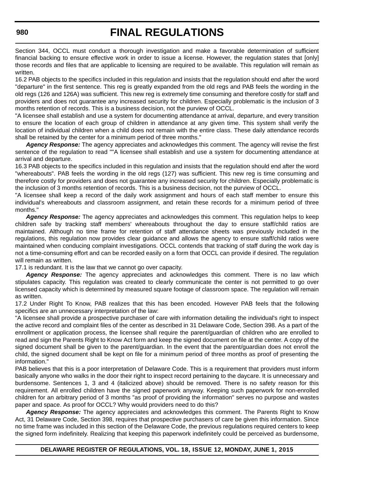Section 344, OCCL must conduct a thorough investigation and make a favorable determination of sufficient financial backing to ensure effective work in order to issue a license. However, the regulation states that [only] those records and files that are applicable to licensing are required to be available. This regulation will remain as written.

16.2 PAB objects to the specifics included in this regulation and insists that the regulation should end after the word "departure" in the first sentence. This reg is greatly expanded from the old regs and PAB feels the wording in the old regs (126 and 126A) was sufficient. This new reg is extremely time consuming and therefore costly for staff and providers and does not guarantee any increased security for children. Especially problematic is the inclusion of 3 months retention of records. This is a business decision, not the purview of OCCL.

"A licensee shall establish and use a system for documenting attendance at arrival, departure, and every transition to ensure the location of each group of children in attendance at any given time. This system shall verify the location of individual children when a child does not remain with the entire class. These daily attendance records shall be retained by the center for a minimum period of three months."

*Agency Response:* The agency appreciates and acknowledges this comment. The agency will revise the first sentence of the regulation to read ""A licensee shall establish and use a system for documenting attendance at arrival and departure.

16.3 PAB objects to the specifics included in this regulation and insists that the regulation should end after the word "whereabouts". PAB feels the wording in the old regs (127) was sufficient. This new reg is time consuming and therefore costly for providers and does not guarantee any increased security for children. Especially problematic is the inclusion of 3 months retention of records. This is a business decision, not the purview of OCCL.

"A licensee shall keep a record of the daily work assignment and hours of each staff member to ensure this individual's whereabouts and classroom assignment, and retain these records for a minimum period of three months."

*Agency Response:* The agency appreciates and acknowledges this comment. This regulation helps to keep children safe by tracking staff members' whereabouts throughout the day to ensure staff/child ratios are maintained. Although no time frame for retention of staff attendance sheets was previously included in the regulations, this regulation now provides clear guidance and allows the agency to ensure staff/child ratios were maintained when conducing complaint investigations. OCCL contends that tracking of staff during the work day is not a time-consuming effort and can be recorded easily on a form that OCCL can provide if desired. The regulation will remain as written.

17.1 is redundant. It is the law that we cannot go over capacity.

Agency Response: The agency appreciates and acknowledges this comment. There is no law which stipulates capacity. This regulation was created to clearly communicate the center is not permitted to go over licensed capacity which is determined by measured square footage of classroom space. The regulation will remain as written.

17.2 Under Right To Know, PAB realizes that this has been encoded. However PAB feels that the following specifics are an unnecessary interpretation of the law:

"A licensee shall provide a prospective purchaser of care with information detailing the individual's right to inspect the active record and complaint files of the center as described in 31 Delaware Code, Section 398. As a part of the enrollment or application process, the licensee shall require the parent/guardian of children who are enrolled to read and sign the Parents Right to Know Act form and keep the signed document on file at the center. A copy of the signed document shall be given to the parent/guardian. In the event that the parent/guardian does not enroll the child, the signed document shall be kept on file for a minimum period of three months as proof of presenting the information."

PAB believes that this is a poor interpretation of Delaware Code. This is a requirement that providers must inform basically anyone who walks in the door their right to inspect record pertaining to the daycare. It is unnecessary and burdensome. Sentences 1, 3 and 4 (italicized above) should be removed. There is no safety reason for this requirement. All enrolled children have the signed paperwork anyway. Keeping such paperwork for non-enrolled children for an arbitrary period of 3 months "as proof of providing the information" serves no purpose and wastes paper and space. As proof for OCCL? Why would providers need to do this?

*Agency Response:* The agency appreciates and acknowledges this comment. The Parents Right to Know Act, 31 Delaware Code, Section 398, requires that prospective purchasers of care be given this information. Since no time frame was included in this section of the Delaware Code, the previous regulations required centers to keep the signed form indefinitely. Realizing that keeping this paperwork indefinitely could be perceived as burdensome,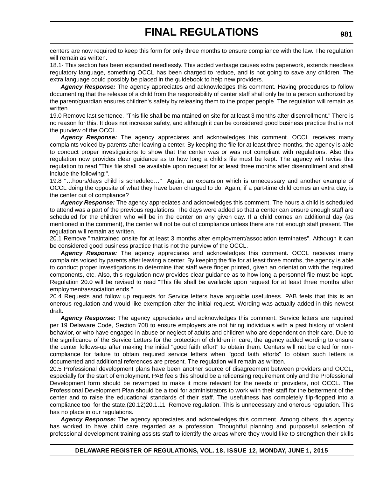centers are now required to keep this form for only three months to ensure compliance with the law. The regulation will remain as written.

18.1- This section has been expanded needlessly. This added verbiage causes extra paperwork, extends needless regulatory language, something OCCL has been charged to reduce, and is not going to save any children. The extra language could possibly be placed in the guidebook to help new providers.

*Agency Response:* The agency appreciates and acknowledges this comment. Having procedures to follow documenting that the release of a child from the responsibility of center staff shall only be to a person authorized by the parent/guardian ensures children's safety by releasing them to the proper people. The regulation will remain as written.

19.0 Remove last sentence. "This file shall be maintained on site for at least 3 months after disenrollment." There is no reason for this. It does not increase safety, and although it can be considered good business practice that is not the purview of the OCCL.

Agency Response: The agency appreciates and acknowledges this comment. OCCL receives many complaints voiced by parents after leaving a center. By keeping the file for at least three months, the agency is able to conduct proper investigations to show that the center was or was not compliant with regulations. Also this regulation now provides clear guidance as to how long a child's file must be kept. The agency will revise this regulation to read "This file shall be available upon request for at least three months after disenrollment and shall include the following:".

19.8 "…hours/days child is scheduled…" Again, an expansion which is unnecessary and another example of OCCL doing the opposite of what they have been charged to do. Again, if a part-time child comes an extra day, is the center out of compliance?

*Agency Response:* The agency appreciates and acknowledges this comment. The hours a child is scheduled to attend was a part of the previous regulations. The days were added so that a center can ensure enough staff are scheduled for the children who will be in the center on any given day. If a child comes an additional day (as mentioned in the comment), the center will not be out of compliance unless there are not enough staff present. The regulation will remain as written.

20.1 Remove "maintained onsite for at least 3 months after employment/association terminates". Although it can be considered good business practice that is not the purview of the OCCL.

*Agency Response:* The agency appreciates and acknowledges this comment. OCCL receives many complaints voiced by parents after leaving a center. By keeping the file for at least three months, the agency is able to conduct proper investigations to determine that staff were finger printed, given an orientation with the required components, etc. Also, this regulation now provides clear guidance as to how long a personnel file must be kept. Regulation 20.0 will be revised to read "This file shall be available upon request for at least three months after employment/association ends."

20.4 Requests and follow up requests for Service letters have arguable usefulness. PAB feels that this is an onerous regulation and would like exemption after the initial request. Wording was actually added in this newest draft.

*Agency Response:* The agency appreciates and acknowledges this comment. Service letters are required per 19 Delaware Code, Section 708 to ensure employers are not hiring individuals with a past history of violent behavior, or who have engaged in abuse or neglect of adults and children who are dependent on their care. Due to the significance of the Service Letters for the protection of children in care, the agency added wording to ensure the center follows-up after making the initial "good faith effort" to obtain them. Centers will not be cited for noncompliance for failure to obtain required service letters when "good faith efforts" to obtain such letters is documented and additional references are present. The regulation will remain as written.

20.5 Professional development plans have been another source of disagreement between providers and OCCL, especially for the start of employment. PAB feels this should be a relicensing requirement only and the Professional Development form should be revamped to make it more relevant for the needs of providers, not OCCL. The Professional Development Plan should be a tool for administrators to work with their staff for the betterment of the center and to raise the educational standards of their staff. The usefulness has completely flip-flopped into a compliance tool for the state.(20.12)20.1.11 Remove regulation. This is unnecessary and onerous regulation. This has no place in our regulations.

*Agency Response:* The agency appreciates and acknowledges this comment. Among others, this agency has worked to have child care regarded as a profession. Thoughtful planning and purposeful selection of professional development training assists staff to identify the areas where they would like to strengthen their skills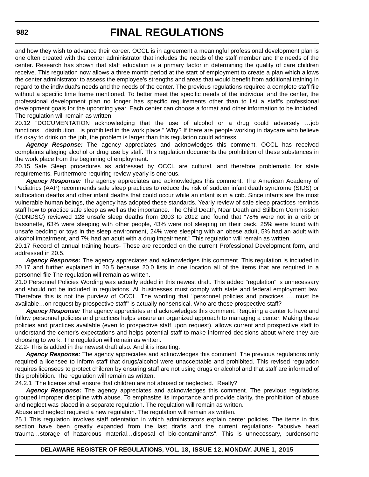and how they wish to advance their career. OCCL is in agreement a meaningful professional development plan is one often created with the center administrator that includes the needs of the staff member and the needs of the center. Research has shown that staff education is a primary factor in determining the quality of care children receive. This regulation now allows a three month period at the start of employment to create a plan which allows the center administrator to assess the employee's strengths and areas that would benefit from additional training in regard to the individual's needs and the needs of the center. The previous regulations required a complete staff file without a specific time frame mentioned. To better meet the specific needs of the individual and the center, the professional development plan no longer has specific requirements other than to list a staff's professional development goals for the upcoming year. Each center can choose a format and other information to be included. The regulation will remain as written.

20.12 "DOCUMENTATION acknowledging that the use of alcohol or a drug could adversely …job functions…distribution…is prohibited in the work place." Why? If there are people working in daycare who believe it's okay to drink on the job, the problem is larger than this regulation could address.

*Agency Response:* The agency appreciates and acknowledges this comment. OCCL has received complaints alleging alcohol or drug use by staff. This regulation documents the prohibition of these substances in the work place from the beginning of employment.

20.15 Safe Sleep procedures as addressed by OCCL are cultural, and therefore problematic for state requirements. Furthermore requiring review yearly is onerous.

*Agency Response:* The agency appreciates and acknowledges this comment. The American Academy of Pediatrics (AAP) recommends safe sleep practices to reduce the risk of sudden infant death syndrome (SIDS) or suffocation deaths and other infant deaths that could occur while an infant is in a crib. Since infants are the most vulnerable human beings, the agency has adopted these standards. Yearly review of safe sleep practices reminds staff how to practice safe sleep as well as the importance. The Child Death, Near Death and Stillborn Commission (CDNDSC) reviewed 128 unsafe sleep deaths from 2003 to 2012 and found that "78% were not in a crib or bassinette, 63% were sleeping with other people, 43% were not sleeping on their back, 25% were found with unsafe bedding or toys in the sleep environment, 24% were sleeping with an obese adult, 5% had an adult with alcohol impairment, and 7% had an adult with a drug impairment." This regulation will remain as written.

20.17 Record of annual training hours- These are recorded on the current Professional Development form, and addressed in 20.5.

*Agency Response:* The agency appreciates and acknowledges this comment. This regulation is included in 20.17 and further explained in 20.5 because 20.0 lists in one location all of the items that are required in a personnel file The regulation will remain as written.

21.0 Personnel Policies Wording was actually added in this newest draft. This added "regulation" is unnecessary and should not be included in regulations. All businesses must comply with state and federal employment law. Therefore this is not the purview of OCCL. The wording that "personnel policies and practices …..must be available…on request by prospective staff" is actually nonsensical. Who are these prospective staff?

*Agency Response:* The agency appreciates and acknowledges this comment. Requiring a center to have and follow personnel policies and practices helps ensure an organized approach to managing a center. Making these policies and practices available (even to prospective staff upon request), allows current and prospective staff to understand the center's expectations and helps potential staff to make informed decisions about where they are choosing to work. The regulation will remain as written.

22.2- This is added in the newest draft also. And it is insulting.

*Agency Response:* The agency appreciates and acknowledges this comment. The previous regulations only required a licensee to inform staff that drugs/alcohol were unacceptable and prohibited. This revised regulation requires licensees to protect children by ensuring staff are not using drugs or alcohol and that staff are informed of this prohibition. The regulation will remain as written.

24.2.1 "The license shall ensure that children are not abused or neglected." Really?

*Agency Response:* The agency appreciates and acknowledges this comment. The previous regulations grouped improper discipline with abuse. To emphasize its importance and provide clarity, the prohibition of abuse and neglect was placed in a separate regulation. The regulation will remain as written.

Abuse and neglect required a new regulation. The regulation will remain as written.

25.1 This regulation involves staff orientation in which administrators explain center policies. The items in this section have been greatly expanded from the last drafts and the current regulations- "abusive head trauma…storage of hazardous material…disposal of bio-contaminants". This is unnecessary, burdensome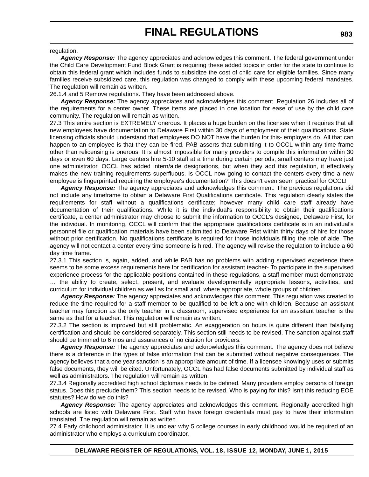### regulation.

*Agency Response:* The agency appreciates and acknowledges this comment. The federal government under the Child Care Development Fund Block Grant is requiring these added topics in order for the state to continue to obtain this federal grant which includes funds to subsidize the cost of child care for eligible families. Since many families receive subsidized care, this regulation was changed to comply with these upcoming federal mandates. The regulation will remain as written.

26.1.4 and 5 Remove regulations. They have been addressed above.

*Agency Response:* The agency appreciates and acknowledges this comment. Regulation 26 includes all of the requirements for a center owner. These items are placed in one location for ease of use by the child care community. The regulation will remain as written.

27.3 This entire section is EXTREMELY onerous. It places a huge burden on the licensee when it requires that all new employees have documentation to Delaware First within 30 days of employment of their qualifications. State licensing officials should understand that employees DO NOT have the burden for this- employers do. All that can happen to an employee is that they can be fired. PAB asserts that submitting it to OCCL within any time frame other than relicensing is onerous. It is almost impossible for many providers to compile this information within 30 days or even 60 days. Large centers hire 5-10 staff at a time during certain periods; small centers may have just one administrator. OCCL has added intern/aide designations, but when they add this regulation, it effectively makes the new training requirements superfluous. Is OCCL now going to contact the centers every time a new employee is fingerprinted requiring the employee's documentation? This doesn't even seem practical for OCCL!

*Agency Response:* The agency appreciates and acknowledges this comment. The previous regulations did not include any timeframe to obtain a Delaware First Qualifications certificate. This regulation clearly states the requirements for staff without a qualifications certificate; however many child care staff already have documentation of their qualifications. While it is the individual's responsibility to obtain their qualifications certificate, a center administrator may choose to submit the information to OCCL's designee, Delaware First, for the individual. In monitoring, OCCL will confirm that the appropriate qualifications certificate is in an individual's personnel file or qualification materials have been submitted to Delaware Frist within thirty days of hire for those without prior certification. No qualifications certificate is required for those individuals filling the role of aide. The agency will not contact a center every time someone is hired. The agency will revise the regulation to include a 60 day time frame.

27.3.1 This section is, again, added, and while PAB has no problems with adding supervised experience there seems to be some excess requirements here for certification for assistant teacher- To participate in the supervised experience process for the applicable positions contained in these regulations, a staff member must demonstrate … the ability to create, select, present, and evaluate developmentally appropriate lessons, activities, and curriculum for individual children as well as for small and, where appropriate, whole groups of children. …

*Agency Response:* The agency appreciates and acknowledges this comment. This regulation was created to reduce the time required for a staff member to be qualified to be left alone with children. Because an assistant teacher may function as the only teacher in a classroom, supervised experience for an assistant teacher is the same as that for a teacher. This regulation will remain as written.

27.3.2 The section is improved but still problematic. An exaggeration on hours is quite different than falsifying certification and should be considered separately. This section still needs to be revised. The sanction against staff should be trimmed to 6 mos and assurances of no citation for providers.

*Agency Response:* The agency appreciates and acknowledges this comment. The agency does not believe there is a difference in the types of false information that can be submitted without negative consequences. The agency believes that a one year sanction is an appropriate amount of time. If a licensee knowingly uses or submits false documents, they will be cited. Unfortunately, OCCL has had false documents submitted by individual staff as well as administrators. The regulation will remain as written.

27.3.4 Regionally accredited high school diplomas needs to be defined. Many providers employ persons of foreign status. Does this preclude them? This section needs to be revised. Who is paying for this? Isn't this reducing EOE statutes? How do we do this?

Agency Response: The agency appreciates and acknowledges this comment. Regionally accredited high schools are listed with Delaware First. Staff who have foreign credentials must pay to have their information translated. The regulation will remain as written.

27.4 Early childhood administrator. It is unclear why 5 college courses in early childhood would be required of an administrator who employs a curriculum coordinator.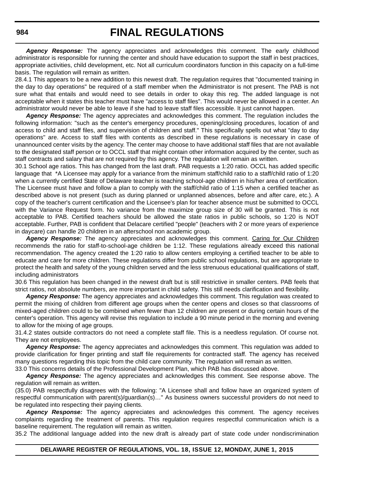*Agency Response:* The agency appreciates and acknowledges this comment. The early childhood administrator is responsible for running the center and should have education to support the staff in best practices, appropriate activities, child development, etc. Not all curriculum coordinators function in this capacity on a full-time basis. The regulation will remain as written.

28.4.1 This appears to be a new addition to this newest draft. The regulation requires that "documented training in the day to day operations" be required of a staff member when the Administrator is not present. The PAB is not sure what that entails and would need to see details in order to okay this reg. The added language is not acceptable when it states this teacher must have "access to staff files". This would never be allowed in a center. An administrator would never be able to leave if she had to leave staff files accessible. It just cannot happen.

*Agency Response:* The agency appreciates and acknowledges this comment. The regulation includes the following information: "such as the center's emergency procedures, opening/closing procedures, location of and access to child and staff files, and supervision of children and staff." This specifically spells out what "day to day operations" are. Access to staff files with contents as described in these regulations is necessary in case of unannounced center visits by the agency. The center may choose to have additional staff files that are not available to the designated staff person or to OCCL staff that might contain other information acquired by the center, such as staff contracts and salary that are not required by this agency. The regulation will remain as written.

30.1 School age ratios. This has changed from the last draft. PAB requests a 1:20 ratio. OCCL has added specific language that \*A Licensee may apply for a variance from the minimum staff/child ratio to a staff/child ratio of 1:20 when a currently certified State of Delaware teacher is teaching school-age children in his/her area of certification. The Licensee must have and follow a plan to comply with the staff/child ratio of 1:15 when a certified teacher as described above is not present (such as during planned or unplanned absences, before and after care, etc.). A copy of the teacher's current certification and the Licensee's plan for teacher absence must be submitted to OCCL with the Variance Request form. No variance from the maximize group size of 30 will be granted. This is not acceptable to PAB. Certified teachers should be allowed the state ratios in public schools, so 1:20 is NOT acceptable. Further, PAB is confident that Delacare certified "people" (teachers with 2 or more years of experience in daycare) can handle 20 children in an afterschool non academic group.

Agency Response: The agency appreciates and acknowledges this comment. Caring for Our Children recommends the ratio for staff-to-school-age children be 1:12. These regulations already exceed this national recommendation. The agency created the 1:20 ratio to allow centers employing a certified teacher to be able to educate and care for more children. These regulations differ from public school regulations, but are appropriate to protect the health and safety of the young children served and the less strenuous educational qualifications of staff, including administrators

30.6 This regulation has been changed in the newest draft but is still restrictive in smaller centers. PAB feels that strict ratios, not absolute numbers, are more important in child safety. This still needs clarification and flexibility.

*Agency Response:* The agency appreciates and acknowledges this comment. This regulation was created to permit the mixing of children from different age groups when the center opens and closes so that classrooms of mixed-aged children could to be combined when fewer than 12 children are present or during certain hours of the center's operation. This agency will revise this regulation to include a 90 minute period in the morning and evening to allow for the mixing of age groups.

31.4.2 states outside contractors do not need a complete staff file. This is a needless regulation. Of course not. They are not employees.

*Agency Response:* The agency appreciates and acknowledges this comment. This regulation was added to provide clarification for finger printing and staff file requirements for contracted staff. The agency has received many questions regarding this topic from the child care community. The regulation will remain as written. 33.0 This concerns details of the Professional Development Plan, which PAB has discussed above.

*Agency Response:* The agency appreciates and acknowledges this comment. See response above. The

regulation will remain as written.

(35.0) PAB respectfully disagrees with the following: "A Licensee shall and follow have an organized system of respectful communication with parent(s)/guardian(s)…" As business owners successful providers do not need to be regulated into respecting their paying clients.

*Agency Response:* The agency appreciates and acknowledges this comment. The agency receives complaints regarding the treatment of parents. This regulation requires respectful communication which is a baseline requirement. The regulation will remain as written.

35.2 The additional language added into the new draft is already part of state code under nondiscrimination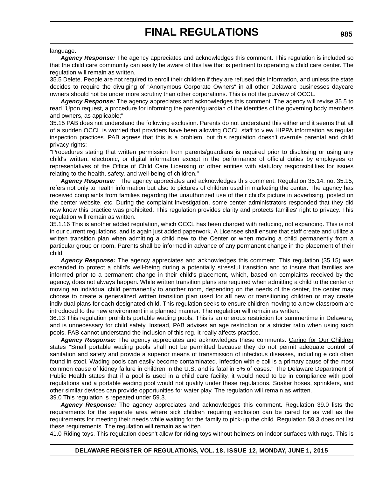#### language.

*Agency Response:* The agency appreciates and acknowledges this comment. This regulation is included so that the child care community can easily be aware of this law that is pertinent to operating a child care center. The regulation will remain as written.

35.5 Delete. People are not required to enroll their children if they are refused this information, and unless the state decides to require the divulging of "Anonymous Corporate Owners" in all other Delaware businesses daycare owners should not be under more scrutiny than other corporations. This is not the purview of OCCL.

*Agency Response:* The agency appreciates and acknowledges this comment. The agency will revise 35.5 to read "Upon request, a procedure for informing the parent/guardian of the identities of the governing body members and owners, as applicable;"

35.15 PAB does not understand the following exclusion. Parents do not understand this either and it seems that all of a sudden OCCL is worried that providers have been allowing OCCL staff to view HIPPA information as regular inspection practices. PAB agrees that this is a problem, but this regulation doesn't overrule parental and child privacy rights:

"Procedures stating that written permission from parents/guardians is required prior to disclosing or using any child's written, electronic, or digital information except in the performance of official duties by employees or representatives of the Office of Child Care Licensing or other entities with statutory responsibilities for issues relating to the health, safety, and well-being of children."

*Agency Response:* The agency appreciates and acknowledges this comment. Regulation 35.14, not 35.15, refers not only to health information but also to pictures of children used in marketing the center. The agency has received complaints from families regarding the unauthorized use of their child's picture in advertising, posted on the center website, etc. During the complaint investigation, some center administrators responded that they did now know this practice was prohibited. This regulation provides clarity and protects families' right to privacy. This regulation will remain as written.

35.1.16 This is another added regulation, which OCCL has been charged with reducing, not expanding. This is not in our current regulations, and is again just added paperwork. A Licensee shall ensure that staff create and utilize a written transition plan when admitting a child new to the Center or when moving a child permanently from a particular group or room. Parents shall be informed in advance of any permanent change in the placement of their child.

*Agency Response:* The agency appreciates and acknowledges this comment. This regulation (35.15) was expanded to protect a child's well-being during a potentially stressful transition and to insure that families are informed prior to a permanent change in their child's placement, which, based on complaints received by the agency, does not always happen. While written transition plans are required when admitting a child to the center or moving an individual child permanently to another room, depending on the needs of the center, the center may choose to create a generalized written transition plan used for **all** new or transitioning children or may create individual plans for each designated child. This regulation seeks to ensure children moving to a new classroom are introduced to the new environment in a planned manner. The regulation will remain as written.

36.13 This regulation prohibits portable wading pools. This is an onerous restriction for summertime in Delaware, and is unnecessary for child safety. Instead, PAB advises an age restriction or a stricter ratio when using such pools. PAB cannot understand the inclusion of this reg. It really affects practice.

*Agency Response:* The agency appreciates and acknowledges these comments. Caring for Our Children states "Small portable wading pools shall not be permitted because they do not permit adequate control of sanitation and safety and provide a superior means of transmission of infectious diseases, including e coli often found in stool. Wading pools can easily become contaminated. Infection with e coli is a primary cause of the most common cause of kidney failure in children in the U.S. and is fatal in 5% of cases." The Delaware Department of Public Health states that if a pool is used in a child care facility, it would need to be in compliance with pool regulations and a portable wading pool would not qualify under these regulations. Soaker hoses, sprinklers, and other similar devices can provide opportunities for water play. The regulation will remain as written. 39.0 This regulation is repeated under 59.3.

*Agency Response:* The agency appreciates and acknowledges this comment. Regulation 39.0 lists the requirements for the separate area where sick children requiring exclusion can be cared for as well as the requirements for meeting their needs while waiting for the family to pick-up the child. Regulation 59.3 does not list these requirements. The regulation will remain as written.

41.0 Riding toys. This regulation doesn't allow for riding toys without helmets on indoor surfaces with rugs. This is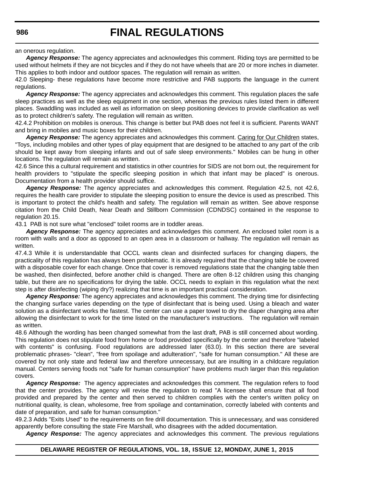an onerous regulation.

*Agency Response:* The agency appreciates and acknowledges this comment. Riding toys are permitted to be used without helmets if they are not bicycles and if they do not have wheels that are 20 or more inches in diameter. This applies to both indoor and outdoor spaces. The regulation will remain as written.

42.0 Sleeping- these regulations have become more restrictive and PAB supports the language in the current regulations.

*Agency Response:* The agency appreciates and acknowledges this comment. This regulation places the safe sleep practices as well as the sleep equipment in one section, whereas the previous rules listed them in different places. Swaddling was included as well as information on sleep positioning devices to provide clarification as well as to protect children's safety. The regulation will remain as written.

42.4.2 Prohibition on mobiles is onerous. This change is better but PAB does not feel it is sufficient. Parents WANT and bring in mobiles and music boxes for their children.

*Agency Response:* The agency appreciates and acknowledges this comment. Caring for Our Children states, "Toys, including mobiles and other types of play equipment that are designed to be attached to any part of the crib should be kept away from sleeping infants and out of safe sleep environments." Mobiles can be hung in other locations. The regulation will remain as written.

42.6 Since this a cultural requirement and statistics in other countries for SIDS are not born out, the requirement for health providers to "stipulate the specific sleeping position in which that infant may be placed" is onerous. Documentation from a health provider should suffice.

*Agency Response:* The agency appreciates and acknowledges this comment. Regulation 42.5, not 42.6, requires the health care provider to stipulate the sleeping position to ensure the device is used as prescribed. This is important to protect the child's health and safety. The regulation will remain as written. See above response citation from the Child Death, Near Death and Stillborn Commission (CDNDSC) contained in the response to regulation 20.15.

43.1 PAB is not sure what "enclosed" toilet rooms are in toddler areas.

*Agency Response:* The agency appreciates and acknowledges this comment. An enclosed toilet room is a room with walls and a door as opposed to an open area in a classroom or hallway. The regulation will remain as written.

47.4.3 While it is understandable that OCCL wants clean and disinfected surfaces for changing diapers, the practicality of this regulation has always been problematic. It is already required that the changing table be covered with a disposable cover for each change. Once that cover is removed regulations state that the changing table then be washed, then disinfected, before another child is changed. There are often 8-12 children using this changing table, but there are no specifications for drying the table. OCCL needs to explain in this regulation what the next step is after disinfecting (wiping dry?) realizing that time is an important practical consideration.

*Agency Response:* The agency appreciates and acknowledges this comment. The drying time for disinfecting the changing surface varies depending on the type of disinfectant that is being used. Using a bleach and water solution as a disinfectant works the fastest. The center can use a paper towel to dry the diaper changing area after allowing the disinfectant to work for the time listed on the manufacturer's instructions. The regulation will remain as written.

48.6 Although the wording has been changed somewhat from the last draft, PAB is still concerned about wording. This regulation does not stipulate food from home or food provided specifically by the center and therefore "labeled with contents" is confusing. Food regulations are addressed later (63.0). In this section there are several problematic phrases- "clean", "free from spoilage and adulteration", "safe for human consumption." All these are covered by not only state and federal law and therefore unnecessary, but are insulting in a childcare regulation manual. Centers serving foods not "safe for human consumption" have problems much larger than this regulation covers.

*Agency Response:* The agency appreciates and acknowledges this comment. The regulation refers to food that the center provides. The agency will revise the regulation to read "A licensee shall ensure that all food provided and prepared by the center and then served to children complies with the center's written policy on nutritional quality, is clean, wholesome, free from spoilage and contamination, correctly labeled with contents and date of preparation, and safe for human consumption."

49.2.3 Adds "Exits Used" to the requirements on fire drill documentation. This is unnecessary, and was considered apparently before consulting the state Fire Marshall, who disagrees with the added documentation.

*Agency Response:* The agency appreciates and acknowledges this comment. The previous regulations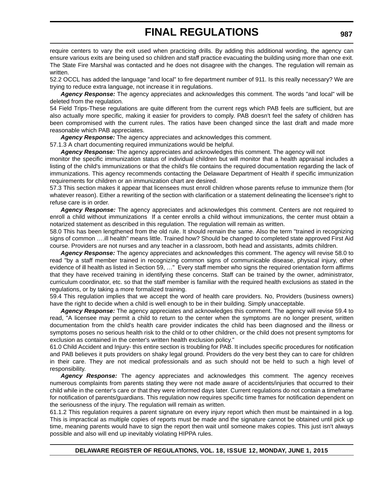require centers to vary the exit used when practicing drills. By adding this additional wording, the agency can ensure various exits are being used so children and staff practice evacuating the building using more than one exit. The State Fire Marshal was contacted and he does not disagree with the changes. The regulation will remain as written.

52.2 OCCL has added the language "and local" to fire department number of 911. Is this really necessary? We are trying to reduce extra language, not increase it in regulations.

*Agency Response:* The agency appreciates and acknowledges this comment. The words "and local" will be deleted from the regulation.

54 Field Trips-These regulations are quite different from the current regs which PAB feels are sufficient, but are also actually more specific, making it easier for providers to comply. PAB doesn't feel the safety of children has been compromised with the current rules. The ratios have been changed since the last draft and made more reasonable which PAB appreciates.

*Agency Response:* The agency appreciates and acknowledges this comment.

57.1.3 A chart documenting required immunizations would be helpful.

*Agency Response:* The agency appreciates and acknowledges this comment. The agency will not monitor the specific immunization status of individual children but will monitor that a health appraisal includes a

listing of the child's immunizations or that the child's file contains the required documentation regarding the lack of immunizations. This agency recommends contacting the Delaware Department of Health if specific immunization requirements for children or an immunization chart are desired.

57.3 This section makes it appear that licensees must enroll children whose parents refuse to immunize them (for whatever reason). Either a rewriting of the section with clarification or a statement delineating the licensee's right to refuse care is in order.

*Agency Response:* The agency appreciates and acknowledges this comment. Centers are not required to enroll a child without immunizations If a center enrolls a child without immunizations, the center must obtain a notarized statement as described in this regulation. The regulation will remain as written.

58.0 This has been lengthened from the old rule. It should remain the same. Also the term "trained in recognizing signs of common ….ill health" means little. Trained how? Should be changed to completed state approved First Aid course. Providers are not nurses and any teacher in a classroom, both head and assistants, admits children.

*Agency Response:* The agency appreciates and acknowledges this comment. The agency will revise 58.0 to read "by a staff member trained in recognizing common signs of communicable disease, physical injury, other evidence of ill health as listed in Section 59, …" Every staff member who signs the required orientation form affirms that they have received training in identifying these concerns. Staff can be trained by the owner, administrator, curriculum coordinator, etc. so that the staff member is familiar with the required health exclusions as stated in the regulations, or by taking a more formalized training.

59.4 This regulation implies that we accept the word of health care providers. No, Providers (business owners) have the right to decide when a child is well enough to be in their building. Simply unacceptable.

*Agency Response:* The agency appreciates and acknowledges this comment. The agency will revise 59.4 to read, "A licensee may permit a child to return to the center when the symptoms are no longer present, written documentation from the child's health care provider indicates the child has been diagnosed and the illness or symptoms poses no serious health risk to the child or to other children, or the child does not present symptoms for exclusion as contained in the center's written health exclusion policy."

61.0 Child Accident and Injury- this entire section is troubling for PAB. It includes specific procedures for notification and PAB believes it puts providers on shaky legal ground. Providers do the very best they can to care for children in their care. They are not medical professionals and as such should not be held to such a high level of responsibility.

Agency Response: The agency appreciates and acknowledges this comment. The agency receives numerous complaints from parents stating they were not made aware of accidents/injuries that occurred to their child while in the center's care or that they were informed days later. Current regulations do not contain a timeframe for notification of parents/guardians. This regulation now requires specific time frames for notification dependent on the seriousness of the injury. The regulation will remain as written.

61.1.2 This regulation requires a parent signature on every injury report which then must be maintained in a log. This is impractical as multiple copies of reports must be made and the signature cannot be obtained until pick up time, meaning parents would have to sign the report then wait until someone makes copies. This just isn't always possible and also will end up inevitably violating HIPPA rules.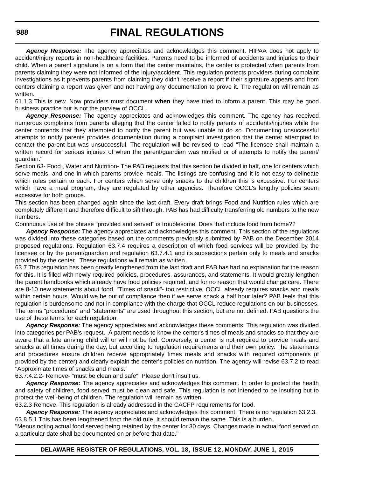*Agency Response:* The agency appreciates and acknowledges this comment. HIPAA does not apply to accident/injury reports in non-healthcare facilities. Parents need to be informed of accidents and injuries to their child. When a parent signature is on a form that the center maintains, the center is protected when parents from parents claiming they were not informed of the injury/accident. This regulation protects providers during complaint investigations as it prevents parents from claiming they didn't receive a report if their signature appears and from centers claiming a report was given and not having any documentation to prove it. The regulation will remain as written.

61.1.3 This is new. Now providers must document **when** they have tried to inform a parent. This may be good business practice but is not the purview of OCCL.

*Agency Response:* The agency appreciates and acknowledges this comment. The agency has received numerous complaints from parents alleging that the center failed to notify parents of accidents/injuries while the center contends that they attempted to notify the parent but was unable to do so. Documenting unsuccessful attempts to notify parents provides documentation during a complaint investigation that the center attempted to contact the parent but was unsuccessful. The regulation will be revised to read "The licensee shall maintain a written record for serious injuries of when the parent/guardian was notified or of attempts to notify the parent/ guardian."

Section 63- Food , Water and Nutrition- The PAB requests that this section be divided in half, one for centers which serve meals, and one in which parents provide meals. The listings are confusing and it is not easy to delineate which rules pertain to each. For centers which serve only snacks to the children this is excessive. For centers which have a meal program, they are regulated by other agencies. Therefore OCCL's lengthy policies seem excessive for both groups.

This section has been changed again since the last draft. Every draft brings Food and Nutrition rules which are completely different and therefore difficult to sift through. PAB has had difficulty transferring old numbers to the new numbers.

Continuous use of the phrase "provided and served" is troublesome. Does that include food from home??

*Agency Response:* The agency appreciates and acknowledges this comment. This section of the regulations was divided into these categories based on the comments previously submitted by PAB on the December 2014 proposed regulations. Regulation 63.7.4 requires a description of which food services will be provided by the licensee or by the parent/guardian and regulation 63.7.4.1 and its subsections pertain only to meals and snacks provided by the center. These regulations will remain as written.

63.7 This regulation has been greatly lengthened from the last draft and PAB has had no explanation for the reason for this. It is filled with newly required policies, procedures, assurances, and statements. It would greatly lengthen the parent handbooks which already have food policies required, and for no reason that would change care. There are 8-10 new statements about food. "Times of snack"- too restrictive. OCCL already requires snacks and meals within certain hours. Would we be out of compliance then if we serve snack a half hour later? PAB feels that this regulation is burdensome and not in compliance with the charge that OCCL reduce regulations on our businesses. The terms "procedures" and "statements" are used throughout this section, but are not defined. PAB questions the use of these terms for each regulation.

*Agency Response:* The agency appreciates and acknowledges these comments. This regulation was divided into categories per PAB's request. A parent needs to know the center's times of meals and snacks so that they are aware that a late arriving child will or will not be fed. Conversely, a center is not required to provide meals and snacks at all times during the day, but according to regulation requirements and their own policy. The statements and procedures ensure children receive appropriately times meals and snacks with required components (if provided by the center) and clearly explain the center's policies on nutrition. The agency will revise 63.7.2 to read "Approximate times of snacks and meals."

63.7.4.2.2- Remove- "must be clean and safe". Please don't insult us.

*Agency Response:* The agency appreciates and acknowledges this comment. In order to protect the health and safety of children, food served must be clean and safe. This regulation is not intended to be insulting but to protect the well-being of children. The regulation will remain as written.

63.2.3 Remove. This regulation is already addressed in the CACFP requirements for food.

*Agency Response:* The agency appreciates and acknowledges this comment. There is no regulation 63.2.3. 63.8.5.1 This has been lengthened from the old rule. It should remain the same. This is a burden.

"Menus noting actual food served being retained by the center for 30 days. Changes made in actual food served on a particular date shall be documented on or before that date."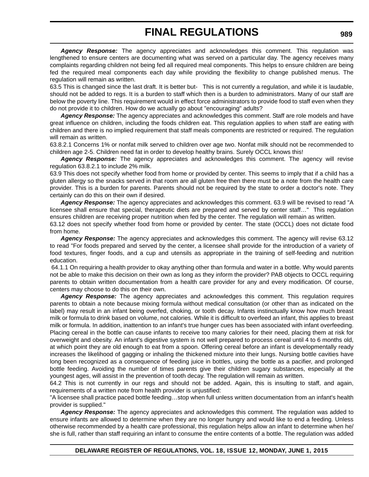*Agency Response:* The agency appreciates and acknowledges this comment. This regulation was lengthened to ensure centers are documenting what was served on a particular day. The agency receives many complaints regarding children not being fed all required meal components. This helps to ensure children are being fed the required meal components each day while providing the flexibility to change published menus. The regulation will remain as written.

63.5 This is changed since the last draft. It is better but- This is not currently a regulation, and while it is laudable, should not be added to regs. It is a burden to staff which then is a burden to administrators. Many of our staff are below the poverty line. This requirement would in effect force administrators to provide food to staff even when they do not provide it to children. How do we actually go about "encouraging" adults?

*Agency Response:* The agency appreciates and acknowledges this comment. Staff are role models and have great influence on children, including the foods children eat. This regulation applies to when staff are eating with children and there is no implied requirement that staff meals components are restricted or required. The regulation will remain as written.

63.8.2.1 Concerns 1% or nonfat milk served to children over age two. Nonfat milk should not be recommended to children age 2-5. Children need fat in order to develop healthy brains. Surely OCCL knows this!

Agency Response: The agency appreciates and acknowledges this comment. The agency will revise regulation 63.8.2.1 to include 2% milk.

63.9 This does not specify whether food from home or provided by center. This seems to imply that if a child has a gluten allergy so the snacks served in that room are all gluten free then there must be a note from the health care provider. This is a burden for parents. Parents should not be required by the state to order a doctor's note. They certainly can do this on their own if desired.

*Agency Response:* The agency appreciates and acknowledges this comment. 63.9 will be revised to read "A licensee shall ensure that special, therapeutic diets are prepared and served by center staff…" This regulation ensures children are receiving proper nutrition when fed by the center. The regulation will remain as written.

63.12 does not specify whether food from home or provided by center. The state (OCCL) does not dictate food from home.

*Agency Response:* The agency appreciates and acknowledges this comment. The agency will revise 63.12 to read "For foods prepared and served by the center, a licensee shall provide for the introduction of a variety of food textures, finger foods, and a cup and utensils as appropriate in the training of self-feeding and nutrition education.

 64.1.1 On requiring a health provider to okay anything other than formula and water in a bottle. Why would parents not be able to make this decision on their own as long as they inform the provider? PAB objects to OCCL requiring parents to obtain written documentation from a health care provider for any and every modification. Of course, centers may choose to do this on their own.

Agency Response: The agency appreciates and acknowledges this comment. This regulation requires parents to obtain a note because mixing formula without medical consultation (or other than as indicated on the label) may result in an infant being overfed, choking, or tooth decay. Infants instinctually know how much breast milk or formula to drink based on volume, not calories. While it is difficult to overfeed an infant, this applies to breast milk or formula. In addition, inattention to an infant's true hunger cues has been associated with infant overfeeding. Placing cereal in the bottle can cause infants to receive too many calories for their need, placing them at risk for overweight and obesity. An infant's digestive system is not well prepared to process cereal until 4 to 6 months old, at which point they are old enough to eat from a spoon. Offering cereal before an infant is developmentally ready increases the likelihood of gagging or inhaling the thickened mixture into their lungs. Nursing bottle cavities have long been recognized as a consequence of feeding juice in bottles, using the bottle as a pacifier, and prolonged bottle feeding. Avoiding the number of times parents give their children sugary substances, especially at the youngest ages, will assist in the prevention of tooth decay. The regulation will remain as written.

64.2 This is not currently in our regs and should not be added. Again, this is insulting to staff, and again, requirements of a written note from health provider is unjustified:

"A licensee shall practice paced bottle feeding…stop when full unless written documentation from an infant's health provider is supplied."

*Agency Response:* The agency appreciates and acknowledges this comment. The regulation was added to ensure infants are allowed to determine when they are no longer hungry and would like to end a feeding. Unless otherwise recommended by a health care professional, this regulation helps allow an infant to determine when he/ she is full, rather than staff requiring an infant to consume the entire contents of a bottle. The regulation was added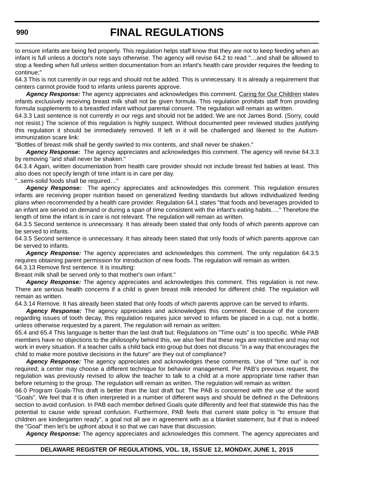to ensure infants are being fed properly. This regulation helps staff know that they are not to keep feeding when an infant is full unless a doctor's note says otherwise. The agency will revise 64.2 to read "…and shall be allowed to stop a feeding when full unless written documentation from an infant's health care provider requires the feeding to continue;"

64.3 This is not currently in our regs and should not be added. This is unnecessary. It is already a requirement that centers cannot provide food to infants unless parents approve.

*Agency Response:* The agency appreciates and acknowledges this comment. Caring for Our Children states infants exclusively receiving breast milk shall not be given formula. This regulation prohibits staff from providing formula supplements to a breastfed infant without parental consent. The regulation will remain as written.

64.3.3 Last sentence is not currently in our regs and should not be added. We are not James Bond. (Sorry, could not resist.) The science of this regulation is highly suspect. Without documented peer reviewed studies justifying this regulation it should be immediately removed. If left in it will be challenged and likened to the Autismimmunization scare link:

"Bottles of breast milk shall be gently swirled to mix contents, and shall never be shaken."

*Agency Response:* The agency appreciates and acknowledges this comment. The agency will revise 64.3.3 by removing "and shall never be shaken."

64.3.4 Again, written documentation from health care provider should not include breast fed babies at least. This also does not specify length of time infant is in care per day.

"..semi-solid foods shall be required…"

*Agency Response:* The agency appreciates and acknowledges this comment. This regulation ensures infants are receiving proper nutrition based on generalized feeding standards but allows individualized feeding plans when recommended by a health care provider. Regulation 64.1 states "that foods and beverages provided to an infant are served on demand or during a span of time consistent with the infant's eating habits.…" Therefore the length of time the infant is in care is not relevant. The regulation will remain as written.

64.3.5 Second sentence is unnecessary. It has already been stated that only foods of which parents approve can be served to infants.

64.3.5 Second sentence is unnecessary. It has already been stated that only foods of which parents approve can be served to infants.

*Agency Response:* The agency appreciates and acknowledges this comment. The only regulation 64.3.5 requires obtaining parent permission for introduction of new foods. The regulation will remain as written. 64.3.13 Remove first sentence. It is insulting:

Breast milk shall be served only to that mother's own infant."

Agency Response: The agency appreciates and acknowledges this comment. This regulation is not new. There are serious health concerns if a child is given breast milk intended for different child. The regulation will remain as written.

64.3.14 Remove. It has already been stated that only foods of which parents approve can be served to infants.

*Agency Response:* The agency appreciates and acknowledges this comment. Because of the concern regarding issues of tooth decay, this regulation requires juice served to infants be placed in a cup, not a bottle, unless otherwise requested by a parent. The regulation will remain as written.

65.4 and 65.4 This language is better than the last draft but: Regulations on "Time outs" is too specific. While PAB members have no objections to the philosophy behind this, we also feel that these regs are restrictive and may not work in every situation. If a teacher calls a child back into group but does not discuss "in a way that encourages the child to make more positive decisions in the future" are they out of compliance?

*Agency Response:* The agency appreciates and acknowledges these comments. Use of "time out" is not required; a center may choose a different technique for behavior management. Per PAB's previous request, the regulation was previously revised to allow the teacher to talk to a child at a more appropriate time rather than before returning to the group. The regulation will remain as written. The regulation will remain as written.

66.0 Program Goals-This draft is better than the last draft but: The PAB is concerned with the use of the word "Goals". We feel that it is often interpreted in a number of different ways and should be defined in the Definitions section to avoid confusion. In PAB each member defined Goals quite differently and feel that statewide this has the potential to cause wide spread confusion. Furthermore, PAB feels that current state policy is "to ensure that children are kindergarten ready", a goal not all are in agreement with as a blanket statement, but if that is indeed the "Goal" then let's be upfront about it so that we can have that discussion.

*Agency Response:* The agency appreciates and acknowledges this comment. The agency appreciates and

### **DELAWARE REGISTER OF REGULATIONS, VOL. 18, ISSUE 12, MONDAY, JUNE 1, 2015**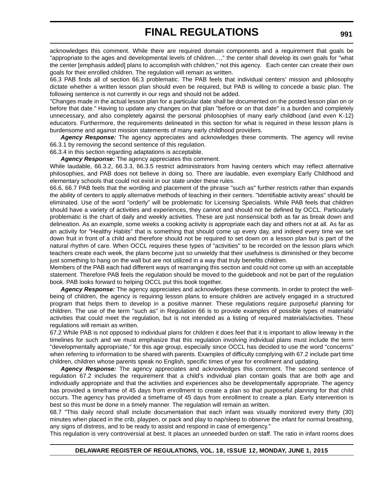acknowledges this comment. While there are required domain components and a requirement that goals be "appropriate to the ages and developmental levels of children…," the center shall develop its own goals for "what the center [emphasis added] plans to accomplish with children," not this agency. Each center can create their own goals for their enrolled children. The regulation will remain as written.

66.3 PAB finds all of section 66.3 problematic. The PAB feels that individual centers' mission and philosophy dictate whether a written lesson plan should even be required, but PAB is willing to concede a basic plan. The following sentence is not currently in our regs and should not be added.

"Changes made in the actual lesson plan for a particular date shall be documented on the posted lesson plan on or before that date." Having to update any changes on that plan "before or on that date" is a burden and completely unnecessary, and also completely against the personal philosophies of many early childhood (and even K-12) educators. Furthermore, the requirements delineated in this section for what is required in these lesson plans is burdensome and against mission statements of many early childhood providers.

*Agency Response:* The agency appreciates and acknowledges these comments. The agency will revise 66.3.1 by removing the second sentence of this regulation.

66.3.4 in this section regarding adaptations is acceptable.

*Agency Response:* The agency appreciates this comment.

While laudable, 66.3.2, 66.3.3, 66.3.5 restrict administrators from having centers which may reflect alternative philosophies, and PAB does not believe in doing so. There are laudable, even exemplary Early Childhood and elementary schools that could not exist in our state under these rules.

66.6, 66.7 PAB feels that the wording and placement of the phrase "such as" further restricts rather than expands the ability of centers to apply alternative methods of teaching in their centers. "Identifiable activity areas" should be eliminated. Use of the word "orderly" will be problematic for Licensing Specialists. While PAB feels that children should have a variety of activities and experiences, they cannot and should not be defined by OCCL. Particularly problematic is the chart of daily and weekly activities. These are just nonsensical both as far as break down and delineation. As an example, some weeks a cooking activity is appropriate each day and others not at all. As far as an activity for "Healthy Habits" that is something that should come up every day, and indeed every time we set down fruit in front of a child and therefore should not be required to set down on a lesson plan but is part of the natural rhythm of care. When OCCL requires these types of "activities" to be recorded on the lesson plans which teachers create each week, the plans become just so unwieldy that their usefulness is diminished or they become just something to hang on the wall but are not utilized in a way that truly benefits children.

Members of the PAB each had different ways of rearranging this section and could not come up with an acceptable statement. Therefore PAB feels the regulation should be moved to the guidebook and not be part of the regulation book. PAB looks forward to helping OCCL put this book together.

*Agency Response:* The agency appreciates and acknowledges these comments. In order to protect the wellbeing of children, the agency is requiring lesson plans to ensure children are actively engaged in a structured program that helps them to develop in a positive manner. These regulations require purposeful planning for children. The use of the term "such as" in Regulation 66 is to provide examples of possible types of materials/ activities that could meet the regulation, but is not intended as a listing of required materials/activities. These regulations will remain as written.

67.2 While PAB is not opposed to individual plans for children it does feel that it is important to allow leeway in the timelines for such and we must emphasize that this regulation involving individual plans must include the term "developmentally appropriate," for this age group, especially since OCCL has decided to use the word "concerns" when referring to information to be shared with parents. Examples of difficulty complying with 67.2 include part time children, children whose parents speak no English, specific times of year for enrollment and updating.

*Agency Response:* The agency appreciates and acknowledges this comment. The second sentence of regulation 67.2 includes the requirement that a child's individual plan contain goals that are both age and individually appropriate and that the activities and experiences also be developmentally appropriate. The agency has provided a timeframe of 45 days from enrollment to create a plan so that purposeful planning for that child occurs. The agency has provided a timeframe of 45 days from enrollment to create a plan. Early intervention is best so this must be done in a timely manner. The regulation will remain as written.

68.7 "This daily record shall include documentation that each infant was visually monitored every thirty (30) minutes when placed in the crib, playpen, or pack and play to nap/sleep to observe the infant for normal breathing, any signs of distress, and to be ready to assist and respond in case of emergency."

This regulation is very controversial at best. It places an unneeded burden on staff. The ratio in infant rooms does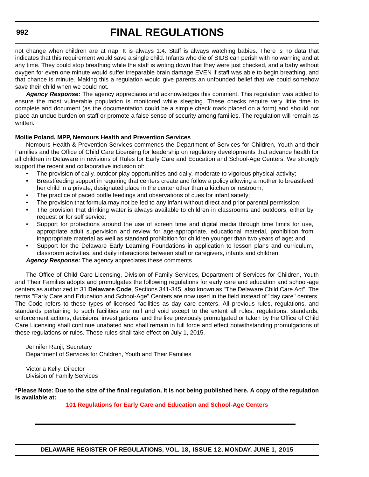# **FINAL REGULATIONS**

not change when children are at nap. It is always 1:4. Staff is always watching babies. There is no data that indicates that this requirement would save a single child. Infants who die of SIDS can perish with no warning and at any time. They could stop breathing while the staff is writing down that they were just checked, and a baby without oxygen for even one minute would suffer irreparable brain damage EVEN if staff was able to begin breathing, and that chance is minute. Making this a regulation would give parents an unfounded belief that we could somehow save their child when we could not.

*Agency Response:* The agency appreciates and acknowledges this comment. This regulation was added to ensure the most vulnerable population is monitored while sleeping. These checks require very little time to complete and document (as the documentation could be a simple check mark placed on a form) and should not place an undue burden on staff or promote a false sense of security among families. The regulation will remain as written.

### **Mollie Poland, MPP, Nemours Health and Prevention Services**

Nemours Health & Prevention Services commends the Department of Services for Children, Youth and their Families and the Office of Child Care Licensing for leadership on regulatory developments that advance health for all children in Delaware in revisions of Rules for Early Care and Education and School-Age Centers. We strongly support the recent and collaborative inclusion of:

- The provision of daily, outdoor play opportunities and daily, moderate to vigorous physical activity;
- Breastfeeding support in requiring that centers create and follow a policy allowing a mother to breastfeed her child in a private, designated place in the center other than a kitchen or restroom;
- The practice of paced bottle feedings and observations of cues for infant satiety;
- The provision that formula may not be fed to any infant without direct and prior parental permission;
- The provision that drinking water is always available to children in classrooms and outdoors, either by request or for self service;
- Support for protections around the use of screen time and digital media through time limits for use, appropriate adult supervision and review for age-appropriate, educational material, prohibition from inappropriate material as well as standard prohibition for children younger than two years of age; and
- Support for the Delaware Early Learning Foundations in application to lesson plans and curriculum, classroom activities, and daily interactions between staff or caregivers, infants and children.

*Agency Response:* The agency appreciates these comments.

The Office of Child Care Licensing, Division of Family Services, Department of Services for Children, Youth and Their Families adopts and promulgates the following regulations for early care and education and school-age centers as authorized in 31 **Delaware Code**, Sections 341-345, also known as "The Delaware Child Care Act". The terms "Early Care and Education and School-Age" Centers are now used in the field instead of "day care" centers. The Code refers to these types of licensed facilities as day care centers. All previous rules, regulations, and standards pertaining to such facilities are null and void except to the extent all rules, regulations, standards, enforcement actions, decisions, investigations, and the like previously promulgated or taken by the Office of Child Care Licensing shall continue unabated and shall remain in full force and effect notwithstanding promulgations of these regulations or rules. These rules shall take effect on July 1, 2015.

Jennifer Ranji, Secretary Department of Services for Children, Youth and Their Families

Victoria Kelly, Director Division of Family Services

**\*Please Note: Due to the size of the final regulation, it is not being published here. A copy of the regulation is available at:**

**[101 Regulations for Early Care and Education and School-Age Centers](http://regulations.delaware.gov/register/june2015/final/18 DE Reg 974 06-01-15.htm)**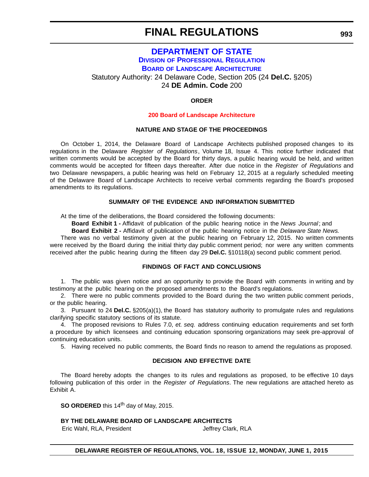### **[DEPARTMENT OF STATE](http://sos.delaware.gov/) DIVISION [OF PROFESSIONAL REGULATION](http://dpr.delaware.gov/) BOARD [OF LANDSCAPE ARCHITECTURE](http://dpr.delaware.gov/boards/landscape/index.shtml)** Statutory Authority: 24 Delaware Code, Section 205 (24 **Del.C.** §205) 24 **DE Admin. Code** 200

### **ORDER**

### **[200 Board of Landscape Architecture](#page-4-0)**

### **NATURE AND STAGE OF THE PROCEEDINGS**

On October 1, 2014, the Delaware Board of Landscape Architects published proposed changes to its regulations in the Delaware *Register of Regulations*, Volume 18, Issue 4. This notice further indicated that written comments would be accepted by the Board for thirty days, a public hearing would be held, and written comments would be accepted for fifteen days thereafter. After due notice in the *Register of Regulations* and two Delaware newspapers, a public hearing was held on February 12, 2015 at a regularly scheduled meeting of the Delaware Board of Landscape Architects to receive verbal comments regarding the Board's proposed amendments to its regulations.

### **SUMMARY OF THE EVIDENCE AND INFORMATION SUBMITTED**

At the time of the deliberations, the Board considered the following documents:

**Board Exhibit 1 -** Affidavit of publication of the public hearing notice in the *News Journal*; and

**Board Exhibit 2 -** Affidavit of publication of the public hearing notice in the *Delaware State News.*

There was no verbal testimony given at the public hearing on February 12, 2015. No written comments were received by the Board during the initial thirty day public comment period; nor were any written comments received after the public hearing during the fifteen day 29 **Del.C.** §10118(a) second public comment period.

### **FINDINGS OF FACT AND CONCLUSIONS**

1. The public was given notice and an opportunity to provide the Board with comments in writing and by testimony at the public hearing on the proposed amendments to the Board's regulations.

2. There were no public comments provided to the Board during the two written public comment periods, or the public hearing.

3. Pursuant to 24 **Del.C.** §205(a)(1), the Board has statutory authority to promulgate rules and regulations clarifying specific statutory sections of its statute.

4. The proposed revisions to Rules 7.0, *et. seq.* address continuing education requirements and set forth a procedure by which licensees and continuing education sponsoring organizations may seek pre-approval of continuing education units.

5. Having received no public comments, the Board finds no reason to amend the regulations as proposed.

### **DECISION AND EFFECTIVE DATE**

The Board hereby adopts the changes to its rules and regulations as proposed, to be effective 10 days following publication of this order in the *Register of Regulations*. The new regulations are attached hereto as Exhibit A.

**SO ORDERED** this 14<sup>th</sup> day of May, 2015.

### **BY THE DELAWARE BOARD OF LANDSCAPE ARCHITECTS**

Eric Wahl, RLA, President Jeffrey Clark, RLA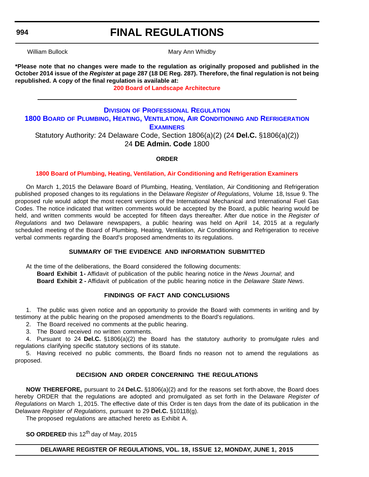# **FINAL REGULATIONS**

William Bullock **Mary Ann Whidby** Mary Ann Whidby

**\*Please note that no changes were made to the regulation as originally proposed and published in the October 2014 issue of the** *Register* **at page 287 (18 DE Reg. 287). Therefore, the final regulation is not being republished. A copy of the final regulation is available at:**

**[200 Board of Landscape Architecture](http://regulations.delaware.gov/register/june2015/final/18 DE Reg 993 06-01-15.htm)**

### **DIVISION [OF PROFESSIONAL REGULATION](http://dpr.delaware.gov/) 1800 BOARD [OF PLUMBING, HEATING, VENTILATION, AIR CONDITIONING](http://dpr.delaware.gov/boards/plumbers/index.shtml) AND REFRIGERATION EXAMINERS** Statutory Authority: 24 Delaware Code, Section 1806(a)(2) (24 **Del.C.** §1806(a)(2))

24 **DE Admin. Code** 1800

### **ORDER**

### **[1800 Board of Plumbing, Heating, Ventilation, Air Conditioning and Refrigeration Examiners](#page-4-0)**

On March 1, 2015 the Delaware Board of Plumbing, Heating, Ventilation, Air Conditioning and Refrigeration published proposed changes to its regulations in the Delaware *Register of Regulations*, Volume 18, Issue 9. The proposed rule would adopt the most recent versions of the International Mechanical and International Fuel Gas Codes. The notice indicated that written comments would be accepted by the Board, a public hearing would be held, and written comments would be accepted for fifteen days thereafter. After due notice in the *Register of Regulations* and two Delaware newspapers, a public hearing was held on April 14, 2015 at a regularly scheduled meeting of the Board of Plumbing, Heating, Ventilation, Air Conditioning and Refrigeration to receive verbal comments regarding the Board's proposed amendments to its regulations.

### **SUMMARY OF THE EVIDENCE AND INFORMATION SUBMITTED**

At the time of the deliberations, the Board considered the following documents:

**Board Exhibit 1 -** Affidavit of publication of the public hearing notice in the *News Journal*; and **Board Exhibit 2 -** Affidavit of publication of the public hearing notice in the *Delaware State News*.

### **FINDINGS OF FACT AND CONCLUSIONS**

1. The public was given notice and an opportunity to provide the Board with comments in writing and by testimony at the public hearing on the proposed amendments to the Board's regulations.

2. The Board received no comments at the public hearing.

3. The Board received no written comments.

4. Pursuant to 24 **Del.C.** §1806(a)(2) the Board has the statutory authority to promulgate rules and regulations clarifying specific statutory sections of its statute.

5. Having received no public comments, the Board finds no reason not to amend the regulations as proposed.

### **DECISION AND ORDER CONCERNING THE REGULATIONS**

**NOW THEREFORE,** pursuant to 24 **Del.C.** §1806(a)(2) and for the reasons set forth above, the Board does hereby ORDER that the regulations are adopted and promulgated as set forth in the Delaware *Register of Regulations* on March 1, 2015. The effective date of this Order is ten days from the date of its publication in the Delaware *Register of Regulations*, pursuant to 29 **Del.C.** §10118(g).

The proposed regulations are attached hereto as Exhibit A.

**SO ORDERED** this 12<sup>th</sup> day of May, 2015

**DELAWARE REGISTER OF REGULATIONS, VOL. 18, ISSUE 12, MONDAY, JUNE 1, 2015**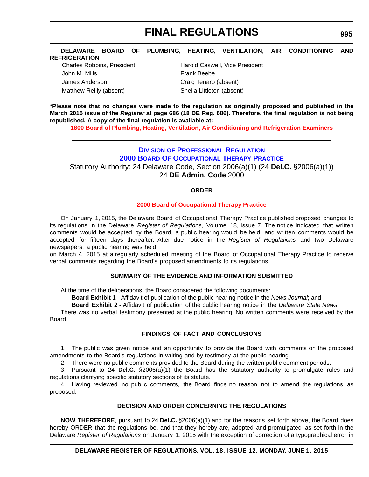#### **DELAWARE BOARD OF PLUMBING, HEATING, VENTILATION, AIR CONDITIONING AND REFRIGERATION**

John M. Mills **Frank Beebe** James Anderson Craig Tenaro (absent) Matthew Reilly (absent) Sheila Littleton (absent)

Charles Robbins, President **Harold Caswell, Vice President** 

**\*Please note that no changes were made to the regulation as originally proposed and published in the March 2015 issue of the** *Register* **at page 686 (18 DE Reg. 686). Therefore, the final regulation is not being republished. A copy of the final regulation is available at:**

**[1800 Board of Plumbing, Heating, Ventilation, Air Conditioning and Refrigeration Examiners](http://regulations.delaware.gov/register/june2015/final/18 DE Reg 994 06-01-15.htm)**

### **DIVISION [OF PROFESSIONAL REGULATION](http://dpr.delaware.gov/) [2000 BOARD OF OCCUPATIONAL THERAPY PRACTICE](http://dpr.delaware.gov/boards/occupationaltherapy/index.shtml)** Statutory Authority: 24 Delaware Code, Section 2006(a)(1) (24 **Del.C.** §2006(a)(1)) 24 **DE Admin. Code** 2000

### **ORDER**

### **[2000 Board of Occupational Therapy Practice](#page-4-0)**

On January 1, 2015, the Delaware Board of Occupational Therapy Practice published proposed changes to its regulations in the Delaware *Register of Regulations*, Volume 18, Issue 7. The notice indicated that written comments would be accepted by the Board, a public hearing would be held, and written comments would be accepted for fifteen days thereafter. After due notice in the *Register of Regulations* and two Delaware newspapers, a public hearing was held

on March 4, 2015 at a regularly scheduled meeting of the Board of Occupational Therapy Practice to receive verbal comments regarding the Board's proposed amendments to its regulations.

### **SUMMARY OF THE EVIDENCE AND INFORMATION SUBMITTED**

At the time of the deliberations, the Board considered the following documents:

**Board Exhibit 1** - Affidavit of publication of the public hearing notice in the *News Journal*; and

**Board Exhibit 2 -** Affidavit of publication of the public hearing notice in the *Delaware State News*.

There was no verbal testimony presented at the public hearing. No written comments were received by the Board.

### **FINDINGS OF FACT AND CONCLUSIONS**

1. The public was given notice and an opportunity to provide the Board with comments on the proposed amendments to the Board's regulations in writing and by testimony at the public hearing.

2. There were no public comments provided to the Board during the written public comment periods.

3. Pursuant to 24 **Del.C.** §2006(a)(1) the Board has the statutory authority to promulgate rules and regulations clarifying specific statutory sections of its statute.

4. Having reviewed no public comments, the Board finds no reason not to amend the regulations as proposed.

### **DECISION AND ORDER CONCERNING THE REGULATIONS**

**NOW THEREFORE**, pursuant to 24 **Del.C.** §2006(a)(1) and for the reasons set forth above, the Board does hereby ORDER that the regulations be, and that they hereby are, adopted and promulgated as set forth in the Delaware *Register of Regulations* on January 1, 2015 with the exception of correction of a typographical error in

### **DELAWARE REGISTER OF REGULATIONS, VOL. 18, ISSUE 12, MONDAY, JUNE 1, 2015**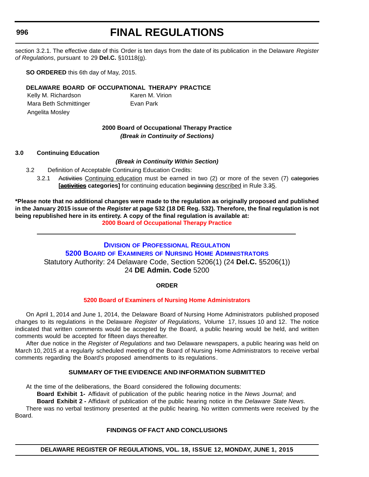# **FINAL REGULATIONS**

section 3.2.1. The effective date of this Order is ten days from the date of its publication in the Delaware *Register of Regulations*, pursuant to 29 **Del.C.** §10118(g).

**SO ORDERED** this 6th day of May, 2015.

### **DELAWARE BOARD OF OCCUPATIONAL THERAPY PRACTICE**

Kelly M. Richardson Karen M. Virion Mara Beth Schmittinger **Evan Park** Angelita Mosley

### **2000 Board of Occupational Therapy Practice** *(Break in Continuity of Sections)*

### **3.0 Continuing Education**

### *(Break in Continuity Within Section)*

- 3.2 Definition of Acceptable Continuing Education Credits:
	- 3.2.1 Activities Continuing education must be earned in two (2) or more of the seven (7) categories **[activities categories]** for continuing education beginning described in Rule 3.35.

**\*Please note that no additional changes were made to the regulation as originally proposed and published in the January 2015 issue of the** *Register* **at page 532 (18 DE Reg. 532). Therefore, the final regulation is not being republished here in its entirety. A copy of the final regulation is available at: [2000 Board of Occupational Therapy Practice](http://regulations.delaware.gov/register/june2015/final/18 DE Reg 995 06-01-15.htm)**

### **DIVISION [OF PROFESSIONAL REGULATION](http://dpr.delaware.gov/) 5200 BOARD OF EXAMINERS [OF NURSING HOME ADMINISTRATORS](http://dpr.delaware.gov/boards/nursinghomeadmin/index.shtml)** Statutory Authority: 24 Delaware Code, Section 5206(1) (24 **Del.C.** §5206(1)) 24 **DE Admin. Code** 5200

### **ORDER**

### **[5200 Board of Examiners of Nursing Home Administrators](#page-4-0)**

On April 1, 2014 and June 1, 2014, the Delaware Board of Nursing Home Administrators published proposed changes to its regulations in the Delaware *Register of Regulations*, Volume 17, Issues 10 and 12. The notice indicated that written comments would be accepted by the Board, a public hearing would be held, and written comments would be accepted for fifteen days thereafter.

After due notice in the *Register of Regulations* and two Delaware newspapers, a public hearing was held on March 10, 2015 at a regularly scheduled meeting of the Board of Nursing Home Administrators to receive verbal comments regarding the Board's proposed amendments to its regulations.

### **SUMMARY OF THE EVIDENCE AND INFORMATION SUBMITTED**

At the time of the deliberations, the Board considered the following documents:

**Board Exhibit 1-** Affidavit of publication of the public hearing notice in the *News Journal*; and

**Board Exhibit 2 -** Affidavit of publication of the public hearing notice in the *Delaware State News*. There was no verbal testimony presented at the public hearing. No written comments were received by the Board.

### **FINDINGS OF FACT AND CONCLUSIONS**

### **DELAWARE REGISTER OF REGULATIONS, VOL. 18, ISSUE 12, MONDAY, JUNE 1, 2015**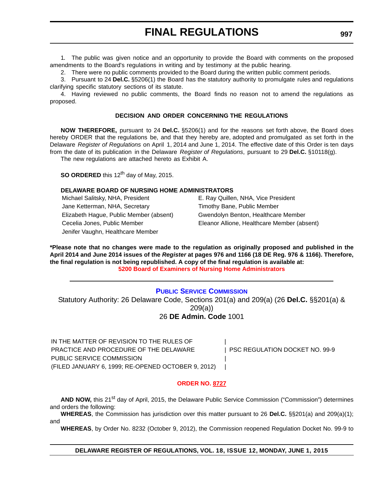1. The public was given notice and an opportunity to provide the Board with comments on the proposed amendments to the Board's regulations in writing and by testimony at the public hearing.

2. There were no public comments provided to the Board during the written public comment periods.

3. Pursuant to 24 **Del.C.** §5206(1) the Board has the statutory authority to promulgate rules and regulations clarifying specific statutory sections of its statute.

4. Having reviewed no public comments, the Board finds no reason not to amend the regulations as proposed.

### **DECISION AND ORDER CONCERNING THE REGULATIONS**

**NOW THEREFORE,** pursuant to 24 **Del.C.** §5206(1) and for the reasons set forth above, the Board does hereby ORDER that the regulations be, and that they hereby are, adopted and promulgated as set forth in the Delaware *Register of Regulations* on April 1, 2014 and June 1, 2014. The effective date of this Order is ten days from the date of its publication in the Delaware *Register of Regulations*, pursuant to 29 **Del.C.** §10118(g). The new regulations are attached hereto as Exhibit A.

**SO ORDERED** this 12<sup>th</sup> day of May, 2015.

### **DELAWARE BOARD OF NURSING HOME ADMINISTRATORS**

Michael Salitsky, NHA, President E. Ray Quillen, NHA, Vice President Jane Ketterman, NHA, Secretary Timothy Bane, Public Member Elizabeth Hague, Public Member (absent) Gwendolyn Benton, Healthcare Member Cecelia Jones, Public Member Eleanor Allione, Healthcare Member (absent) Jenifer Vaughn, Healthcare Member

**\*Please note that no changes were made to the regulation as originally proposed and published in the April 2014 and June 2014 issues of the** *Register* **at pages 976 and 1166 (18 DE Reg. 976 & 1166). Therefore, the final regulation is not being republished. A copy of the final regulation is available at: [5200 Board of Examiners of Nursing Home Administrators](http://regulations.delaware.gov/register/june2015/final/18 DE Reg 996 06-01-15.htm)**

### **[PUBLIC SERVICE COMMISSION](http://depsc.delaware.gov/)**

Statutory Authority: 26 Delaware Code, Sections 201(a) and 209(a) (26 **Del.C.** §§201(a) & 209(a)) 26 **DE Admin. Code** 1001

| IN THE MATTER OF REVISION TO THE RULES OF          |                                |
|----------------------------------------------------|--------------------------------|
| PRACTICE AND PROCEDURE OF THE DELAWARE             | PSC REGULATION DOCKET NO. 99-9 |
| PUBLIC SERVICE COMMISSION                          |                                |
| (FILED JANUARY 6, 1999; RE-OPENED OCTOBER 9, 2012) |                                |

### **[ORDER NO. 8727](#page-4-0)**

AND NOW, this 21<sup>st</sup> day of April, 2015, the Delaware Public Service Commission ("Commission") determines and orders the following:

**WHEREAS**, the Commission has jurisdiction over this matter pursuant to 26 **Del.C.** §§201(a) and 209(a)(1); and

**WHEREAS**, by Order No. 8232 (October 9, 2012), the Commission reopened Regulation Docket No. 99-9 to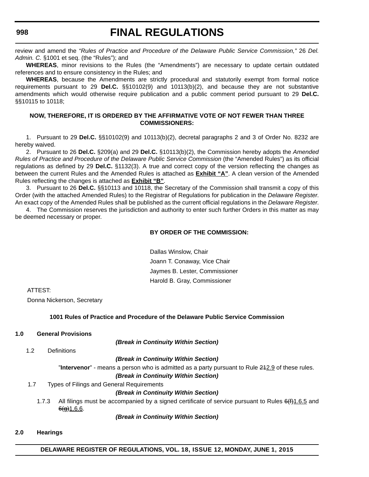### **FINAL REGULATIONS**

review and amend the *"Rules of Practice and Procedure of the Delaware Public Service Commission,"* 26 *Del. Admin. C.* §1001 et seq. (the "Rules"); and

**WHEREAS**, minor revisions to the Rules (the "Amendments") are necessary to update certain outdated references and to ensure consistency in the Rules; and

**WHEREAS**, because the Amendments are strictly procedural and statutorily exempt from formal notice requirements pursuant to 29 **Del.C.** §§10102(9) and 10113(b)(2), and because they are not substantive amendments which would otherwise require publication and a public comment period pursuant to 29 **Del.C.** §§10115 to 10118;

### **NOW, THEREFORE, IT IS ORDERED BY THE AFFIRMATIVE VOTE OF NOT FEWER THAN THREE COMMISSIONERS:**

1. Pursuant to 29 **Del.C.** §§10102(9) and 10113(b)(2), decretal paragraphs 2 and 3 of Order No. 8232 are hereby waived.

2. Pursuant to 26 **Del.C.** §209(a) and 29 **Del.C.** §10113(b)(2), the Commission hereby adopts the *Amended Rules of Practice and Procedure of the Delaware Public Service Commission* (the "Amended Rules") as its official regulations as defined by 29 **Del.C.** §1132(3). A true and correct copy of the version reflecting the changes as between the current Rules and the Amended Rules is attached as **Exhibit "A"**. A clean version of the Amended Rules reflecting the changes is attached as **Exhibit "B"**.

3. Pursuant to 26 **Del.C.** §§10113 and 10118, the Secretary of the Commission shall transmit a copy of this Order (with the attached Amended Rules) to the Registrar of Regulations for publication in the *Delaware Register*. An exact copy of the Amended Rules shall be published as the current official regulations in the *Delaware Register*.

4. The Commission reserves the jurisdiction and authority to enter such further Orders in this matter as may be deemed necessary or proper.

### **BY ORDER OF THE COMMISSION:**

Dallas Winslow, Chair Joann T. Conaway, Vice Chair Jaymes B. Lester, Commissioner Harold B. Gray, Commissioner

ATTEST:

Donna Nickerson, Secretary

### **1001 Rules of Practice and Procedure of the Delaware Public Service Commission**

### **1.0 General Provisions**

*(Break in Continuity Within Section)*

1.2 Definitions

#### *(Break in Continuity Within Section)*

"**Intervenor**" - means a person who is admitted as a party pursuant to Rule 212.9 of these rules.

### *(Break in Continuity Within Section)*

1.7 Types of Filings and General Requirements

### *(Break in Continuity Within Section)*

1.7.3 All filings must be accompanied by a signed certificate of service pursuant to Rules 6(f) 1.6.5 and  $6(9)1.6.6$ .

### *(Break in Continuity Within Section)*

**2.0 Hearings**

### **DELAWARE REGISTER OF REGULATIONS, VOL. 18, ISSUE 12, MONDAY, JUNE 1, 2015**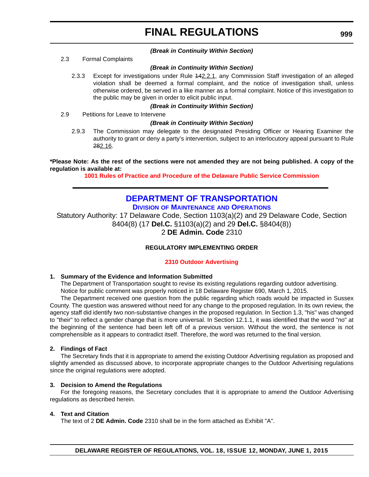### *(Break in Continuity Within Section)*

2.3 Formal Complaints

### *(Break in Continuity Within Section)*

2.3.3 Except for investigations under Rule 142.2.1, any Commission Staff investigation of an alleged violation shall be deemed a formal complaint, and the notice of investigation shall, unless otherwise ordered, be served in a like manner as a formal complaint. Notice of this investigation to the public may be given in order to elicit public input.

### *(Break in Continuity Within Section)*

2.9 Petitions for Leave to Intervene

### *(Break in Continuity Within Section)*

2.9.3 The Commission may delegate to the designated Presiding Officer or Hearing Examiner the authority to grant or deny a party's intervention, subject to an interlocutory appeal pursuant to Rule 282.16.

**\*Please Note: As the rest of the sections were not amended they are not being published. A copy of the regulation is available at:**

**[1001 Rules of Practice and Procedure of the Delaware Public Service Commission](http://regulations.delaware.gov/register/june2015/final/18 DE Reg 997 06-01-15.htm)**

### **[DEPARTMENT OF TRANSPORTATION](http://www.deldot.gov/) DIVISION [OF MAINTENANCE](http://www.deldot.gov/home/divisions/) AND OPERATIONS**

Statutory Authority: 17 Delaware Code, Section 1103(a)(2) and 29 Delaware Code, Section 8404(8) (17 **Del.C.** §1103(a)(2) and 29 **Del.C.** §8404(8)) 2 **DE Admin. Code** 2310

### **REGULATORY IMPLEMENTING ORDER**

### **[2310 Outdoor Advertising](#page-4-0)**

### **1. Summary of the Evidence and Information Submitted**

The Department of Transportation sought to revise its existing regulations regarding outdoor advertising. Notice for public comment was properly noticed in 18 Delaware Register 690, March 1, 2015.

The Department received one question from the public regarding which roads would be impacted in Sussex County. The question was answered without need for any change to the proposed regulation. In its own review, the agency staff did identify two non-substantive changes in the proposed regulation. In Section 1.3, "his" was changed to "their" to reflect a gender change that is more universal. In Section 12.1.1, it was identified that the word "no" at the beginning of the sentence had been left off of a previous version. Without the word, the sentence is not comprehensible as it appears to contradict itself. Therefore, the word was returned to the final version.

### **2. Findings of Fact**

The Secretary finds that it is appropriate to amend the existing Outdoor Advertising regulation as proposed and slightly amended as discussed above, to incorporate appropriate changes to the Outdoor Advertising regulations since the original regulations were adopted.

### **3. Decision to Amend the Regulations**

For the foregoing reasons, the Secretary concludes that it is appropriate to amend the Outdoor Advertising regulations as described herein.

### **4. Text and Citation**

The text of 2 **DE Admin. Code** 2310 shall be in the form attached as Exhibit "A".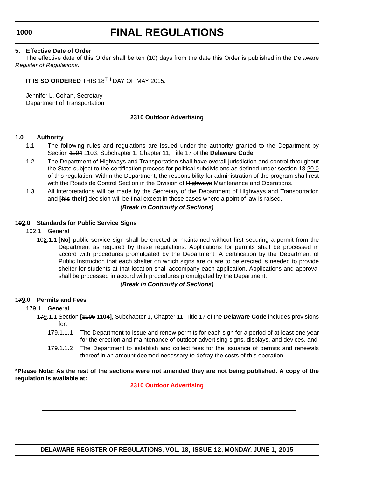# **FINAL REGULATIONS**

### **5. Effective Date of Order**

The effective date of this Order shall be ten (10) days from the date this Order is published in the Delaware *Register of Regulations*.

**IT IS SO ORDERED** THIS 18TH DAY OF MAY 2015.

Jennifer L. Cohan, Secretary Department of Transportation

### **2310 Outdoor Advertising**

### **1.0 Authority**

- 1.1 The following rules and regulations are issued under the authority granted to the Department by Section 1104 1103, Subchapter 1, Chapter 11, Title 17 of the **Delaware Code**.
- 1.2 The Department of Highways and Transportation shall have overall jurisdiction and control throughout the State subject to the certification process for political subdivisions as defined under section 48 20.0 of this regulation. Within the Department, the responsibility for administration of the program shall rest with the Roadside Control Section in the Division of Highways Maintenance and Operations.
- 1.3 All interpretations will be made by the Secretary of the Department of Highways and Transportation and **[his their]** decision will be final except in those cases where a point of law is raised.

### *(Break in Continuity of Sections)*

### **102.0 Standards for Public Service Signs**

- 102.1 General
	- 102.1.1 **[No]** public service sign shall be erected or maintained without first securing a permit from the Department as required by these regulations. Applications for permits shall be processed in accord with procedures promulgated by the Department. A certification by the Department of Public Instruction that each shelter on which signs are or are to be erected is needed to provide shelter for students at that location shall accompany each application. Applications and approval shall be processed in accord with procedures promulgated by the Department.

### *(Break in Continuity of Sections)*

### **179.0 Permits and Fees**

### 179.1 General

- 179.1.1 Section **[1105 1104]**, Subchapter 1, Chapter 11, Title 17 of the **Delaware Code** includes provisions for:
	- 179.1.1.1 The Department to issue and renew permits for each sign for a period of at least one year for the erection and maintenance of outdoor advertising signs, displays, and devices, and
	- 179.1.1.2 The Department to establish and collect fees for the issuance of permits and renewals thereof in an amount deemed necessary to defray the costs of this operation.

**\*Please Note: As the rest of the sections were not amended they are not being published. A copy of the regulation is available at:**

### **[2310 Outdoor Advertising](http://regulations.delaware.gov/register/june2015/final/18 DE Reg 999 06-01-15.htm)**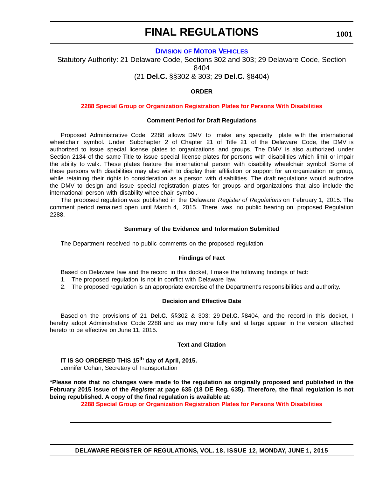**1001**

### **DIVISION [OF MOTOR VEHICLES](http://dmv.de.gov/)**

Statutory Authority: 21 Delaware Code, Sections 302 and 303; 29 Delaware Code, Section 8404

(21 **Del.C.** §§302 & 303; 29 **Del.C.** §8404)

### **ORDER**

### **[2288 Special Group or Organization Registration Plates for Persons With Disabilities](#page-4-0)**

### **Comment Period for Draft Regulations**

Proposed Administrative Code 2288 allows DMV to make any specialty plate with the international wheelchair symbol. Under Subchapter 2 of Chapter 21 of Title 21 of the Delaware Code, the DMV is authorized to issue special license plates to organizations and groups. The DMV is also authorized under Section 2134 of the same Title to issue special license plates for persons with disabilities which limit or impair the ability to walk. These plates feature the international person with disability wheelchair symbol. Some of these persons with disabilities may also wish to display their affiliation or support for an organization or group, while retaining their rights to consideration as a person with disabilities. The draft regulations would authorize the DMV to design and issue special registration plates for groups and organizations that also include the international person with disability wheelchair symbol.

The proposed regulation was published in the Delaware *Register of Regulations* on February 1, 2015. The comment period remained open until March 4, 2015. There was no public hearing on proposed Regulation 2288.

#### **Summary of the Evidence and Information Submitted**

The Department received no public comments on the proposed regulation.

### **Findings of Fact**

Based on Delaware law and the record in this docket, I make the following findings of fact:

- 1. The proposed regulation is not in conflict with Delaware law.
- 2. The proposed regulation is an appropriate exercise of the Department's responsibilities and authority.

### **Decision and Effective Date**

Based on the provisions of 21 **Del.C.** §§302 & 303; 29 **Del.C.** §8404, and the record in this docket, I hereby adopt Administrative Code 2288 and as may more fully and at large appear in the version attached hereto to be effective on June 11, 2015.

### **Text and Citation**

**IT IS SO ORDERED THIS 15th day of April, 2015.** Jennifer Cohan, Secretary of Transportation

**\*Please note that no changes were made to the regulation as originally proposed and published in the February 2015 issue of the** *Register* **at page 635 (18 DE Reg. 635). Therefore, the final regulation is not being republished. A copy of the final regulation is available at:**

**[2288 Special Group or Organization Registration Plates for Persons With Disabilities](http://regulations.delaware.gov/register/june2015/final/18 DE Reg 1001 06-01-15.htm)**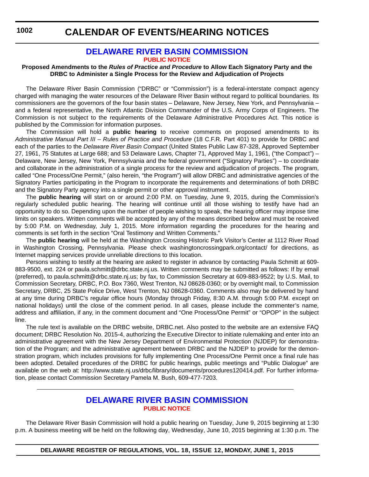### **CALENDAR OF EVENTS/HEARING NOTICES**

### **[DELAWARE RIVER BASIN COMMISSION](http://www.state.nj.us/drbc/) [PUBLIC NOTICE](#page-4-0)**

### **Proposed Amendments to the** *Rules of Practice and Procedure* **to Allow Each Signatory Party and the DRBC to Administer a Single Process for the Review and Adjudication of Projects**

The Delaware River Basin Commission ("DRBC" or "Commission") is a federal-interstate compact agency charged with managing the water resources of the Delaware River Basin without regard to political boundaries. Its commissioners are the governors of the four basin states – Delaware, New Jersey, New York, and Pennsylvania – and a federal representative, the North Atlantic Division Commander of the U.S. Army Corps of Engineers. The Commission is not subject to the requirements of the Delaware Administrative Procedures Act. This notice is published by the Commission for information purposes.

The Commission will hold a **public hearing** to receive comments on proposed amendments to its Administrative Manual Part III - Rules of Practice and Procedure (18 C.F.R. Part 401) to provide for DRBC and each of the parties to the *Delaware River Basin Compact* (United States Public Law 87-328, Approved September 27, 1961, 75 Statutes at Large 688; and 53 Delaware Laws, Chapter 71, Approved May 1, 1961, ("the Compact") – Delaware, New Jersey, New York, Pennsylvania and the federal government ("Signatory Parties") – to coordinate and collaborate in the administration of a single process for the review and adjudication of projects. The program, called "One Process/One Permit," (also herein, "the Program") will allow DRBC and administrative agencies of the Signatory Parties participating in the Program to incorporate the requirements and determinations of both DRBC and the Signatory Party agency into a single permit or other approval instrument.

The **public hearing** will start on or around 2:00 P.M. on Tuesday, June 9, 2015, during the Commission's regularly scheduled public hearing. The hearing will continue until all those wishing to testify have had an opportunity to do so. Depending upon the number of people wishing to speak, the hearing officer may impose time limits on speakers. Written comments will be accepted by any of the means described below and must be received by 5:00 P.M. on Wednesday, July 1, 2015. More information regarding the procedures for the hearing and comments is set forth in the section "Oral Testimony and Written Comments."

The **public hearing** will be held at the Washington Crossing Historic Park Visitor's Center at 1112 River Road in Washington Crossing, Pennsylvania. Please check washingtoncrossingpark.org/contact/ for directions, as Internet mapping services provide unreliable directions to this location.

Persons wishing to testify at the hearing are asked to register in advance by contacting Paula Schmitt at 609- 883-9500, ext. 224 or paula.schmitt@drbc.state.nj.us. Written comments may be submitted as follows: If by email (preferred), to [paula.schmitt@drbc.state.nj.us](mailto:paula.schmitt@drbc.state.nj.us); by fax, to Commission Secretary at 609-883-9522; by U.S. Mail, to Commission Secretary, DRBC, P.O. Box 7360, West Trenton, NJ 08628-0360; or by overnight mail, to Commission Secretary, DRBC, 25 State Police Drive, West Trenton, NJ 08628-0360. Comments also may be delivered by hand at any time during DRBC's regular office hours (Monday through Friday, 8:30 A.M. through 5:00 P.M. except on national holidays) until the close of the comment period. In all cases, please include the commenter's name, address and affiliation, if any, in the comment document and "One Process/One Permit" or "OPOP" in the subject line.

The rule text is available on the DRBC website, DRBC.net. Also posted to the website are an extensive FAQ document; DRBC Resolution No. 2015-4, authorizing the Executive Director to initiate rulemaking and enter into an administrative agreement with the New Jersey Department of Environmental Protection (NJDEP) for demonstration of the Program; and the administrative agreement between DRBC and the NJDEP to provide for the demonstration program, which includes provisions for fully implementing One Process/One Permit once a final rule has been adopted. Detailed procedures of the DRBC for public hearings, public meetings and "Public Dialogue" are available on the web at: http://www.state.nj.us/drbc/library/documents/procedures120414.pdf. For further information, please contact Commission Secretary Pamela M. Bush, 609-477-7203.

### **[DELAWARE RIVER BASIN COMMISSION](http://www.state.nj.us/drbc/) [PUBLIC NOTICE](#page-4-0)**

The Delaware River Basin Commission will hold a public hearing on Tuesday, June 9, 2015 beginning at 1:30 p.m. A business meeting will be held on the following day, Wednesday, June 10, 2015 beginning at 1:30 p.m. The

**DELAWARE REGISTER OF REGULATIONS, VOL. 18, ISSUE 12, MONDAY, JUNE 1, 2015**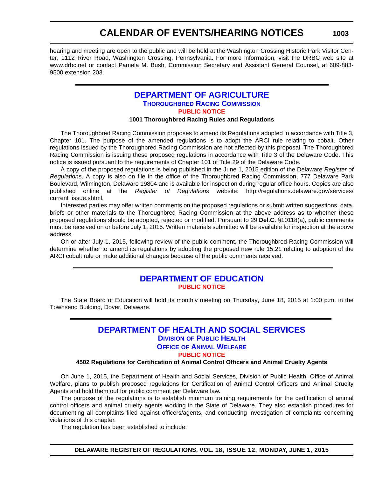### **CALENDAR OF EVENTS/HEARING NOTICES**

hearing and meeting are open to the public and will be held at the Washington Crossing Historic Park Visitor Center, 1112 River Road, Washington Crossing, Pennsylvania. For more information, visit the DRBC web site at www.drbc.net or contact Pamela M. Bush, Commission Secretary and Assistant General Counsel, at 609-883- 9500 extension 203.

### **[DEPARTMENT OF AGRICULTURE](http://dda.delaware.gov/index.shtml) [THOROUGHBRED RACING COMMISSION](http://dda.delaware.gov/thoroughbred/) [PUBLIC NOTICE](#page-4-0)**

### **1001 Thoroughbred Racing Rules and Regulations**

The Thoroughbred Racing Commission proposes to amend its Regulations adopted in accordance with Title 3, Chapter 101. The purpose of the amended regulations is to adopt the ARCI rule relating to cobalt. Other regulations issued by the Thoroughbred Racing Commission are not affected by this proposal. The Thoroughbred Racing Commission is issuing these proposed regulations in accordance with Title 3 of the Delaware Code. This notice is issued pursuant to the requirements of Chapter 101 of Title 29 of the Delaware Code.

A copy of the proposed regulations is being published in the June 1, 2015 edition of the Delaware *Register of Regulations*. A copy is also on file in the office of the Thoroughbred Racing Commission, 777 Delaware Park Boulevard, Wilmington, Delaware 19804 and is available for inspection during regular office hours. Copies are also published online at the *Register of Regulations* website: http://regulations.delaware.gov/services/ current\_issue.shtml.

Interested parties may offer written comments on the proposed regulations or submit written suggestions, data, briefs or other materials to the Thoroughbred Racing Commission at the above address as to whether these proposed regulations should be adopted, rejected or modified. Pursuant to 29 **Del.C.** §10118(a), public comments must be received on or before July 1, 2015. Written materials submitted will be available for inspection at the above address.

On or after July 1, 2015, following review of the public comment, the Thoroughbred Racing Commission will determine whether to amend its regulations by adopting the proposed new rule 15.21 relating to adoption of the ARCI cobalt rule or make additional changes because of the public comments received.

### **[DEPARTMENT OF EDUCATION](http://www.doe.k12.de.us/site/default.aspx?PageID=1) [PUBLIC NOTICE](#page-4-0)**

The State Board of Education will hold its monthly meeting on Thursday, June 18, 2015 at 1:00 p.m. in the Townsend Building, Dover, Delaware.

### **[DEPARTMENT OF HEALTH AND SOCIAL SERVICES](http://www.dhss.delaware.gov/dhss/index.html) DIVISION [OF PUBLIC HEALTH](http://www.dhss.delaware.gov/dhss/dph/index.html) OFFICE [OF ANIMAL WELFARE](http://www.dhss.delaware.gov/dhss/dph/oaw/oawhome.html) [PUBLIC NOTICE](#page-4-0)**

### **4502 Regulations for Certification of Animal Control Officers and Animal Cruelty Agents**

On June 1, 2015, the Department of Health and Social Services, Division of Public Health, Office of Animal Welfare, plans to publish proposed regulations for Certification of Animal Control Officers and Animal Cruelty Agents and hold them out for public comment per Delaware law.

The purpose of the regulations is to establish minimum training requirements for the certification of animal control officers and animal cruelty agents working in the State of Delaware. They also establish procedures for documenting all complaints filed against officers/agents, and conducting investigation of complaints concerning violations of this chapter.

The regulation has been established to include: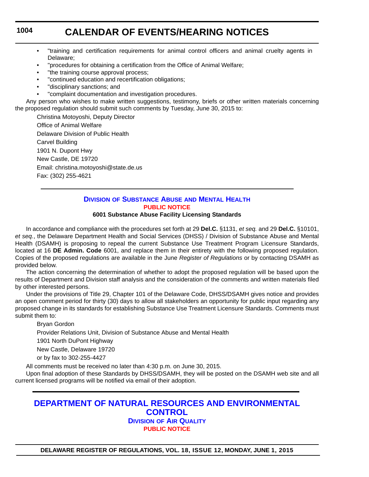### **CALENDAR OF EVENTS/HEARING NOTICES**

- "training and certification requirements for animal control officers and animal cruelty agents in Delaware;
- "procedures for obtaining a certification from the Office of Animal Welfare;
- "the training course approval process;
- "continued education and recertification obligations;
- "disciplinary sanctions; and
- "complaint documentation and investigation procedures.

Any person who wishes to make written suggestions, testimony, briefs or other written materials concerning the proposed regulation should submit such comments by Tuesday, June 30, 2015 to:

Christina Motoyoshi, Deputy Director Office of Animal Welfare Delaware Division of Public Health Carvel Building 1901 N. Dupont Hwy New Castle, DE 19720 Email: christina.motoyoshi@state.de.us Fax: (302) 255-4621

### **DIVISION [OF SUBSTANCE ABUSE](http://www.dhss.delaware.gov/dhss/dsamh/index.html) AND MENTAL HEALTH [PUBLIC NOTICE](#page-4-0)**

### **6001 Substance Abuse Facility Licensing Standards**

In accordance and compliance with the procedures set forth at 29 **Del.C.** §1131, *et seq.* and 29 **Del.C.** §10101, *et seq.*, the Delaware Department Health and Social Services (DHSS) / Division of Substance Abuse and Mental Health (DSAMH) is proposing to repeal the current Substance Use Treatment Program Licensure Standards, located at 16 **DE Admin. Code** 6001, and replace them in their entirety with the following proposed regulation. Copies of the proposed regulations are available in the June *Register of Regulations* or by contacting DSAMH as provided below.

The action concerning the determination of whether to adopt the proposed regulation will be based upon the results of Department and Division staff analysis and the consideration of the comments and written materials filed by other interested persons.

Under the provisions of Title 29, Chapter 101 of the Delaware Code, DHSS/DSAMH gives notice and provides an open comment period for thirty (30) days to allow all stakeholders an opportunity for public input regarding any proposed change in its standards for establishing Substance Use Treatment Licensure Standards. Comments must submit them to:

### Bryan Gordon

Provider Relations Unit, Division of Substance Abuse and Mental Health

1901 North DuPont Highway

New Castle, Delaware 19720

or by fax to 302-255-4427

All comments must be received no later than 4:30 p.m. on June 30, 2015.

Upon final adoption of these Standards by DHSS/DSAMH, they will be posted on the DSAMH web site and all current licensed programs will be notified via email of their adoption.

### **[DEPARTMENT OF NATURAL RESOURCES AND ENVIRONMENTAL](http://www.dnrec.delaware.gov/Pages/Portal.aspx)  CONTROL DIVISION [OF AIR QUALITY](http://www.dnrec.delaware.gov/Air/Pages/Air-Quality.aspx)**

**[PUBLIC NOTICE](#page-4-0)**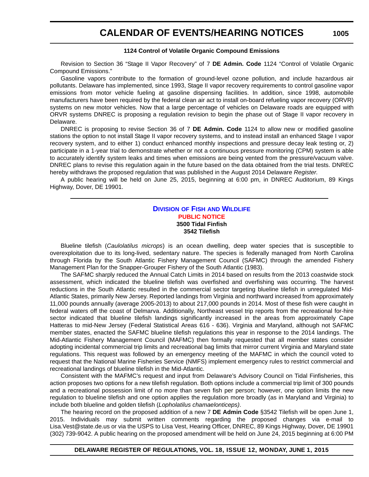### **CALENDAR OF EVENTS/HEARING NOTICES**

### **1124 Control of Volatile Organic Compound Emissions**

Revision to Section 36 "Stage II Vapor Recovery" of 7 **DE Admin. Code** 1124 "Control of Volatile Organic Compound Emissions."

Gasoline vapors contribute to the formation of ground-level ozone pollution, and include hazardous air pollutants. Delaware has implemented, since 1993, Stage II vapor recovery requirements to control gasoline vapor emissions from motor vehicle fueling at gasoline dispensing facilities. In addition, since 1998, automobile manufacturers have been required by the federal clean air act to install on-board refueling vapor recovery (ORVR) systems on new motor vehicles. Now that a large percentage of vehicles on Delaware roads are equipped with ORVR systems DNREC is proposing a regulation revision to begin the phase out of Stage II vapor recovery in Delaware.

DNREC is proposing to revise Section 36 of 7 **DE Admin. Code** 1124 to allow new or modified gasoline stations the option to not install Stage II vapor recovery systems, and to instead install an enhanced Stage I vapor recovery system, and to either 1) conduct enhanced monthly inspections and pressure decay leak testing or, 2) participate in a 1-year trial to demonstrate whether or not a continuous pressure monitoring (CPM) system is able to accurately identify system leaks and times when emissions are being vented from the pressure/vacuum valve. DNREC plans to revise this regulation again in the future based on the data obtained from the trial tests. DNREC hereby withdraws the proposed regulation that was published in the August 2014 Delaware *Register*.

A public hearing will be held on June 25, 2015, beginning at 6:00 pm, in DNREC Auditorium, 89 Kings Highway, Dover, DE 19901.

### **DIVISION OF FISH [AND WILDLIFE](http://www.dnrec.delaware.gov/fw/Pages/FWPortal.aspx) [PUBLIC NOTICE](#page-4-0) 3500 Tidal Finfish 3542 Tilefish**

Blueline tilefish (*Caulolatilus microps*) is an ocean dwelling, deep water species that is susceptible to overexploitation due to its long-lived, sedentary nature. The species is federally managed from North Carolina through Florida by the South Atlantic Fishery Management Council (SAFMC) through the amended Fishery Management Plan for the Snapper-Grouper Fishery of the South Atlantic (1983).

The SAFMC sharply reduced the Annual Catch Limits in 2014 based on results from the 2013 coastwide stock assessment, which indicated the blueline tilefish was overfished and overfishing was occurring. The harvest reductions in the South Atlantic resulted in the commercial sector targeting blueline tilefish in unregulated Mid-Atlantic States, primarily New Jersey. Reported landings from Virginia and northward increased from approximately 11,000 pounds annually (average 2005-2013) to about 217,000 pounds in 2014. Most of these fish were caught in federal waters off the coast of Delmarva. Additionally, Northeast vessel trip reports from the recreational for-hire sector indicated that blueline tilefish landings significantly increased in the areas from approximately Cape Hatteras to mid-New Jersey (Federal Statistical Areas 616 - 636). Virginia and Maryland, although not SAFMC member states, enacted the SAFMC blueline tilefish regulations this year in response to the 2014 landings. The Mid-Atlantic Fishery Management Council (MAFMC) then formally requested that all member states consider adopting incidental commercial trip limits and recreational bag limits that mirror current Virginia and Maryland state regulations. This request was followed by an emergency meeting of the MAFMC in which the council voted to request that the National Marine Fisheries Service (NMFS) implement emergency rules to restrict commercial and recreational landings of blueline tilefish in the Mid-Atlantic.

Consistent with the MAFMC's request and input from Delaware's Advisory Council on Tidal Finfisheries, this action proposes two options for a new tilefish regulation. Both options include a commercial trip limit of 300 pounds and a recreational possession limit of no more than seven fish per person; however, one option limits the new regulation to blueline tilefish and one option applies the regulation more broadly (as in Maryland and Virginia) to include both blueline and golden tilefish (*Lopholatilus chamaelonticeps)*.

The hearing record on the proposed addition of a new 7 **DE Admin Code** §3542 Tilefish will be open June 1, 2015. Individuals may submit written comments regarding the proposed changes via e-mail to Lisa.Vest@state.de.us or via the USPS to Lisa Vest, Hearing Officer, DNREC, 89 Kings Highway, Dover, DE 19901 (302) 739-9042. A public hearing on the proposed amendment will be held on June 24, 2015 beginning at 6:00 PM